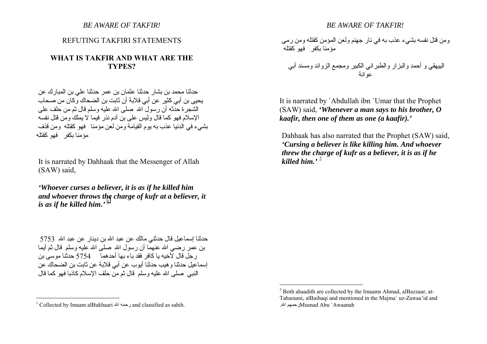### REFUTING TAKFIRI STATEMENTS

**WHAT IS TAKFIR AND WHAT ARE THE TYPES?** 

حدثنا محمد بن بشار حدثنا عثمان بن عمر حدثنا علي بن المبارك عن يحيى بن أبي كثير عن أبي قلابة أن ثابت بن الضحاك وكان من صحاب الشجرة حدثه أن رسول االله صلى االله عليه وسلم قال ثم من حلف على الإسلام فهو كما قال وليس على بن آدم نذر فيما لا يملك ومن قتل نفسه بشيء في الدنيا عذب به يوم القيامة ومن لعن مؤمنا فهو كقتله ومن قذف مؤمنا بكفر فهو كقتله

It is narrated by Dahhaak that the Messenger of Allah (SAW) said,

*'Whoever curses a believer, it is as if he killed him and whoever throws the charge of kufr at a believer, it is as if he killed him.'* <sup>1</sup>

حدثنا إسماعيل قال حدثني مالك عن عبد الله بن دينار عن عبد الله 5753 بن عمر رضي الله عنهما أن رسول الله صلى الله عليه وسلم قال ثم أيما رجل قال لأخيه يا كافر فقد باء بها أحدهما <sup>5754</sup> حدثنا موسى بن إسماعيل حدثنا وهيب حدثنا أيوب عن أبي قلابة عن ثابت بن الضحاك عن النبي صلى االله عليه وسلم قال ثم من حلف الإسلام كاذبا فهو كما قال

#### *BE AWARE OF TAKFIR!*

ومن قتل نفسه بشيء عذب به في نار جهنم ولعن المؤمن كقتله ومن رمى مؤمنا بكفر فهو كقتله

الييهقي <sup>و</sup> أحمد والبزار والطبراني الكبير ومجمع الزوائد ومسند أبي عوانة

It is narrated by `Abdullah ibn `Umar that the Prophet (SAW) said, *'Whenever a man says to his brother, O kaafir, then one of them as one (a kaafir).'* 

Dahhaak has also narrated that the Prophet (SAW) said, *'Cursing a believer is like killing him. And whoever threw the charge of kufr as a believer, it is as if he killed him.'* 2

 $1$ <sup>1</sup> Collected by Imaam alBukhaari المحمه الله رحمه الله رحمه الله رحمه  $a$ nd classified as sahih.

<sup>2</sup> Both ahaadith are collected by the Imaams Ahmad, alBazzaar, at-Tabaraani, alBaihaqi and mentioned in the Majma` uz-Zawaa'id and ـمهم الله. Musnad Abu `Awaanah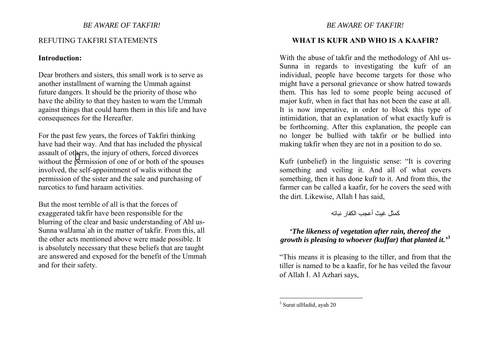### REFUTING TAKFIRI STATEMENTS

### **Introduction:**

Dear brothers and sisters, this small work is to serve as another installment of warning the Ummah against future dangers. It should be the priority of those who have the ability to that they hasten to warn the Ummah against things that could harm them in this life and have consequences for the Hereafter.

For the past few years, the forces of Takfiri thinking have had their way. And that has included the physical assault of others, the injury of others, forced divorces without the permission of one of or both of the spouses involved, the self-appointment of walis without the permission of the sister and the sale and purchasing of narcotics to fund haraam activities.

But the most terrible of all is that the forces of exaggerated takfir have been responsible for the blurring of the clear and basic understanding of Ahl us-Sunna walJama`ah in the matter of takfir. From this, all the other acts mentioned above were made possible. It is absolutely necessary that these beliefs that are taught are answered and exposed for the benefit of the Ummah and for their safety.

#### *BE AWARE OF TAKFIR!*

## **WHAT IS KUFR AND WHO IS A KAAFIR?**

With the abuse of takfir and the methodology of Ahl us-Sunna in regards to investigating the kufr of an individual, people have become targets for those who might have a personal grievance or show hatred towards them. This has led to some people being accused of major kufr, when in fact that has not been the case at all. It is now imperative, in order to block this type of intimidation, that an explanation of what exactly kufr is be forthcoming. After this explanation, the people can no longer be bullied with takfir or be bullied into making takfir when they are not in a position to do so.

Kufr (unbelief) in the linguistic sense: "It is covering something and veiling it. And all of what covers something, then it has done kufr to it. And from this, the farmer can be called a kaafir, for he covers the seed with the dirt. Likewise, Allah Ι has said,

## كمثل غيث أعجب الكفار نباته

## *'The likeness of vegetation after rain, thereof the growth is pleasing to whoever (kuffar) that planted it.'<sup>3</sup>*

"This means it is pleasing to the tiller, and from that the tiller is named to be a kaafir, for he has veiled the favour of Allah Ι. Al Azhari says,

<sup>&</sup>lt;sup>3</sup> Surat ulHadid, ayah 20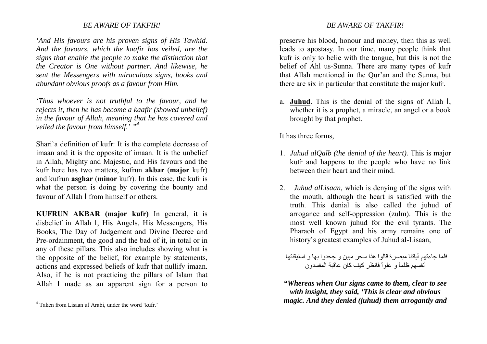*'And His favours are his proven signs of His Tawhid. And the favours, which the kaafir has veiled, are the signs that enable the people to make the distinction that the Creator is One without partner. And likewise, he sent the Messengers with miraculous signs, books and abundant obvious proofs as a favour from Him.* 

*'Thus whoever is not truthful to the favour, and he rejects it, then he has become a kaafir (showed unbelief) in the favour of Allah, meaning that he has covered and veiled the favour from himself.' "<sup>4</sup>*

Shari`a definition of kufr: It is the complete decrease of imaan and it is the opposite of imaan. It is the unbelief in Allah, Mighty and Majestic, and His favours and the kufr here has two matters, kufrun **akbar** (**major** kufr) and kufrun **asghar** (**minor** kufr). In this case, the kufr is what the person is doing by covering the bounty and favour of Allah Ι from himself or others.

**KUFRUN AKBAR (major kufr)** In general, it is disbelief in Allah Ι, His Angels, His Messengers, His Books, The Day of Judgement and Divine Decree and Pre-ordainment, the good and the bad of it, in total or in any of these pillars. This also includes showing what is the opposite of the belief, for example by statements, actions and expressed beliefs of kufr that nullify imaan. Also, if he is not practicing the pillars of Islam that Allah I made as an apparent sign for a person to

#### *BE AWARE OF TAKFIR!*

preserve his blood, honour and money, then this as well leads to apostasy. In our time, many people think that kufr is only to belie with the tongue, but this is not the belief of Ahl us-Sunna. There are many types of kufr that Allah mentioned in the Qur'an and the Sunna, but there are six in particular that constitute the major kufr.

a. **Juhud**. This is the denial of the signs of Allah Ι, whether it is a prophet, a miracle, an angel or a book brought by that prophet.

It has three forms,

- 1. *Juhud alQalb (the denial of the heart).* This is major kufr and happens to the people who have no link between their heart and their mind.
- 2. *Juhud alLisaan,* which is denying of the signs with the mouth, although the heart is satisfied with the truth. This denial is also called the juhud of arrogance and self-oppression (zulm). This is the most well known juhud for the evil tyrants. The Pharaoh of Egypt and his army remains one of history's greatest examples of Juhud al-Lisaan,

*"Whereas when Our signs came to them, clear to see with insight, they said, 'This is clear and obvious magic. And they denied (juhud) them arrogantly and* 

<sup>&</sup>lt;sup>4</sup> Taken from Lisaan ul`Arabi, under the word 'kufr.'

فلما جاءتهم أياتنا مبصرة قالوا هذا سحر مبين و جحدوا بها و استيقنتها أنفسهم ظلماً و علواً فانظر كيف كان عاقبة المفسدون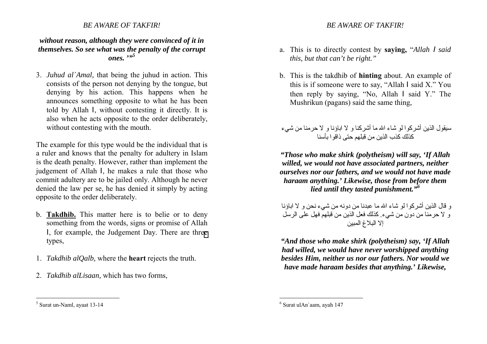### *without reason, although they were convinced of it in themselves. So see what was the penalty of the corrupt*   $ones.$ <sup>"55</sup>

3. *Juhud al`Amal,* that being the juhud in action. This consists of the person not denying by the tongue, but denying by his action. This happens when he announces something opposite to what he has been told by Allah Ι, without contesting it directly. It is also when he acts opposite to the order deliberately, without contesting with the mouth.

The example for this type would be the individual that is a ruler and knows that the penalty for adultery in Islam is the death penalty. However, rather than implement the judgement of Allah Ι, he makes a rule that those who commit adultery are to be jailed only. Although he never denied the law per se, he has denied it simply by acting opposite to the order deliberately.

- b. **Takdhib.** This matter here is to belie or to deny something from the words, signs or promise of Allah Ι, for example, the Judgement Day. There are three types,
- 1. *Takdhib alQalb,* where the **heart** rejects the truth.
- 2. *Takdhib alLisaan,* which has two forms,
- a. This is to directly contest by **saying,** "*Allah* Ι *said this, but that can't be right."*
- b. This is the takdhib of **hinting** about. An example of this is if someone were to say, "Allah Ι said X." You then reply by saying, "No, Allah Ι said Y." The Mushrikun (pagans) said the same thing,

سيقول الذين أشركوا لو شاء االله ما أشركنا <sup>و</sup> لا اباؤنا <sup>و</sup> لا حرمنا من شيء كذلك كذب الذين من قبلهم حتى ذاقوا بأسنا

*"Those who make shirk (polytheism) will say, 'If Allah willed, we would not have associated partners, neither ourselves nor our fathers, and we would not have made haraam anything.' Likewise, those from before them lied until they tasted punishment."<sup>6</sup>*

<sup>و</sup> قال الذين أشركوا لو شاء االله ما عبدنا من دونه من شيء نحن <sup>و</sup> لا اباؤنا <sup>و</sup> لا حرمنا من دون من شيء. كذلك فعل الذين من قبلهم فهل على الرسل إلا البلاغ المبين

*"And those who make shirk (polytheism) say, 'If Allah had willed, we would have never worshipped anything besides Him, neither us nor our fathers. Nor would we have made haraam besides that anything.' Likewise,* 

<sup>5</sup> Surat un-Naml, ayaat 13-1<sup>4</sup>

<sup>6</sup> Surat ulAn`aam, ayah 147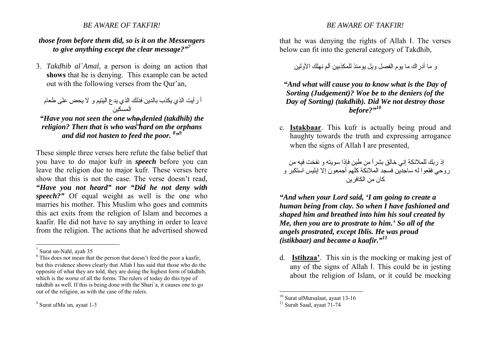## *those from before them did, so is it on the Messengers to give anything except the clear message?"<sup>7</sup>*

3. *Takdhib al`Amal,* a person is doing an action that **shows** that he is denying. This example can be acted out with the following verses from the Qur'an,

ر أيت الذي يكذب بالدين فذلك الذي يدع اليتيم و لا يحض على طعام أالمسكين

*"Have you not seen the one who denied (takdhib) the religion? Then that is who was hard on the orphans*  and did not hasten to feed the poor.  $^{8\gamma 9}$ 

These simple three verses here refute the false belief that you have to do major kufr in *speech* before you can leave the religion due to major kufr. These verses here show that this is not the case. The verse doesn't read, *"Have you not heard" nor "Did he not deny with speech?"* Of equal weight as well is the one who marries his mother. This Muslim who goes and commits this act exits from the religion of Islam and becomes a kaafir. He did not have to say anything in order to leave from the religion. The actions that he advertised showed

### *BE AWARE OF TAKFIR!*

that he was denying the rights of Allah Ι. The verses below can fit into the general category of Takdhib,

ما أدراك ما يوم الفصل ويل يومئذ للمكذبين ألم نهلك الأولين و

*"And what will cause you to know what is the Day of Sorting (Judgement)? Woe be to the deniers (of the Day of Sorting) (takdhib). Did We not destroy those before?"10*

c. **Istakbaar**. This kufr is actually being proud and haughty towards the truth and expressing arrogance when the signs of Allah Ι are presented,

إذ ربك للملائكة إني خالق بشراً من طين فإذا سويته و نفخت فيه من روحي فقعوا له ساجدين فسجد الملائكة كلهم أجمعون إلا إبليس استكبر <sup>و</sup> كان من الكافرين

*"And when your Lord said, 'I am going to create a human being from clay. So when I have fashioned and shaped him and breathed into him his soul created by Me, then you are to prostrate to him.' So all of the angels prostrated, except Iblis. He was proud (istikbaar) and became a kaafir."11*

d. **Istihzaa'**. This sin is the mocking or making jest of any of the signs of Allah Ι. This could be in jesting about the religion of Islam, or it could be mocking

<sup>7</sup> Surat un-Nahl, ayah 35

<sup>&</sup>lt;sup>8</sup> This does not mean that the person that doesn't feed the poor a kaafir, but this evidence shows clearly that Allah Ι has said that those who do the opposite of what they are told, they are doing the highest form of takdhib, which is the worse of all the forms. The rulers of today do this type of takdhib as well. If this is being done with the Shari`a, it causes one to go out of the religion, as with the case of the rulers.

<sup>9</sup> Surat ulMa`un, ayaat 1-3

<sup>1</sup>0 Surat ulMursalaat, ayaat 13-1<sup>6</sup>

 $11$  Surah Saad, ayaat 71-74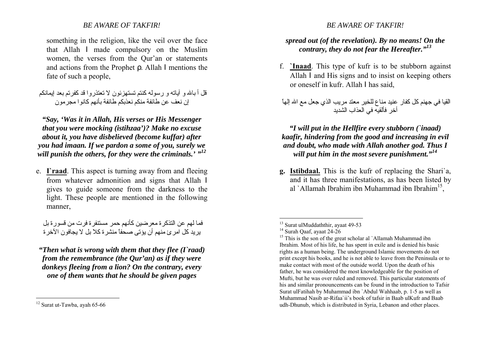something in the religion, like the veil over the face that Allah Ι made compulsory on the Muslim women, the verses from the Qur'an or statements and actions from the Prophet ρ. Allah Ι mentions the fate of such a people,

قل أ بالله و آياته و رسوله كنتم تستهزئون لا تعتذروا قد كفرتم بعد إيمانكم أإن نعف عن طائفة منكم نعذبكم طائفة بأنهم كانوا مجرمون

*"Say, 'Was it in Allah, His verses or His Messenger that you were mocking (istihzaa')? Make no excuse about it, you have disbelieved (become kuffar) after you had imaan. If we pardon a some of you, surely we*  will punish the others, for they were the criminals.' "<sup>12</sup>

e. **I`raad**. This aspect is turning away from and fleeing from whatever admonition and signs that Allah Ι gives to guide someone from the darkness to the light. These people are mentioned in the following manner,

فما لهم عن التذكرة معرضين كأنهم حمر مستنفرة فرت من قسورة بل يريد كل امرئ منهم أن يؤتى صحفاً منشرة كلا بل لا يجافون الآخرة

*"Then what is wrong with them that they flee (I`raad) from the remembrance (the Qur'an) as if they were donkeys fleeing from a lion? On the contrary, every one of them wants that he should be given pages* 

#### *BE AWARE OF TAKFIR!*

## *spread out (of the revelation). By no means! On the contrary, they do not fear the Hereafter."13*

f. **`Inaad**. This type of kufr is to be stubborn against Allah Ι and His signs and to insist on keeping others or oneself in kufr. Allah Ι has said,

القيا في جهنم كل كفار عنيد مناع للخير معتد مريب الذي جعل مع االله إلهاً أخر فألقيه في العذاب الشديد

*"I will put in the Hellfire every stubborn (`inaad) kaafir, hindering from the good and increasing in evil and doubt, who made with Allah another god. Thus I*  will put him in the most severe punishment."<sup>14</sup>

**g. Istibdaal.** This is the kufr of replacing the Shari`a, and it has three manifestations, as has been listed by al `Allamah Ibrahim ibn Muhammad ibn Ibrahim<sup>15</sup>,

 $12$  Surat ut-Tawba, ayah 65-66

<sup>1</sup>3 Surat ulMuddaththir, ayaat 49-53

<sup>1</sup>4 Surah Qaaf, ayaat 24-26

 $15$  This is the son of the great scholar al `Allamah Muhammad ibn Ibrahim. Most of his life, he has spent in exile and is denied his basic rights as a human being. The underground Islamic movements do not print except his books, and he is not able to leave from the Peninsula or to make contact with most of the outside world. Upon the death of his father, he was considered the most knowledgeable for the position of Mufti, but he was over ruled and removed. This particular statements of his and similar pronouncements can be found in the introduction to Tafsir Surat ulFatihah by Muhammad ibn `Abdul Wahhaab, p. 1-5 as well as Muhammad Nasib ar-Rifaa`ii's book of tafsir in Baab ulKufr and Baab udh-Dhunub, which is distributed in Syria, Lebanon and other places.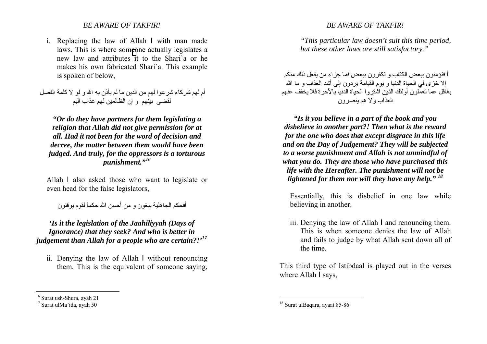i. Replacing the law of Allah Ι with man made laws. This is where someone actually legislates a new law and attributes it to the Shari`a or he makes his own fabricated Shari`a. This example is spoken of below,

أم لهم شركآء شرعوا لهم من الدين ما لم يأذن به االله <sup>و</sup> لو لا كلمة الفصل لقضى بينهم <sup>و</sup> إن الظالمين لهم عذاب اليم

*"Or do they have partners for them legislating a religion that Allah did not give permission for at all. Had it not been for the word of decision and decree, the matter between them would have been judged. And truly, for the oppressors is a torturous punishment."16*

Allah Ι also asked those who want to legislate or even head for the false legislators,

أفحكم الجاهلية يبغون <sup>و</sup> من أحسن االله حكماً لقوم يوقنون

*'Is it the legislation of the Jaahiliyyah (Days of Ignorance) that they seek? And who is better in judgement than Allah for a people who are certain?!'<sup>17</sup>*

ii. Denying the law of Allah Ι without renouncing them. This is the equivalent of someone saying,

## *BE AWARE OF TAKFIR!*

*"This particular law doesn't suit this time period, but these other laws are still satisfactory."* 

أ فتؤمنون ببعض الكتاب <sup>و</sup> تكفرون ببعض فما جزاء من يفعل ذلك منكم إلا خزى في الحياة الدنيا <sup>و</sup> يوم القيامة يردون إلى أشد العذاب <sup>و</sup> ما االله بغافل عما تعملون أولئك الذين اشتروا الحياة الدنيا بالآخرة فلا يخفف عنهم العذاب ولا هم ينصرون

*"Is it you believe in a part of the book and you disbelieve in another part?! Then what is the reward for the one who does that except disgrace in this life and on the Day of Judgement? They will be subjected to a worse punishment and Allah is not unmindful of what you do. They are those who have purchased this life with the Hereafter. The punishment will not be lightened for them nor will they have any help." <sup>18</sup>*

Essentially, this is disbelief in one law while believing in another.

iii. Denying the law of Allah Ι and renouncing them. This is when someone denies the law of Allah and fails to judge by what Allah sent down all of the time.

This third type of Istibdaal is played out in the verses where Allah I says,

<sup>1</sup>6 Surat ush-Shura, ayah 2<sup>1</sup>

<sup>1</sup>7 Surat ulMa'ida, ayah 50

<sup>1</sup>8 Surat ulBaqara, ayaat 85-86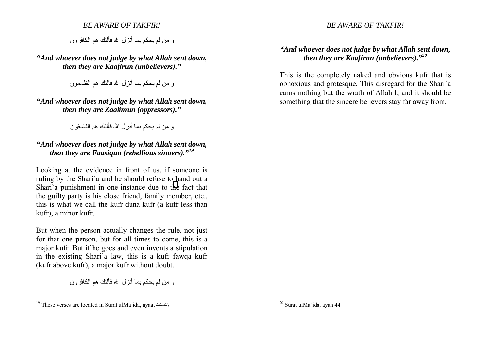و من لم يحكم بما أنز ل الله فألئك هم الكافر ون

*"And whoever does not judge by what Allah sent down, then they are Kaafirun (unbelievers)."*

<sup>و</sup> من لم يحكم بما أنزل االله فألئك هم الظالمون

*"And whoever does not judge by what Allah sent down, then they are Zaalimun (oppressors)."*

<sup>و</sup> من لم يحكم بما أنزل االله فألئك هم الفاسقون

# *"And whoever does not judge by what Allah sent down, then they are Faasiqun (rebellious sinners)."19*

Looking at the evidence in front of us, if someone is ruling by the Shari`a and he should refuse to hand out a Shari`a punishment in one instance due to the fact that the guilty party is his close friend, family member, etc., this is what we call the kufr duna kufr (a kufr less than kufr), a minor kufr.

But when the person actually changes the rule, not just for that one person, but for all times to come, this is a major kufr. But if he goes and even invents a stipulation in the existing Shari`a law, this is a kufr fawqa kufr (kufr above kufr), a major kufr without doubt.

<sup>و</sup> من لم يحكم بما أنزل االله فألئك هم الكافرون

# *BE AWARE OF TAKFIR!*

*"And whoever does not judge by what Allah sent down, then they are Kaafirun (unbelievers)."20*

This is the completely naked and obvious kufr that is obnoxious and grotesque. This disregard for the Shari`a earns nothing but the wrath of Allah Ι, and it should be something that the sincere believers stay far away from.

<sup>1</sup>9 These verses are located in Surat ulMa'ida, ayaat 44-47

<sup>20</sup> Surat ulMa'ida, ayah 44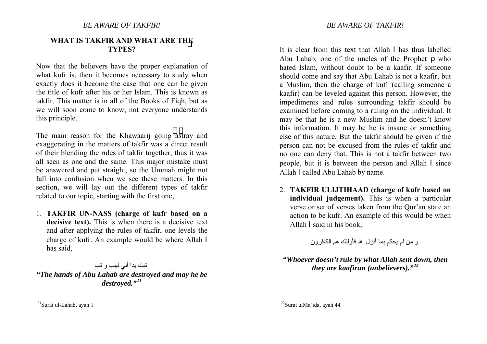## **WHAT IS TAKFIR AND WHAT ARE THE TYPES?**

Now that the believers have the proper explanation of what kufr is, then it becomes necessary to study when exactly does it become the case that one can be given the title of kufr after his or her Islam. This is known as takfir. This matter is in all of the Books of Fiqh, but as we will soon come to know, not everyone understands this principle.

The main reason for the Khawaarij going astray and exaggerating in the matters of takfir was a direct result of their blending the rules of takfir together, thus it was all seen as one and the same. This major mistake must be answered and put straight, so the Ummah might not fall into confusion when we see these matters. In this section, we will lay out the different types of takfir related to our topic, starting with the first one,

1. **TAKFIR UN-NASS (charge of kufr based on a**  decisive text). This is when there is a decisive text and after applying the rules of takfir, one levels the charge of kufr. An example would be where Allah Ι has said,

تبت يدا أبي لهب و تب *"The hands of Abu Lahab are destroyed and may he be destroyed."21*

It is clear from this text that Allah Ι has thus labelled Abu Lahab, one of the uncles of the Prophet ρ who hated Islam, without doubt to be a kaafir. If someone should come and say that Abu Lahab is not a kaafir, but a Muslim, then the charge of kufr (calling someone a kaafir) can be leveled against this person. However, the impediments and rules surrounding takfir should be examined before coming to a ruling on the individual. It may be that he is a new Muslim and he doesn't know this information. It may be he is insane or something else of this nature. But the takfir should be given if the person can not be excused from the rules of takfir and no one can deny that. This is not a takfir between two people, but it is between the person and Allah Ι since Allah Ι called Abu Lahab by name.

2. **TAKFIR ULIJTIHAAD (charge of kufr based on individual judgement).** This is when a particular verse or set of verses taken from the Qur'an state an action to be kufr. An example of this would be when Allah Ι said in his book,

من لم يحكم بما أنزل االله فأولئك هم الكافرون و

*"Whoever doesn't rule by what Allah sent down, then they are kaafirun (unbelievers)."22*

 $21$ Surat ul-Lahab, ayah 1

<sup>22</sup> Surat ulMa'ida, ayah 44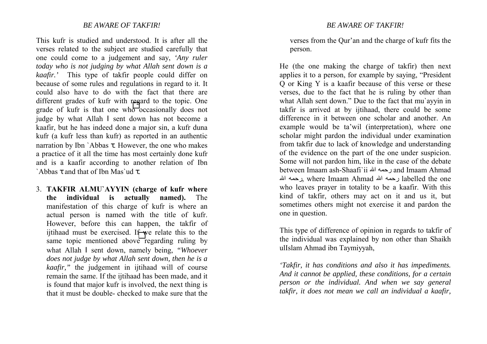This kufr is studied and understood. It is after all the verses related to the subject are studied carefully that one could come to a judgement and say, *'Any ruler today who is not judging by what Allah sent down is a kaafir.'* This type of takfir people could differ on because of some rules and regulations in regard to it. It could also have to do with the fact that there are different grades of kufr with regard to the topic. One grade of kufr is that one who occasionally does not judge by what Allah Ι sent down has not become a kaafir, but he has indeed done a major sin, a kufr duna kufr (a kufr less than kufr) as reported in an authentic narration by Ibn `Abbas <sup>τ</sup>. However, the one who makes a practice of it all the time has most certainly done kufr and is a kaafir according to another relation of Ibn `Abbas τ and that of Ibn Mas`ud τ.

3. **TAKFIR ALMU`AYYIN (charge of kufr where the individual is actually named).** The manifestation of this charge of kufr is where an actual person is named with the title of kufr. However, before this can happen, the takfir of ijtihaad must be exercised. If we relate this to the same topic mentioned above regarding ruling by what Allah Ι sent down, namely being, *"Whoever does not judge by what Allah sent down, then he is a kaafir,"* the judgement in ijtihaad will of course remain the same. If the ijtihaad has been made, and it is found that major kufr is involved, the next thing is that it must be double- checked to make sure that the

verses from the Qur'an and the charge of kufr fits the person.

He (the one making the charge of takfir) then next applies it to a person, for example by saying, "President Q or King Y is a kaafir because of this verse or these verses, due to the fact that he is ruling by other than what Allah sent down." Due to the fact that mu`ayyin in takfir is arrived at by ijtihaad, there could be some difference in it between one scholar and another. An example would be ta'wil (interpretation), where one scholar might pardon the individual under examination from takfir due to lack of knowledge and understanding of the evidence on the part of the one under suspicion. Some will not pardon him, like in the case of the debate between Imaam ash-Shaafi`ii رحمه الله and Imaam Ahmad رحمه الله الله الله where Imaam Ahmad ارحمه الله who leaves prayer in totality to be a kaafir. With this kind of takfir, others may act on it and us it, but sometimes others might not exercise it and pardon the one in question.

This type of difference of opinion in regards to takfir of the individual was explained by non other than Shaikh ulIslam Ahmad ibn Taymiyyah,

*'Takfir, it has conditions and also it has impediments. And it cannot be applied, these conditions, for a certain person or the individual. And when we say general takfir, it does not mean we call an individual a kaafir,*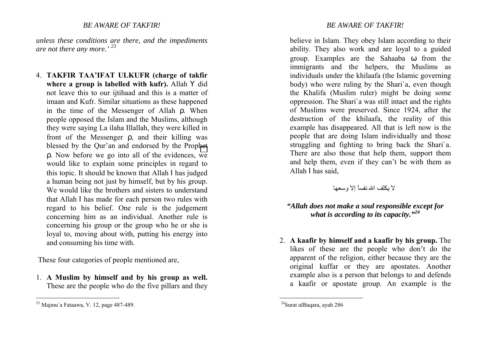*unless these conditions are there, and the impediments are not there any more.' <sup>23</sup>*

4. **TAKFIR TAA'IFAT ULKUFR (charge of takfir where a group is labelled with kufr).** Allah Υ did not leave this to our ijtihaad and this is a matter of imaan and Kufr. Similar situations as these happened in the time of the Messenger of Allah ρ. When people opposed the Islam and the Muslims, although they were saying La ilaha Illallah, they were killed in front of the Messenger ρ, and their killing was blessed by the Qur'an and endorsed by the Prophet ρ. Now before we go into all of the evidences, we would like to explain some principles in regard to this topic. It should be known that Allah Ι has judged a human being not just by himself, but by his group. We would like the brothers and sisters to understand that Allah Ι has made for each person two rules with regard to his belief. One rule is the judgement concerning him as an individual. Another rule is concerning his group or the group who he or she is loyal to, moving about with, putting his energy into and consuming his time with.

These four categories of people mentioned are,

1. **A Muslim by himself and by his group as well.** These are the people who do the five pillars and they

believe in Islam. They obey Islam according to their ability. They also work and are loyal to a guided group. Examples are the Sahaaba ω from the immigrants and the helpers, the Muslims as individuals under the khilaafa (the Islamic governing body) who were ruling by the Shari`a, even though the Khalifa (Muslim ruler) might be doing some oppression. The Shari`a was still intact and the rights of Muslims were preserved. Since 1924, after the destruction of the khilaafa, the reality of this example has disappeared. All that is left now is the people that are doing Islam individually and those struggling and fighting to bring back the Shari`a. There are also those that help them, support them and help them, even if they can't be with them as Allah Ι has said,

### يكلف االله نفساً إلا وسعها لا

## *"Allah does not make a soul responsible except for what is according to its capacity."24*

2. **A kaafir by himself and a kaafir by his group.** The likes of these are the people who don't do the apparent of the religion, either because they are the original kuffar or they are apostates. Another example also is a person that belongs to and defends a kaafir or apostate group. An example is the

 $23$  Maimu'a Fataawa, V. 12, page 487-489.

<sup>24</sup> Surat ulBaqara, ayah 286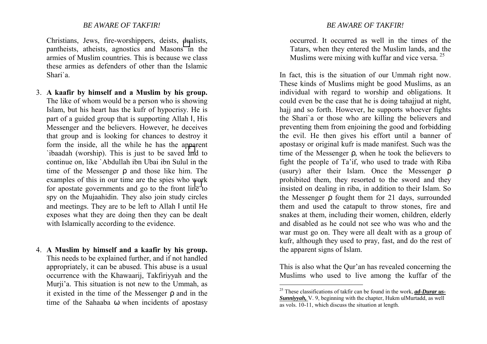Christians, Jews, fire-worshippers, deists, dualists, pantheists, atheists, agnostics and Masons in the armies of Muslim countries. This is because we class these armies as defenders of other than the Islamic Shari`a.

- 3. **A kaafir by himself and a Muslim by his group.** The like of whom would be a person who is showing Islam, but his heart has the kufr of hypocrisy. He is part of a guided group that is supporting Allah Ι, His Messenger and the believers. However, he deceives that group and is looking for chances to destroy it form the inside, all the while he has the apparent `ibaadah (worship). This is just to be saved and to continue on, like `Abdullah ibn Ubai ibn Sulul in the time of the Messenger ρ and those like him. The examples of this in our time are the spies who work for apostate governments and go to the front line to spy on the Mujaahidin. They also join study circles and meetings. They are to be left to Allah Ι until He exposes what they are doing then they can be dealt with Islamically according to the evidence.
- 4. **A Muslim by himself and a kaafir by his group.** This needs to be explained further, and if not handled appropriately, it can be abused. This abuse is a usual occurrence with the Khawaarij, Takfiriyyah and the Murji'a. This situation is not new to the Ummah, as it existed in the time of the Messenger ρ and in the time of the Sahaaba <sup>ω</sup> when incidents of apostasy

occurred. It occurred as well in the times of the Tatars, when they entered the Muslim lands, and the Muslims were mixing with kuffar and vice versa.<sup>25</sup>

In fact, this is the situation of our Ummah right now. These kinds of Muslims might be good Muslims, as an individual with regard to worship and obligations. It could even be the case that he is doing tahajjud at night, hajj and so forth. However, he supports whoever fights the Shari`a or those who are killing the believers and preventing them from enjoining the good and forbidding the evil. He then gives his effort until a banner of apostasy or original kufr is made manifest. Such was the time of the Messenger ρ, when he took the believers to fight the people of Ta'if, who used to trade with Riba (usury) after their Islam. Once the Messenger ρ prohibited them, they resorted to the sword and they insisted on dealing in riba, in addition to their Islam. So the Messenger ρ fought them for 21 days, surrounded them and used the catapult to throw stones, fire and snakes at them, including their women, children, elderly and disabled as he could not see who was who and the war must go on. They were all dealt with as a group of kufr, although they used to pray, fast, and do the rest of the apparent signs of Islam.

This is also what the Qur'an has revealed concerning the Muslims who used to live among the kuffar of the

<sup>&</sup>lt;sup>25</sup> These classifications of takfir can be found in the work, *ad-Durar us-Sunniyyah,*  V. 9, beginning with the chapter, Hukm ulMurtadd, as well as vols. 10-11, which discuss the situation at length.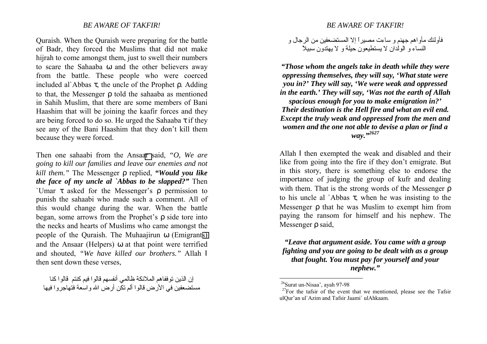Quraish. When the Quraish were preparing for the battle of Badr, they forced the Muslims that did not make hijrah to come amongst them, just to swell their numbers to scare the Sahaaba <sup>ω</sup> and the other believers away from the battle. These people who were coerced included al`Abbas <sup>τ</sup>, the uncle of the Prophet ρ. Adding to that, the Messenger ρ told the sahaaba as mentioned in Sahih Muslim, that there are some members of Bani Haashim that will be joining the kaafir forces and they are being forced to do so. He urged the Sahaaba <sup>τ</sup> if they see any of the Bani Haashim that they don't kill them because they were forced.

Then one sahaabi from the Ansaar said, *"O, We are going to kill our families and leave our enemies and not kill them."* The Messenger ρ replied, *"Would you like the face of my uncle al `Abbas to be slapped?"* Then `Umar <sup>τ</sup> asked for the Messenger's ρ permission to punish the sahaabi who made such a comment. All of this would change during the war. When the battle began, some arrows from the Prophet's ρ side tore into the necks and hearts of Muslims who came amongst the people of the Quraish. The Muhaajirun <sup>ω</sup> (Emigrants) and the Ansaar (Helpers) <sup>ω</sup> at that point were terrified and shouted, *"We have killed our brothers."* Allah Ι then sent down these verses,

إن الذين توففاهم الملائكة ظالمي أنفسهم قالوا فيم كنتم قالوا كنا مستضعفين في الأرض قالوا ألم تكن أرض االله واسعة فتهاجروا فيها

## فأولئك مأواهم جهنم و ساءت مصبراً إلا المستضعفين من الرجال و النساء و الولدان لا يستطيعون حيلة و لا يهندون سبيلأ

*"Those whom the angels take in death while they were oppressing themselves, they will say, 'What state were you in?' They will say, 'We were weak and oppressed in the earth.' They will say, 'Was not the earth of Allah spacious enough for you to make emigration in?' Their destination is the Hell fire and what an evil end. Except the truly weak and oppressed from the men and women and the one not able to devise a plan or find a way."2627*

Allah Ι then exempted the weak and disabled and their like from going into the fire if they don't emigrate. But in this story, there is something else to endorse the importance of judging the group of kufr and dealing with them. That is the strong words of the Messenger ρ to his uncle al `Abbas <sup>τ</sup>, when he was insisting to the Messenger ρ that he was Muslim to exempt him from paying the ransom for himself and his nephew. The Messenger ρ said,

*"Leave that argument aside. You came with a group fighting and you are going to be dealt with as a group that fought. You must pay for yourself and your nephew."* 

 $26$ Surat un-Nisaa', ayah 97-98

 $27$  For the tafsir of the event that we mentioned, please see the Tafsir ulQur'an ul`Azim and Tafsir Jaami` ulAhkaam.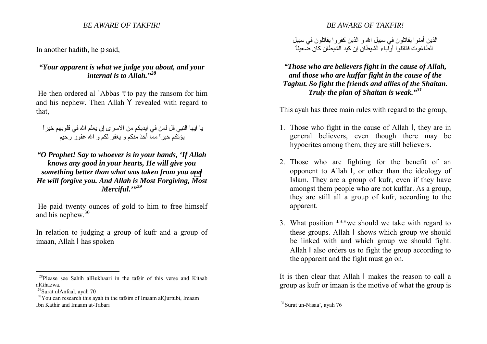In another hadith, he ρ said,

## *"Your apparent is what we judge you about, and your internal is to Allah."28*

He then ordered al `Abbas τ to pay the ransom for him and his nephew. Then Allah Υ revealed with regard to that,

# يا ايها النبي قل لمن في ايديكم من الاسرى إن يعلم االله في قلوبهم خيراً يؤتكم خيراً مما أخذ منكم <sup>و</sup> يغفر لكم <sup>و</sup> االله غفور رحيم

*"O Prophet! Say to whoever is in your hands, 'If Allah knows any good in your hearts, He will give you something better than what was taken from you and He will forgive you. And Allah is Most Forgiving, Most Merciful.*  $\frac{1}{2}$ 

 He paid twenty ounces of gold to him to free himself and his nephew. $30$ 

In relation to judging a group of kufr and a group of imaan, Allah Ι has spoken

## *BE AWARE OF TAKFIR!*

الذين أمنوا يقاتلون في سبيل االله <sup>و</sup> الذين كفروا يقاتلون في سبيل الطاغوت فقاتلوا أولياء الشيطان إن كيد الشيطان كان ضعيفاً

*"Those who are believers fight in the cause of Allah, and those who are kuffar fight in the cause of the Taghut. So fight the friends and allies of the Shaitan. Truly the plan of Shaitan is weak."31*

This ayah has three main rules with regard to the group,

- 1. Those who fight in the cause of Allah Ι, they are in general believers, even though there may be hypocrites among them, they are still believers.
- 2. Those who are fighting for the benefit of an opponent to Allah Ι, or other than the ideology of Islam. They are a group of kufr, even if they have amongst them people who are not kuffar. As a group, they are still all a group of kufr, according to the apparent.
- 3. What position \*\*\*we should we take with regard to these groups. Allah Ι shows which group we should be linked with and which group we should fight. Allah Ι also orders us to fight the group according to the apparent and the fight must go on.

It is then clear that Allah Ι makes the reason to call a group as kufr or imaan is the motive of what the group is

 $28$ Please see Sahih alBukhaari in the tafsir of this verse and Kitaab alGhazwa.

<sup>29</sup> Surat ulAnfaal, ayah 70

 $30$ You can research this ayah in the tafsirs of Imaam alQurtubi, Imaam Ibn Kathir and Imaam at-Tabari

<sup>&</sup>lt;sup>31</sup> Surat un-Nisaa', ayah 76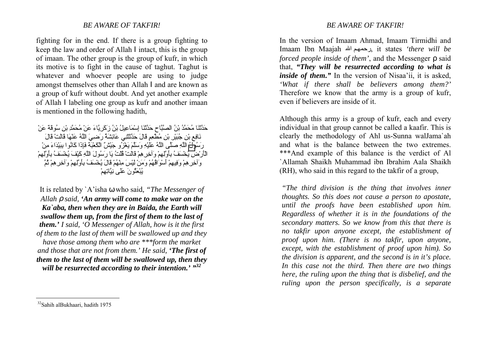fighting for in the end. If there is a group fighting to keep the law and order of Allah Ι intact, this is the group of imaan. The other group is the group of kufr, in which its motive is to fight in the cause of taghut. Taghut is whatever and whoever people are using to judge amongst themselves other than Allah Ι and are known as a group of kufr without doubt. And yet another example of Allah Ι labeling one group as kufr and another imaan is mentioned in the following hadith,

حَدَّثَنَا مُحَمَّدُ بْنُ الصَّبَّاحِ حَدَّثَنَا إِسْمَاعِيلُ بْنُ زَكَرِيَّاءَ عَنْ مُحَمَّدِ بْنِ سُوقَةَ عَنْ نَافِعِ بْنِ جُبَيْرِ بْنِ مُطْعِمٍ قَالَ حَدَّثَتْنِي عَائِشَةُ رَضِيَ اللَّهُ عَنْهَا قَالَتْ قَالَ رَسُولُ اللَّهِ صَلَّى اللَّهُ عَلَيْهِ وَسَلَّمَ يَغْزُو جَيْشٌ الْكَعْبَةَ فَإِذَا كَانُوا بِبَيْدَاءَ مِنْ الْأَرْضِ يُخْسَفُ بِأَوَّلِهِمْ وَآخِرِهِمْ قَالَتْ قُلْتُ يَا رَسُولَ اللَّهِ كَيْفَ يُخْسَفُ بِأَوَّلِهِمْ وَآخِرِهِمْ وَفِيهِمْ أَسْوَاقُهُمْ وَمَنْ لَيْسَ مِنْهُمْ قَالَ يُخْسَفُ بِأَوَّلِهِمْ وَآخِرِهِمْ ثُمَّ يُبْعَثُونَ عَلَى نِيَّاتِهِمْ

It is related by `A'isha <sup>ω</sup> who said*, "The Messenger of Allah*  ρ *said, 'An army will come to make war on the Ka`aba, then when they are in Baida, the Earth will swallow them up, from the first of them to the last of them.' I said, 'O Messenger of Allah, how is it the first of them to the last of them will be swallowed up and they have those among them who are \*\*\*form the market and those that are not from them.' He said, 'The first of them to the last of them will be swallowed up, then they will be resurrected according to their intention.' "32*

In the version of Imaam Ahmad, Imaam Tirmidhi and Imaam Ibn Maajah االله مìرحمه, it states *'there will be forced people inside of them'*, and the Messenger ρ said that, *"They will be resurrected according to what is inside of them.*" In the version of Nisaa'ii, it is asked, *'What if there shall be believers among them?'* Therefore we know that the army is a group of kufr, even if believers are inside of it.

Although this army is a group of kufr, each and every individual in that group cannot be called a kaafir. This is clearly the methodology of Ahl us-Sunna walJama`ah and what is the balance between the two extremes. \*\*\*And example of this balance is the verdict of Al `Allamah Shaikh Muhammad ibn Ibrahim Aala Shaikh (RH), who said in this regard to the takfir of a group,

*"The third division is the thing that involves inner thoughts. So this does not cause a person to apostate, until the proofs have been established upon him. Regardless of whether it is in the foundations of the secondary matters. So we know from this that there is no takfir upon anyone except, the establishment of proof upon him. (There is no takfir, upon anyone, except, with the establishment of proof upon him). So the division is apparent, and the second is in it's place. In this case not the third. Then there are two things here, the ruling upon the thing that is disbelief, and the ruling upon the person specifically, is a separate* 

 $32$ Sahih alBukhaari, hadith 1975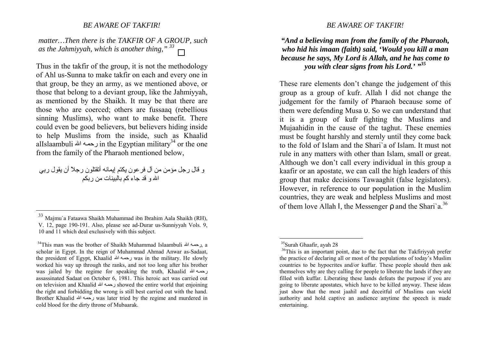*matter…Then there is the TAKFIR OF A GROUP, such as the Jahmiyyah, which is another thing," <sup>33</sup>*

Thus in the takfir of the group, it is not the methodology of Ahl us-Sunna to make takfir on each and every one in that group, be they an army, as we mentioned above, or those that belong to a deviant group, like the Jahmiyyah, as mentioned by the Shaikh. It may be that there are those who are coerced; others are fussaaq (rebellious sinning Muslims), who want to make benefit. There could even be good believers, but believers hiding inside to help Muslims from the inside, such as Khaalid alIslaambuli ارحمه الله in the Egyptian military $^{34}$  or the one from the family of the Pharaoh mentioned below,

قال رجل مؤمن من آل فرعون يكتم إيمانه أتقتلون رجلاً أن يقول ربي و الله و قد جاء كم بالبينات من ربكم

### *BE AWARE OF TAKFIR!*

## *"And a believing man from the family of the Pharaoh, who hid his imaan (faith) said, 'Would you kill a man because he says, My Lord is Allah, and he has come to you with clear signs from his Lord.' "35*

These rare elements don't change the judgement of this group as a group of kufr. Allah Ι did not change the judgement for the family of Pharaoh because some of them were defending Musa υ. So we can understand that it is a group of kufr fighting the Muslims and Mujaahidin in the cause of the taghut. These enemies must be fought harshly and sternly until they come back to the fold of Islam and the Shari`a of Islam. It must not rule in any matters with other than Islam, small or great. Although we don't call every individual in this group a kaafir or an apostate, we can call the high leaders of this group that make decisions Tawaaghit (false legislators). However, in reference to our population in the Muslim countries, they are weak and helpless Muslims and most of them love Allah I, the Messenger  $\rho$  and the Shari`a.<sup>36</sup>

<sup>&</sup>lt;sup>33</sup> Majmu`a Fataawa Shaikh Muhammad ibn Ibrahim Aala Shaikh (RH), V. 12, page 190-191. Also, please see ad-Durar us-Sunniyyah Vols. 9, 10 and 11 which deal exclusively with this subject.

<sup>&</sup>lt;sup>34</sup>This man was the brother of Shaikh Muhammad Islaambuli رحمه الله, a scholar in Egypt. In the reign of Muhammad Ahmad Anwar as-Sadaat, the president of Egypt, Khaalid رحمه الله was in the military. He slowly worked his way up through the ranks, and not too long after his brother was jailed by the regime for speaking the truth, Khaalid ارحمه الله assassinated Sadaat on October 6, 1981. This heroic act was carried out on television and Khaalid ارحمه الله showed the entire world that enjoining the right and forbidding the wrong is still best carried out with the hand. Brother Khaalid االله هìرحم was later tried by the regime and murdered in cold blood for the dirty throne of Mubaarak.

<sup>35</sup> Surah Ghaafir, ayah 28

 $36$ This is an important point, due to the fact that the Takfiriyyah prefer the practice of declaring all or most of the populations of today's Muslim countries to be hypocrites and/or kuffar. These people should then ask themselves why are they calling for people to liberate the lands if they are filled with kuffar. Liberating these lands defeats the purpose if you are going to liberate apostates, which have to be killed anyway. These ideas just show that the most jaahil and deceitful of Muslims can wield authority and hold captive an audience anytime the speech is made entertaining.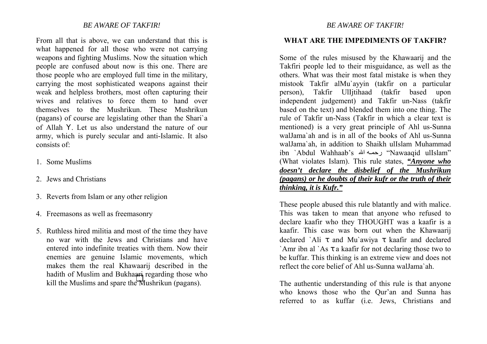From all that is above, we can understand that this is what happened for all those who were not carrying weapons and fighting Muslims. Now the situation which people are confused about now is this one. There are those people who are employed full time in the military, carrying the most sophisticated weapons against their weak and helpless brothers, most often capturing their wives and relatives to force them to hand over themselves to the Mushrikun. These Mushrikun (pagans) of course are legislating other than the Shari`a of Allah Υ. Let us also understand the nature of our army, which is purely secular and anti-Islamic. It also consists of:

- 1. Some Muslims
- 2. Jews and Christians
- 3. Reverts from Islam or any other religion
- 4. Freemasons as well as freemasonry
- 5. Ruthless hired militia and most of the time they have no war with the Jews and Christians and have entered into indefinite treaties with them. Now their enemies are genuine Islamic movements, which makes them the real Khawaarij described in the hadith of Muslim and Bukhaari regarding those who kill the Muslims and spare the Mushrikun (pagans).

## **WHAT ARE THE IMPEDIMENTS OF TAKFIR?**

Some of the rules misused by the Khawaarij and the Takfiri people led to their misguidance, as well as the others. What was their most fatal mistake is when they mistook Takfir alMu`ayyin (takfir on a particular person), Takfir UlIjtihaad (takfir based upon independent judgement) and Takfir un-Nass (takfir based on the text) and blended them into one thing. The rule of Takfir un-Nass (Takfir in which a clear text is mentioned) is a very great principle of Ahl us-Sunna walJama`ah and is in all of the books of Ahl us-Sunna walJama`ah, in addition to Shaikh ulIslam Muhammad ibn `Abdul Wahhaab's ارحمـه الله "Nawaaqid ulIslam" (What violates Islam). This rule states, *"Anyone who doesn't declare the disbelief of the Mushrikun (pagans) or he doubts of their kufr or the truth of their thinking, it is Kufr."* 

These people abused this rule blatantly and with malice. This was taken to mean that anyone who refused to declare kaafir who they THOUGHT was a kaafir is a kaafir. This case was born out when the Khawaarij declared `Ali <sup>τ</sup> and Mu`awiya τ kaafir and declared `Amr ibn al `As <sup>τ</sup> a kaafir for not declaring those two to be kuffar. This thinking is an extreme view and does not reflect the core belief of Ahl us-Sunna walJama`ah.

The authentic understanding of this rule is that anyone who knows those who the Qur'an and Sunna has referred to as kuffar (i.e. Jews, Christians and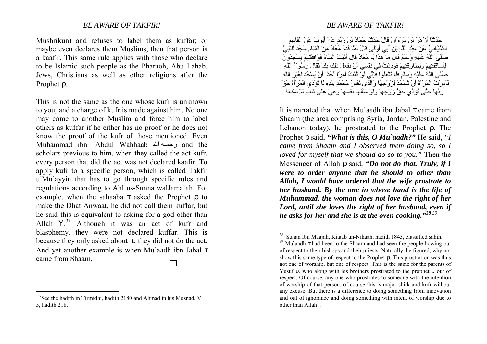Mushrikun) and refuses to label them as kuffar; or maybe even declares them Muslims, then that person is a kaafir. This same rule applies with those who declare to be Islamic such people as the Pharaoh, Abu Lahab, Jews, Christians as well as other religions after the Prophet ρ.

This is not the same as the one whose kufr is unknown to you, and a charge of kufr is made against him. No one may come to another Muslim and force him to label others as kuffar if he either has no proof or he does not know the proof of the kufr of those mentioned. Even Muhammad ibn `Abdul Wahhaab المحصة الله له and the scholars previous to him, when they called the act kufr, every person that did the act was not declared kaafir. To apply kufr to a specific person, which is called Takfir ulMu`ayyin that has to go through specific rules and regulations according to Ahl us-Sunna walJama`ah. For example, when the sahaaba  $\tau$  asked the Prophet  $\rho$  to make the Dhat Anwaat, he did not call them kuffar, but he said this is equivalent to asking for a god other than Allah  $Y^{37}$  Although it was an act of kufr and blasphemy, they were not declared kuffar. This is because they only asked about it, they did not do the act. And yet another example is when Mu`aadh ibn Jabal τ came from Shaam,

حَدَّثَنَا أَزْهَرُ بْنُ مَرْوَانَ قَالَ حَدَّثَنَا حَمَّادُ بْنُ زَيْدٍ عَنْ أَيُّوبَ عَنْ الْقَاسِمِ الشَّيْبَانِيِّ عَنْ عَبْدِ اللَّهِ بْنِ أَبِي أَوْفَى قَالَ لَمَّا قَدِمَ مُعَاذٌ مِنْ الشَّامِ سَجَدَ لِلنَّبِيِّ صَلَّى اللَّهُ عَلَيْهِ وَسَلَّمَ قَالَ مَا هَذَا يَا مُعَاذُ قَالَ أَتَيْتُ الشَّامَ فَوَافَقْتُهُمْ يَسْجُدُونَ لِأَسَاقِفَتِهِمْ وَبَطَارِقَتِهِمْ فَوَدِدْتُ فِي نَفْسِي أَنْ نَفْعَلَ ذَلِكَ بِكَ فَقَالَ رَسُولُ اللَّهِ صَلَّى اللَّهُ عَلَيْهِ وَسَلَّمَ فَلَا تَفْعَلُوا فَإِنِّي لَوْ كُنْتُ آمِرًا أَحَدًا أَنْ يَسْجُدَ لِغَيْرِ اللَّهِ لَأَمَرْتُ الْمَرْأَةَ أَنْ تَسْجُدَ لِزَوْجِهَا وَالَّذِي نَفْسُ مُحَمَّدٍ بِيَدِهِ لَا تُؤَدِّي الْمَرْأَةُ حَقَّ تُؤَدِّيَ حَقَّ زَوْجِهَا وَلَوْ سَأَلَهَا نَفْسَهَا وَهِيَ عَلَى قَتَبٍ لَمْ تَمْنَعْهُ رَبِّهَا حَتَّى

It is narrated that when Mu`aadh ibn Jabal τ came from Shaam (the area comprising Syria, Jordan, Palestine and Lebanon today), he prostrated to the Prophet ρ. The Prophet ρ said, *"What is this, O Mu`aadh?"* He said, *"I came from Shaam and I observed them doing so, so I loved for myself that we should do so to you."* Then the Messenger of Allah ρ said, *"Do not do that. Truly, if I were to order anyone that he should to other than Allah, I would have ordered that the wife prostrate to her husband. By the one in whose hand is the life of Muhammad, the woman does not love the right of her Lord, until she loves the right of her husband, even if he asks for her and she is at the oven cooking."38 <sup>39</sup>*

 $37$  See the hadith in Tirmidhi, hadith 2180 and Ahmad in his Musnad, V. 5, hadith 218.

<sup>38</sup> Sunan Ibn Maajah, Kitaab un-Nikaah, hadith 1843, classified sahih.

<sup>&</sup>lt;sup>39</sup> Mu`aadh  $\tau$  had been to the Shaam and had seen the people bowing out of respect to their bishops and their priests. Naturally, he figured, why not show this same type of respect to the Prophet ρ. This prostration was thus not one of worship, but one of respect. This is the same for the parents of Yusuf <sup>υ</sup>, who along with his brothers prostrated to the prophet υ out of respect. Of course, any one who prostrates to someone with the intention of worship of that person, of course this is major shirk and kufr without any excuse. But there is a difference to doing something from innovation and out of ignorance and doing something with intent of worship due to other than Allah Ι.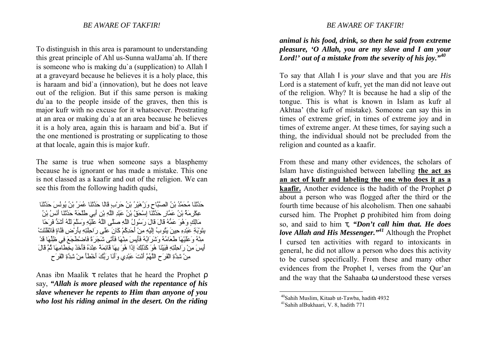To distinguish in this area is paramount to understanding this great principle of Ahl us-Sunna walJama`ah. If there is someone who is making du`a (supplication) to Allah Ι at a graveyard because he believes it is a holy place, this is haraam and bid`a (innovation), but he does not leave out of the religion. But if this same person is making du`aa to the people inside of the graves, then this is major kufr with no excuse for it whatsoever. Prostrating at an area or making du`a at an area because he believes it is a holy area, again this is haraam and bid`a. But if the one mentioned is prostrating or supplicating to those at that locale, again this is major kufr.

The same is true when someone says a blasphemy because he is ignorant or has made a mistake. This one is not classed as a kaafir and out of the religion. We can see this from the following hadith qudsi,

حَدَّثَنَا مُحَمَّدُ بْنُ الصَّبَّاحِ وَزُهَيْرُ بْنُ حَرْبٍ قَالَا حَدَّثَنَا عُمَرُ بْنُ يُونُسَ حَدَّثَنَا عِكْرِمَةُ بْنُ عَمَّارٍ حَدَّثَنَا إِسْحَقُ بْنُ عَبْدِ اللَّهِ بْنِ أَبِي طَلْحَةَ حَدَّثَنَا أَنَسُ بْنُ مَالِكٍ وَهُوَ عَمُّهُ قَالَ قَالَ رَسُولُ اللَّهِ صَلَّى اللَّهُ عَلَيْهِ وَسَلَّمَ لَلَّهُ أَشَدُّ فَرَحًا بِتَوْبَةِ عَبْدِهِ حِينَ يَتُوبُ إِلَيْهِ مِنْ أَحَدِكُمْ كَانَ عَلَى رَاحِلَتِهِ بِأَرْضِ فَلَاةٍ فَانْفَلَتَتْ مِنْهُ وَعَلَيْهَا طَعَامُهُ وَشَرَابُهُ فَأَيِسَ مِنْهَا فَأَتَى شَجَرَةً فَاضْطَجَعَ فِي ظِلِّهَا قَدْ أَيِسَ مِنْ رَاحِلَتِهِ فَبَيْنَا هُوَ كَذَلِكَ إِذَا هُوَ بِهَا قَائِمَةً عِنْدَهُ فَأَخَذَ بِخِطَامِهَا ثُمَّ قَالَ مِنْ شِدَّةِ الْفَرَحِ اللَّهُمَّ أَنْتَ عَبْدِي وَأَنَا رَبُّكَ أَخْطَأَ مِنْ شِدَّةِ الْفَرَحِ

Anas ibn Maalik <sup>τ</sup> relates that he heard the Prophet ρ say, *"Allah is more pleased with the repentance of his slave whenever he repents to Him than anyone of you who lost his riding animal in the desert. On the riding*  *animal is his food, drink, so then he said from extreme pleasure, 'O Allah, you are my slave and I am your Lord!' out of a mistake from the severity of his joy."40*

To say that Allah Ι is *your* slave and that you are *His* Lord is a statement of kufr, yet the man did not leave out of the religion. Why? It is because he had a slip of the tongue. This is what is known in Islam as kufr al Akhtaa' (the kufr of mistake). Someone can say this in times of extreme grief, in times of extreme joy and in times of extreme anger. At these times, for saying such a thing, the individual should not be precluded from the religion and counted as a kaafir.

From these and many other evidences, the scholars of Islam have distinguished between labelling **the act as an act of kufr and labeling the one who does it as a kaafir.** Another evidence is the hadith of the Prophet ρ about a person who was flogged after the third or the fourth time because of his alcoholism. Then one sahaabi cursed him. The Prophet ρ prohibited him from doing so, and said to him <sup>τ</sup>*, "Don't call him that. He does love Allah and His Messenger."41* Although the Prophet Ι cursed ten activities with regard to intoxicants in general, he did not allow a person who does this activity to be cursed specifically. From these and many other evidences from the Prophet Ι, verses from the Qur'an and the way that the Sahaaba ω understood these verses

<sup>40</sup> Sahih Muslim, Kitaab ut-Tawba, hadith 4932

<sup>4</sup><sup>1</sup> Sahih alBukhaari, V. 8, hadith 771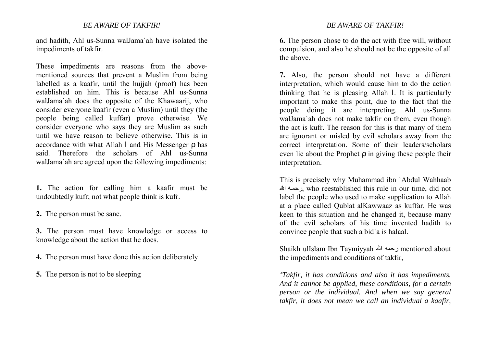and hadith, Ahl us-Sunna walJama`ah have isolated the impediments of takfir.

These impediments are reasons from the abovementioned sources that prevent a Muslim from being labelled as a kaafir, until the hujjah (proof) has been established on him. This is because Ahl us-Sunna walJama`ah does the opposite of the Khawaarij, who consider everyone kaafir (even a Muslim) until they (the people being called kuffar) prove otherwise. We consider everyone who says they are Muslim as such until we have reason to believe otherwise. This is in accordance with what Allah Ι and His Messenger ρ has said. Therefore the scholars of Ahl us-Sunna walJama`ah are agreed upon the following impediments:

**1.** The action for calling him a kaafir must be undoubtedly kufr; not what people think is kufr.

**2.** The person must be sane.

**3.** The person must have knowledge or access to knowledge about the action that he does.

**4.** The person must have done this action deliberately

**5.** The person is not to be sleeping

**6.** The person chose to do the act with free will, without compulsion, and also he should not be the opposite of all the above.

**7.** Also, the person should not have a different interpretation, which would cause him to do the action thinking that he is pleasing Allah Ι. It is particularly important to make this point, due to the fact that the people doing it are interpreting. Ahl us-Sunna walJama`ah does not make takfir on them, even though the act is kufr. The reason for this is that many of them are ignorant or misled by evil scholars away from the correct interpretation. Some of their leaders/scholars even lie about the Prophet ρ in giving these people their interpretation.

This is precisely why Muhammad ibn `Abdul Wahhaab رحمه الله, who reestablished this rule in our time, did not label the people who used to make supplication to Allah at a place called Qublat alKawwaaz as kuffar. He was keen to this situation and he changed it, because many of the evil scholars of his time invented hadith to convince people that such a bid`a is halaal.

Shaikh ulIslam Ibn Taymiyyah االله رحمه mentioned about the impediments and conditions of takfir,

*'Takfir, it has conditions and also it has impediments. And it cannot be applied, these conditions, for a certain person or the individual. And when we say general takfir, it does not mean we call an individual a kaafir,*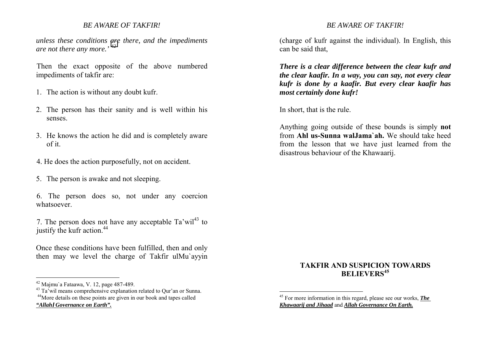*unless these conditions are there, and the impediments are not there any more.' <sup>42</sup>*

Then the exact opposite of the above numbered impediments of takfir are:

- 1. The action is without any doubt kufr.
- 2. The person has their sanity and is well within his senses.
- 3. He knows the action he did and is completely aware of it.
- 4. He does the action purposefully, not on accident.
- 5. The person is awake and not sleeping.

6. The person does so, not under any coercion whatsoever.

7. The person does not have any acceptable  $Ta'wil<sup>43</sup>$  to justify the kufr action.<sup>42</sup>

Once these conditions have been fulfilled, then and only then may we level the charge of Takfir ulMu`ayyin

#### *BE AWARE OF TAKFIR!*

(charge of kufr against the individual). In English, this can be said that,

*There is a clear difference between the clear kufr and the clear kaafir. In a way, you can say, not every clear kufr is done by a kaafir. But every clear kaafir has most certainly done kufr!*

In short, that is the rule.

Anything going outside of these bounds is simply **not**  from **Ahl us-Sunna walJama`ah.** We should take heed from the lesson that we have just learned from the disastrous behaviour of the Khawaarij.

### **TAKFIR AND SUSPICION TOWARDS BELIEVERS<sup>45</sup>**

<sup>&</sup>lt;sup>42</sup> Majmu`a Fataawa, V. 12, page 487-489.

<sup>&</sup>lt;sup>43</sup> Ta'wil means comprehensive explanation related to Qur'an or Sunna.  $^{44}$ More details on these points are given in our book and tapes called *"Allah*Ι *Governance on Earth".*

For more information in this regard, please see our works, *The* <sup>45</sup> *Khawaarij and Jihaad* and *Allah Governance On Earth.*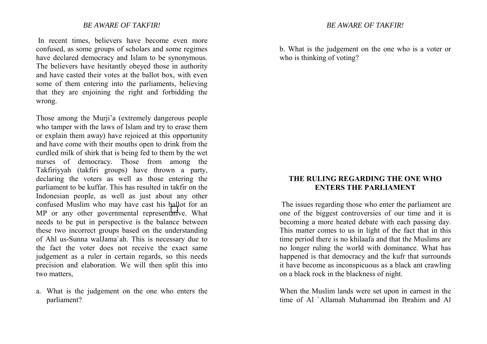In recent times, believers have become even more confused, as some groups of scholars and some regimes have declared democracy and Islam to be synonymous. The believers have hesitantly obeyed those in authority and have casted their votes at the ballot box, with even some of them entering into the parliaments, believing that they are enjoining the right and forbidding the wrong.

Those among the Murji'a (extremely dangerous people who tamper with the laws of Islam and try to erase them or explain them away) have rejoiced at this opportunity and have come with their mouths open to drink from the curdled milk of shirk that is being fed to them by the wet nurses of democracy. Those from among the Takfiriyyah (takfiri groups) have thrown a party, declaring the voters as well as those entering the parliament to be kuffar. This has resulted in takfir on the Indonesian people, as well as just about any other confused Muslim who may have cast his ballot for an MP or any other governmental representative. What needs to be put in perspective is the balance between these two incorrect groups based on the understanding of Ahl us-Sunna walJama`ah. This is necessary due to the fact the voter does not receive the exact same judgement as a ruler in certain regards, so this needs precision and elaboration. We will then split this into two matters,

a. What is the judgement on the one who enters the parliament?

b. What is the judgement on the one who is a voter or who is thinking of voting?

### **THE RULING REGARDING THE ONE WHO ENTERS THE PARLIAMENT**

 The issues regarding those who enter the parliament are one of the biggest controversies of our time and it is becoming a more heated debate with each passing day. This matter comes to us in light of the fact that in this time period there is no khilaafa and that the Muslims are no longer ruling the world with dominance. What has happened is that democracy and the kufr that surrounds it have become as inconspicuous as a black ant crawling on a black rock in the blackness of night.

When the Muslim lands were set upon in earnest in the time of Al `Allamah Muhammad ibn Ibrahim and Al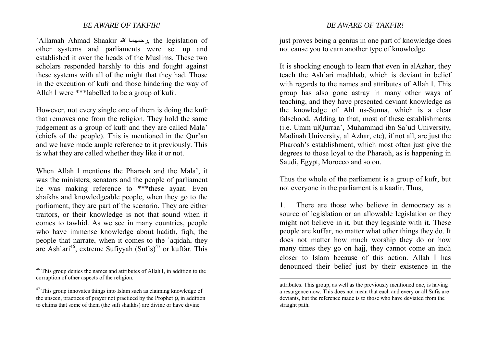`Allamah Ahmad Shaakir الله الله ), the legislation of other systems and parliaments were set up and established it over the heads of the Muslims. These two scholars responded harshly to this and fought against these systems with all of the might that they had. Those in the execution of kufr and those hindering the way of Allah Ι were \*\*\*labelled to be a group of kufr.

However, not every single one of them is doing the kufr that removes one from the religion. They hold the same judgement as a group of kufr and they are called Mala' (chiefs of the people). This is mentioned in the Qur'an and we have made ample reference to it previously. This is what they are called whether they like it or not.

When Allah Ι mentions the Pharaoh and the Mala', it was the ministers, senators and the people of parliament he was making reference to \*\*\*these ayaat. Even shaikhs and knowledgeable people, when they go to the parliament, they are part of the scenario. They are either traitors, or their knowledge is not that sound when it comes to tawhid. As we see in many countries, people who have immense knowledge about hadith, fiqh, the people that narrate, when it comes to the `aqidah, they are Ash`ari<sup>46</sup>, extreme Sufiyyah (Sufis)<sup>47</sup> or kuffar. This just proves being a genius in one part of knowledge does not cause you to earn another type of knowledge.

It is shocking enough to learn that even in alAzhar, they teach the Ash`ari madhhab, which is deviant in belief with regards to the names and attributes of Allah Ι. This group has also gone astray in many other ways of teaching, and they have presented deviant knowledge as the knowledge of Ahl us-Sunna, which is a clear falsehood. Adding to that, most of these establishments (i.e. Umm ulQurraa', Muhammad ibn Sa`ud University, Madinah University, al Azhar, etc), if not all, are just the Pharoah's establishment, which most often just give the degrees to those loyal to the Pharaoh, as is happening in Saudi, Egypt, Morocco and so on.

Thus the whole of the parliament is a group of kufr, but not everyone in the parliament is a kaafir. Thus,

1. There are those who believe in democracy as a source of legislation or an allowable legislation or they might not believe in it, but they legislate with it. These people are kuffar, no matter what other things they do. It does not matter how much worship they do or how many times they go on hajj, they cannot come an inch closer to Islam because of this action. Allah Ι has denounced their belief just by their existence in the

<sup>46</sup> This group denies the names and attributes of Allah <sup>Ι</sup>, in addition to the corruption of other aspects of the religion.

<sup>&</sup>lt;sup>47</sup> This group innovates things into Islam such as claiming knowledge of the unseen, practices of prayer not practiced by the Prophet ρ, in addition to claims that some of them (the sufi shaikhs) are divine or have divine

attributes. This group, as well as the previously mentioned one, is having a resurgence now. This does not mean that each and every or all Sufis are deviants, but the reference made is to those who have deviated from the straight path.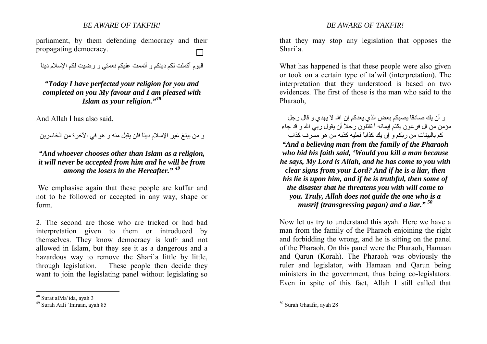parliament, by them defending democracy and their propagating democracy.

اليوم أكملت لكم دينكم <sup>و</sup> أتممت عليكم نعمتي <sup>و</sup> رضيت لكم الإسلام ديناً

*"Today I have perfected your religion for you and completed on you My favour and I am pleased with Islam as your religion."48*

And Allah Ι has also said,

<sup>و</sup> من يبتغ غير الإسلام ديناً فلن يقبل منه <sup>و</sup> هو في الآخرة من الخاسرين

## *"And whoever chooses other than Islam as a religion, it will never be accepted from him and he will be from among the losers in the Hereafter." 49*

 We emphasise again that these people are kuffar and not to be followed or accepted in any way, shape or form.

2. The second are those who are tricked or had bad interpretation given to them or introduced by themselves. They know democracy is kufr and not allowed in Islam, but they see it as a dangerous and a hazardous way to remove the Shari`a little by little, through legislation. These people then decide they want to join the legislating panel without legislating so

that they may stop any legislation that opposes the Shari`a.

What has happened is that these people were also given or took on a certain type of ta'wil (interpretation). The interpretation that they understood is based on two evidences. The first of those is the man who said to the Pharaoh,

<sup>و</sup> أن يك صادقاً يصبكم بعض الذي يعدكم إن االله لا يهدي <sup>و</sup> قال رجل مؤمن من ال فرعون يكتم إيمانه <sup>أ</sup> تقتلون رجلاً أن يقول ربي االله <sup>و</sup> قد جاء كم بالبينات من ربكم <sup>و</sup> إن يك كذاباً فعليه كذبه من هو مسرف كذاب *"And a believing man from the family of the Pharaoh who hid his faith said, 'Would you kill a man because he says, My Lord is Allah, and he has come to you with clear signs from your Lord? And if he is a liar, then his lie is upon him, and if he is truthful, then some of the disaster that he threatens you with will come to you. Truly, Allah does not guide the one who is a musrif (transgressing pagan) and a liar." 50*

Now let us try to understand this ayah. Here we have a man from the family of the Pharaoh enjoining the right and forbidding the wrong, and he is sitting on the panel of the Pharaoh. On this panel were the Pharaoh, Hamaan and Qarun (Korah). The Pharaoh was obviously the ruler and legislator, with Hamaan and Qarun being ministers in the government, thus being co-legislators. Even in spite of this fact, Allah Ι still called that

<sup>48</sup> Surat alMa'ida, ayah 3

<sup>49</sup> Surah Aali `Imraan, ayah 85

<sup>50</sup> Surah Ghaafir, ayah 28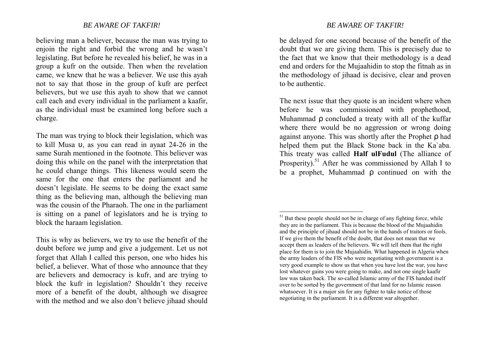believing man a believer, because the man was trying to enjoin the right and forbid the wrong and he wasn't legislating. But before he revealed his belief, he was in a group a kufr on the outside. Then when the revelation came, we knew that he was a believer. We use this ayah not to say that those in the group of kufr are perfect believers, but we use this ayah to show that we cannot call each and every individual in the parliament a kaafir, as the individual must be examined long before such a charge.

The man was trying to block their legislation, which was to kill Musa <sup>υ</sup>, as you can read in ayaat 24-26 in the same Surah mentioned in the footnote. This believer was doing this while on the panel with the interpretation that he could change things. This likeness would seem the same for the one that enters the parliament and he doesn't legislate. He seems to be doing the exact same thing as the believing man, although the believing man was the cousin of the Pharaoh. The one in the parliament is sitting on a panel of legislators and he is trying to block the haraam legislation.

This is why as believers, we try to use the benefit of the doubt before we jump and give a judgement. Let us not forget that Allah Ι called this person, one who hides his belief, a believer. What of those who announce that they are believers and democracy is kufr, and are trying to block the kufr in legislation? Shouldn't they receive more of a benefit of the doubt, although we disagree with the method and we also don't believe jihaad should

be delayed for one second because of the benefit of the doubt that we are giving them. This is precisely due to the fact that we know that their methodology is a dead end and orders for the Mujaahidin to stop the fitnah as in the methodology of jihaad is decisive, clear and proven to be authentic.

The next issue that they quote is an incident where when before he was commissioned with prophethood, Muhammad ρ concluded a treaty with all of the kuffar where there would be no aggression or wrong doing against anyone. This was shortly after the Prophet ρ had helped them put the Black Stone back in the Ka`aba. This treaty was called **Half ulFudul** (The alliance of Prosperity).<sup>5</sup><sup>1</sup> After he was commissioned by Allah Ι to be a prophet, Muhammad ρ continued on with the

<sup>&</sup>lt;sup>51</sup> But these people should not be in charge of any fighting force, while they are in the parliament. This is because the blood of the Mujaahidin and the principle of jihaad should not be in the hands of traitors or fools. If we give them the benefit of the doubt, that does not mean that we accept them as leaders of the believers. We will tell them that the right place for them is to join the Mujaahidin. What happened in Algeria when the army leaders of the FIS who were negotiating with government is a very good example to show us that when you have lost the war, you have lost whatever gains you were going to make, and not one single kaafir law was taken back. The so-called Islamic army of the FIS handed itself over to be sorted by the government of that land for no Islamic reason whatsoever. It is a major sin for any fighter to take notice of those negotiating in the parliament. It is a different war altogether.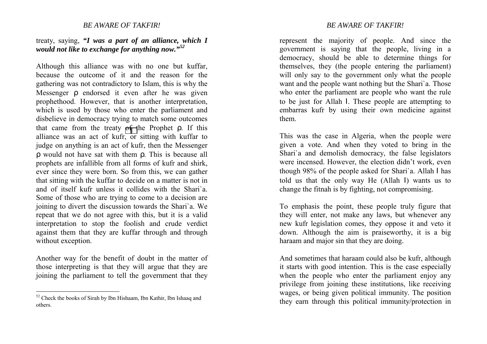## treaty, saying, *"I was a part of an alliance, which I would not like to exchange for anything now."52*

Although this alliance was with no one but kuffar, because the outcome of it and the reason for the gathering was not contradictory to Islam, this is why the Messenger ρ endorsed it even after he was given prophethood. However, that is another interpretation, which is used by those who enter the parliament and disbelieve in democracy trying to match some outcomes that came from the treaty of the Prophet ρ. If this alliance was an act of kufr, or sitting with kuffar to judge on anything is an act of kufr, then the Messenger ρ would not have sat with them ρ. This is because all prophets are infallible from all forms of kufr and shirk, ever since they were born. So from this, we can gather that sitting with the kuffar to decide on a matter is not in and of itself kufr unless it collides with the Shari`a. Some of those who are trying to come to a decision are joining to divert the discussion towards the Shari`a. We repeat that we do not agree with this, but it is a valid interpretation to stop the foolish and crude verdict against them that they are kuffar through and through without exception.

Another way for the benefit of doubt in the matter of those interpreting is that they will argue that they are joining the parliament to tell the government that they

represent the majority of people. And since the government is saying that the people, living in a democracy, should be able to determine things for themselves, they (the people entering the parliament) will only say to the government only what the people want and the people want nothing but the Shari`a. Those who enter the parliament are people who want the rule to be just for Allah Ι. These people are attempting to embarras kufr by using their own medicine against them.

This was the case in Algeria, when the people were given a vote. And when they voted to bring in the Shari`a and demolish democracy, the false legislators were incensed. However, the election didn't work, even though 98% of the people asked for Shari`a. Allah Ι has told us that the only way He (Allah Ι) wants us to change the fitnah is by fighting, not compromising.

To emphasis the point, these people truly figure that they will enter, not make any laws, but whenever any new kufr legislation comes, they oppose it and veto it down. Although the aim is praiseworthy, it is a big haraam and major sin that they are doing.

And sometimes that haraam could also be kufr, although it starts with good intention. This is the case especially when the people who enter the parliament enjoy any privilege from joining these institutions, like receiving wages, or being given political immunity. The position they earn through this political immunity/protection in

 $52$  Check the books of Sirah by Ibn Hishaam, Ibn Kathir, Ibn Ishaaq and others.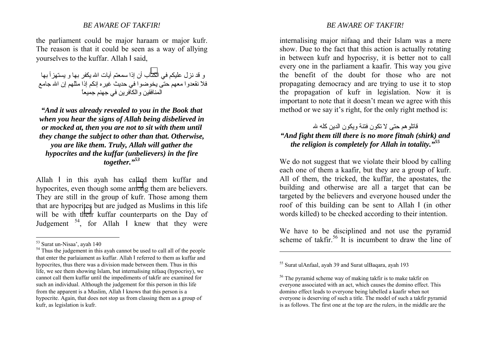the parliament could be major haraam or major kufr. The reason is that it could be seen as a way of allying yourselves to the kuffar. Allah Ι said,

و قد نزل عليكم في الكتاب أن إذا سمعتم آيات الله يكفر بها و يستهزأ بها فلا نقعدوا معهم حتى يخوضوا في حديث غيره إنكم إذا مثلهم إن االله جامع المنافقين والكافرين في جهنم جميعاً

*"And it was already revealed to you in the Book that when you hear the signs of Allah being disbelieved in or mocked at, then you are not to sit with them until they change the subject to other than that. Otherwise, you are like them. Truly, Allah will gather the hypocrites and the kuffar (unbelievers) in the fire together."53*

Allah I in this ayah has called them kuffar and hypocrites, even though some among them are believers. They are still in the group of kufr. Those among them that are hypocrites but are judged as Muslims in this life will be with their kuffar counterparts on the Day of Judgement <sup>54</sup>, for Allah I knew that they were

#### *BE AWARE OF TAKFIR!*

internalising major nifaaq and their Islam was a mere show. Due to the fact that this action is actually rotating in between kufr and hypocrisy, it is better not to call every one in the parliament a kaafir. This way you give the benefit of the doubt for those who are not propagating democracy and are trying to use it to stop the propagation of kufr in legislation. Now it is important to note that it doesn't mean we agree with this method or we say it's right, for the only right method is:

## قاتلو هم حتى لا تكون فتنة ويكون الدين كله شه *"And fight them till there is no more fitnah (shirk) and the religion is completely for Allah in totality."55*

We do not suggest that we violate their blood by calling each one of them a kaafir, but they are a group of kufr. All of them, the tricked, the kuffar, the apostates, the building and otherwise are all a target that can be targeted by the believers and everyone housed under the roof of this building can be sent to Allah Ι (in other words killed) to be checked according to their intention.

We have to be disciplined and not use the pyramid scheme of takfir.<sup>56</sup> It is incumbent to draw the line of

<sup>53</sup> Surat un-Nisaa', ayah 1<sup>40</sup>

 $54$  Thus the judgement in this ayah cannot be used to call all of the people that enter the parlaiament as kuffar. Allah Ι referred to them as kuffar and hypocrites, thus there was a division made between them. Thus in this life, we see them showing Islam, but internalising nifaaq (hypocrisy), we cannot call them kuffar until the impediments of takfir are examined for such an individual. Although the judgement for this person in this life from the apparent is a Muslim, Allah Ι knows that this person is a hypocrite. Again, that does not stop us from classing them as a group of kufr, as legislation is kufr.

<sup>55</sup> Surat ulAnfaal, ayah 39 and Surat ulBaqara, ayah 1<sup>93</sup>

 $56$  The pyramid scheme way of making takfir is to make takfir on everyone associated with an act, which causes the domino effect. This domino effect leads to everyone being labelled a kaafir when not everyone is deserving of such a title. The model of such a takfir pyramid is as follows. The first one at the top are the rulers, in the middle are the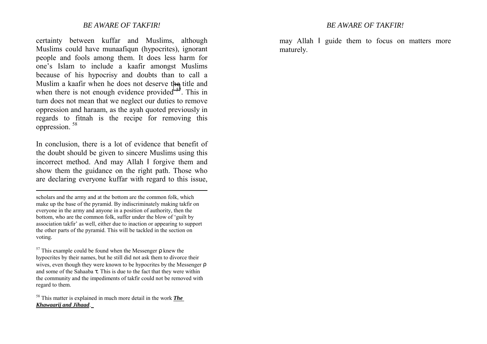certainty between kuffar and Muslims, although Muslims could have munaafiqun (hypocrites), ignorant people and fools among them. It does less harm for one's Islam to include a kaafir amongst Muslims because of his hypocrisy and doubts than to call a Muslim a kaafir when he does not deserve the title and when there is not enough evidence provided  $57$ . This in turn does not mean that we neglect our duties to remove oppression and haraam, as the ayah quoted previously in regards to fitnah is the recipe for removing this oppression. <sup>58</sup>

In conclusion, there is a lot of evidence that benefit of the doubt should be given to sincere Muslims using this incorrect method. And may Allah Ι forgive them and show them the guidance on the right path. Those who are declaring everyone kuffar with regard to this issue,

scholars and the army and at the bottom are the common folk, which make up the base of the pyramid. By indiscriminately making takfir on everyone in the army and anyone in a position of authority, then the bottom, who are the common folk, suffer under the blow of 'guilt by association takfir' as well, either due to inaction or appearing to support the other parts of the pyramid. This will be tackled in the section on voting.

 $57$  This example could be found when the Messenger ρ knew the hypocrites by their names, but he still did not ask them to divorce their wives, even though they were known to be hypocrites by the Messenger ρ and some of the Sahaaba τ. This is due to the fact that they were within the community and the impediments of takfir could not be removed with regard to them.

 This matter is explained in much more detail in the work *The* <sup>58</sup> *Khawaarij and Jihaad*.

may Allah I guide them to focus on matters more maturely.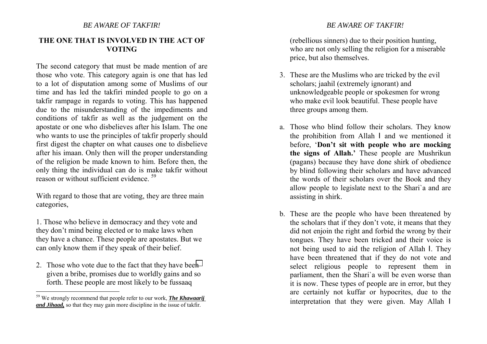#### **THE ONE THAT IS INVOLVED IN THE ACT OF VOTING**

The second category that must be made mention of are those who vote. This category again is one that has led to a lot of disputation among some of Muslims of our time and has led the takfiri minded people to go on a takfir rampage in regards to voting. This has happened due to the misunderstanding of the impediments and conditions of takfir as well as the judgement on the apostate or one who disbelieves after his Islam. The one who wants to use the principles of takfir properly should first digest the chapter on what causes one to disbelieve after his imaan. Only then will the proper understanding of the religion be made known to him. Before then, the only thing the individual can do is make takfir without reason or without sufficient evidence. <sup>59</sup>

With regard to those that are voting, they are three main categories,

1. Those who believe in democracy and they vote and they don't mind being elected or to make laws when they have a chance. These people are apostates. But we can only know them if they speak of their belief.

2. Those who vote due to the fact that they have been given a bribe, promises due to worldly gains and so forth. These people are most likely to be fussaaq

#### *BE AWARE OF TAKFIR!*

(rebellious sinners) due to their position hunting, who are not only selling the religion for a miserable price, but also themselves.

- 3. These are the Muslims who are tricked by the evil scholars; jaahil (extremely ignorant) and unknowledgeable people or spokesmen for wrong who make evil look beautiful. These people have three groups among them.
- a. Those who blind follow their scholars. They know the prohibition from Allah Ι and we mentioned it before, '**Don't sit with people who are mocking the signs of Allah.'** These people are Mushrikun (pagans) because they have done shirk of obedience by blind following their scholars and have advanced the words of their scholars over the Book and they allow people to legislate next to the Shari`a and are assisting in shirk.
- b. These are the people who have been threatened by the scholars that if they don't vote, it means that they did not enjoin the right and forbid the wrong by their tongues. They have been tricked and their voice is not being used to aid the religion of Allah Ι. They have been threatened that if they do not vote and select religious people to represent them in parliament, then the Shari`a will be even worse than it is now. These types of people are in error, but they are certainly not kuffar or hypocrites, due to the interpretation that they were given. May Allah Ι

We strongly recommend that people refer to our work, *The Khawaarij* <sup>59</sup> *and Jihaad*, so that they may gain more discipline in the issue of takfir.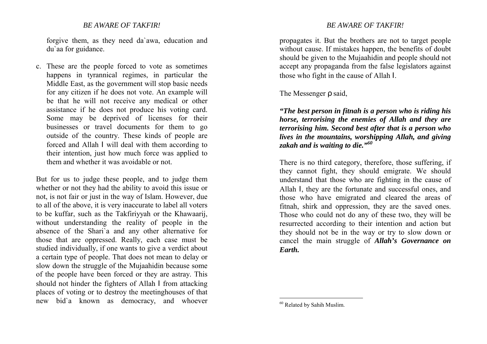forgive them, as they need da`awa, education and du`aa for guidance.

c. These are the people forced to vote as sometimes happens in tyrannical regimes, in particular the Middle East, as the government will stop basic needs for any citizen if he does not vote. An example will be that he will not receive any medical or other assistance if he does not produce his voting card. Some may be deprived of licenses for their businesses or travel documents for them to go outside of the country. These kinds of people are forced and Allah Ι will deal with them according to their intention, just how much force was applied to them and whether it was avoidable or not.

But for us to judge these people, and to judge them whether or not they had the ability to avoid this issue or not, is not fair or just in the way of Islam. However, due to all of the above, it is very inaccurate to label all voters to be kuffar, such as the Takfiriyyah or the Khawaarij, without understanding the reality of people in the absence of the Shari`a and any other alternative for those that are oppressed. Really, each case must be studied individually, if one wants to give a verdict about a certain type of people. That does not mean to delay or slow down the struggle of the Mujaahidin because some of the people have been forced or they are astray. This should not hinder the fighters of Allah I from attacking places of voting or to destroy the meetinghouses of that new bid`a known as democracy, and whoever

*BE AWARE OF TAKFIR!* 

propagates it. But the brothers are not to target people without cause. If mistakes happen, the benefits of doubt should be given to the Mujaahidin and people should not accept any propaganda from the false legislators against those who fight in the cause of Allah Ι.

### The Messenger ρ said,

*"The best person in fitnah is a person who is riding his horse, terrorising the enemies of Allah and they are terrorising him. Second best after that is a person who lives in the mountains, worshipping Allah, and giving zakah and is waiting to die."<sup>60</sup>*

There is no third category, therefore, those suffering, if they cannot fight, they should emigrate. We should understand that those who are fighting in the cause of Allah Ι, they are the fortunate and successful ones, and those who have emigrated and cleared the areas of fitnah, shirk and oppression, they are the saved ones. Those who could not do any of these two, they will be resurrected according to their intention and action but they should not be in the way or try to slow down or cancel the main struggle of *Allah's Governance on Earth.*

<sup>60</sup> Related by Sahih Muslim.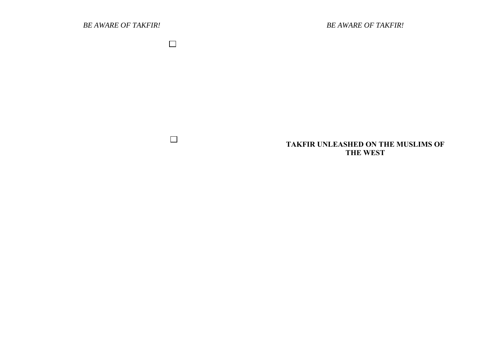*BE AWARE OF TAKFIR! BE AWARE OF TAKFIR!* 

**TAKFIR UNLEASHED ON THE MUSLIMS OF THE WEST**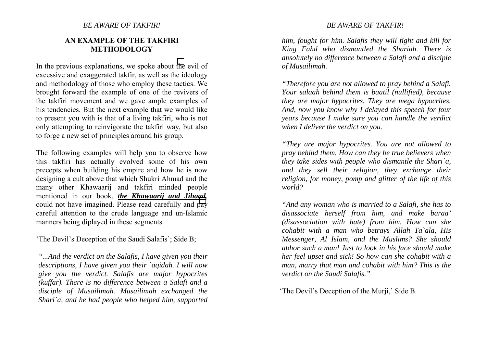## **AN EXAMPLE OF THE TAKFIRI METHODOLOGY**

In the previous explanations, we spoke about the evil of excessive and exaggerated takfir, as well as the ideology and methodology of those who employ these tactics. We brought forward the example of one of the revivers of the takfiri movement and we gave ample examples of his tendencies. But the next example that we would like to present you with is that of a living takfiri, who is not only attempting to reinvigorate the takfiri way, but also to forge a new set of principles around his group.

The following examples will help you to observe how this takfiri has actually evolved some of his own precepts when building his empire and how he is now designing a cult above that which Shukri Ahmad and the many other Khawaarij and takfiri minded people mentioned in our book, *the Khawaarij and Jihaad*, could not have imagined. Please read carefully and pay careful attention to the crude language and un-Islamic manners being diplayed in these segments.

'The Devil's Deception of the Saudi Salafis'; Side B;

*"...And the verdict on the Salafis, I have given you their descriptions, I have given you their `aqidah. I will now give you the verdict. Salafis are major hypocrites (kuffar). There is no difference between a Salafi and a disciple of Musailimah. Musailimah exchanged the Shari`a, and he had people who helped him, supported* 

#### *BE AWARE OF TAKFIR!*

*him, fought for him. Salafis they will fight and kill for King Fahd who dismantled the Shariah. There is absolutely no difference between a Salafi and a disciple of Musailimah.* 

*"Therefore you are not allowed to pray behind a Salafi. Your salaah behind them is baatil (nullified), because they are major hypocrites. They are mega hypocrites. And, now you know why I delayed this speech for four years because I make sure you can handle the verdict when I deliver the verdict on you.* 

*"They are major hypocrites. You are not allowed to pray behind them. How can they be true believers when they take sides with people who dismantle the Shari`a, and they sell their religion, they exchange their religion, for money, pomp and glitter of the life of this world?* 

*"And any woman who is married to a Salafi, she has to disassociate herself from him, and make baraa' (disassociation with hate) from him. How can she cohabit with a man who betrays Allah Ta`ala, His Messenger, Al Islam, and the Muslims? She should abhor such a man! Just to look in his face should make her feel upset and sick! So how can she cohabit with a man, marry that man and cohabit with him? This is the verdict on the Saudi Salafis."* 

'The Devil's Deception of the Murji,' Side B.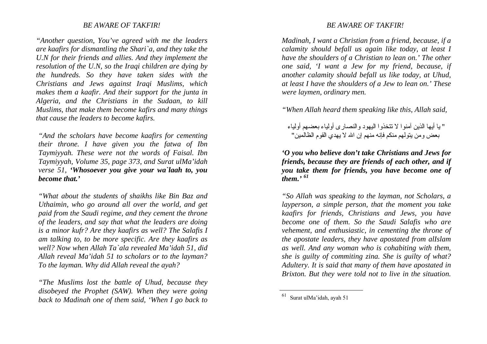*"Another question, You've agreed with me the leaders are kaafirs for dismantling the Shari`a, and they take the U.N for their friends and allies. And they implement the resolution of the U.N, so the Iraqi children are dying by the hundreds. So they have taken sides with the Christians and Jews against Iraqi Muslims, which makes them a kaafir. And their support for the junta in Algeria, and the Christians in the Sudaan, to kill Muslims, that make them become kafirs and many things that cause the leaders to become kafirs.* 

*"And the scholars have become kaafirs for cementing their throne. I have given you the fatwa of Ibn Taymiyyah. These were not the words of Faisal. Ibn Taymiyyah, Volume 35, page 373, and Surat ulMa'idah verse 51, 'Whosoever you give your wa`laah to, you become that.'* 

*"What about the students of shaikhs like Bin Baz and Uthaimin, who go around all over the world, and get paid from the Saudi regime, and they cement the throne of the leaders, and say that what the leaders are doing is a minor kufr? Are they kaafirs as well? The Salafis I am talking to, to be more specific. Are they kaafirs as well? Now when Allah Ta`ala revealed Ma'idah 51, did Allah reveal Ma'idah 51 to scholars or to the layman? To the layman. Why did Allah reveal the ayah?* 

*"The Muslims lost the battle of Uhud, because they disobeyed the Prophet (SAW). When they were going back to Madinah one of them said, 'When I go back to* 

#### *BE AWARE OF TAKFIR!*

*Madinah, I want a Christian from a friend, because, if a calamity should befall us again like today, at least I have the shoulders of a Christian to lean on.' The other one said, 'I want a Jew for my friend, because, if another calamity should befall us like today, at Uhud, at least I have the shoulders of a Jew to lean on.' These were laymen, ordinary men.* 

*"When Allah heard them speaking like this, Allah said,* 

" يا أيها الذين آمنوا لا تتخذوا اليهود والنصارى أولياء بعضهم أولياء بعض ومن يتولهم منكم فإنه منهم إن االله لا يهدي القوم الظالمين "

*'O you who believe don't take Christians and Jews for friends, because they are friends of each other, and if you take them for friends, you have become one of them.' <sup>61</sup>*

*"So Allah was speaking to the layman, not Scholars, a layperson, a simple person, that the moment you take kaafirs for friends, Christians and Jews, you have become one of them. So the Saudi Salafis who are vehement, and enthusiastic, in cementing the throne of the apostate leaders, they have apostated from alIslam as well. And any woman who is cohabiting with them, she is guilty of commiting zina. She is guilty of what? Adultery. It is said that many of them have apostated in Brixton. But they were told not to live in the situation.* 

<sup>&</sup>lt;sup>61</sup> Surat ulMa'idah, ayah 51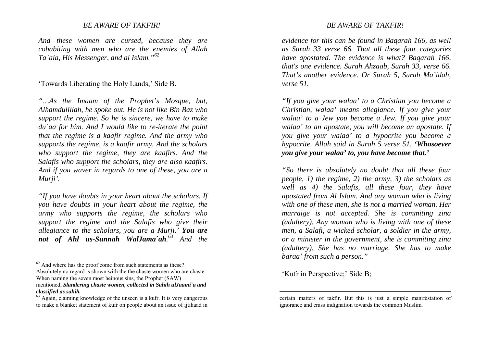*And these women are cursed, because they are cohabiting with men who are the enemies of Allah Ta`ala, His Messenger, and al Islam."<sup>62</sup>*

### 'Towards Liberating the Holy Lands,' Side B.

*"…As the Imaam of the Prophet's Mosque, but, Alhamdulillah, he spoke out. He is not like Bin Baz who support the regime. So he is sincere, we have to make du`aa for him. And I would like to re-iterate the point that the regime is a kaafir regime. And the army who supports the regime, is a kaafir army. And the scholars who support the regime, they are kaafirs. And the Salafis who support the scholars, they are also kaafirs. And if you waver in regards to one of these, you are a Murji'.* 

*"If you have doubts in your heart about the scholars. If you have doubts in your heart about the regime, the army who supports the regime, the scholars who support the regime and the Salafis who give their allegiance to the scholars, you are a Murji.' You are not of Ahl us-Sunnah WalJama`ah.63 And the* 

#### *BE AWARE OF TAKFIR!*

*evidence for this can be found in Baqarah 166, as well as Surah 33 verse 66. That all these four categories have apostated. The evidence is what? Baqarah 166, that's one evidence. Surah Ahzaab, Surah 33, verse 66. That's another evidence. Or Surah 5, Surah Ma'idah, verse 51.* 

*"If you give your walaa' to a Christian you become a Christian, walaa' means allegiance. If you give your walaa' to a Jew you become a Jew. If you give your walaa' to an apostate, you will become an apostate. If you give your walaa' to a hypocrite you become a hypocrite. Allah said in Surah 5 verse 51, 'Whosoever you give your walaa' to, you have become that.'* 

*"So there is absolutely no doubt that all these four people, 1) the regime, 2) the army, 3) the scholars as well as 4) the Salafis, all these four, they have apostated from Al Islam. And any woman who is living with one of these men, she is not a married woman. Her marraige is not accepted. She is commiting zina (adultery). Any woman who is living with one of these men, a Salafi, a wicked scholar, a soldier in the army, or a minister in the government, she is commiting zina (adultery). She has no marriage. She has to make baraa' from such a person."* 

'Kufr in Perspective;' Side B;

 $62$  And where has the proof come from such statements as these? Absolutely no regard is shown with the the chaste women who are chaste. When naming the seven most heinous sins, the Prophet (SAW) mentioned, *Slandering chaste women, collected in Sahih ulJaami`a and classified as sahih.*

 $63$  Again, claiming knowledge of the unseen is a kufr. It is very dangerous to make a blanket statement of kufr on people about an issue of ijtihaad in

certain matters of takfir. But this is just a simple manifestation of ignorance and crass indignation towards the common Muslim.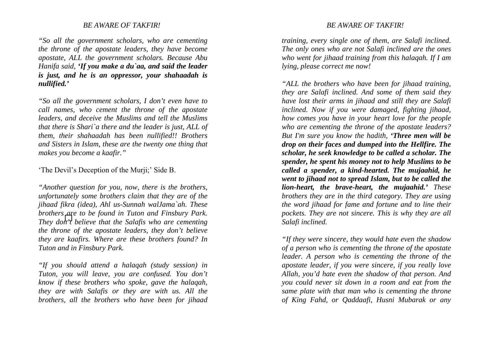*"So all the government scholars, who are cementing the throne of the apostate leaders, they have become apostate, ALL the government scholars. Because Abu Hanifa said, 'If you make a du`aa, and said the leader is just, and he is an oppressor, your shahaadah is nullified.'* 

*"So all the government scholars, I don't even have to call names, who cement the throne of the apostate leaders, and deceive the Muslims and tell the Muslims that there is Shari`a there and the leader is just, ALL of them, their shahaadah has been nullified!! Brothers and Sisters in Islam, these are the twenty one thing that makes you become a kaafir."*

### 'The Devil's Deception of the Murji;' Side B.

*"Another question for you, now, there is the brothers, unfortunately some brothers claim that they are of the jihaad fikra (idea), Ahl us-Sunnah walJama`ah. These brothers are to be found in Tuton and Finsbury Park. They don't believe that the Salafis who are cementing the throne of the apostate leaders, they don't believe they are kaafirs. Where are these brothers found? In Tuton and in Finsbury Park.* 

*"If you should attend a halaqah (study session) in Tuton, you will leave, you are confused. You don't know if these brothers who spoke, gave the halaqah, they are with Salafis or they are with us. All the brothers, all the brothers who have been for jihaad* 

#### *BE AWARE OF TAKFIR!*

*training, every single one of them, are Salafi inclined. The only ones who are not Salafi inclined are the ones who went for jihaad training from this halaqah. If I am lying, please correct me now!* 

*"ALL the brothers who have been for jihaad training, they are Salafi inclined. And some of them said they have lost their arms in jihaad and still they are Salafi inclined. Now if you were damaged, fighting jihaad, how comes you have in your heart love for the people who are cementing the throne of the apostate leaders? But I'm sure you know the hadith, 'Three men will be drop on their faces and dumped into the Hellfire. The scholar, he seek knowledge to be called a scholar. The spender, he spent his money not to help Muslims to be called a spender, a kind-hearted. The mujaahid, he went to jihaad not to spread Islam, but to be called the lion-heart, the brave-heart, the mujaahid.' These brothers they are in the third category. They are using the word jihaad for fame and fortune and to line their pockets. They are not sincere. This is why they are all Salafi inclined.* 

*"If they were sincere, they would hate even the shadow of a person who is cementing the throne of the apostate leader. A person who is cementing the throne of the apostate leader, if you were sincere, if you really love Allah, you'd hate even the shadow of that person. And you could never sit down in a room and eat from the same plate with that man who is cementing the throne of King Fahd, or Qaddaafi, Husni Mubarak or any*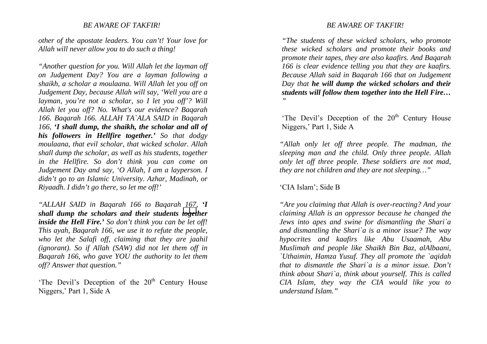*other of the apostate leaders. You can't! Your love for Allah will never allow you to do such a thing!* 

*"Another question for you. Will Allah let the layman off on Judgement Day? You are a layman following a shaikh, a scholar a moulaana. Will Allah let you off on Judgement Day, because Allah will say, 'Well you are a layman, you're not a scholar, so I let you off'? Will Allah let you off? No. What's our evidence? Baqarah 166. Baqarah 166. ALLAH TA`ALA SAID in Baqarah 166, 'I shall dump, the shaikh, the scholar and all of his followers in Hellfire together.' So that dodgy moulaana, that evil scholar, that wicked scholar. Allah shall dump the scholar, as well as his students, together in the Hellfire. So don't think you can come on Judgement Day and say, 'O Allah, I am a layperson. I didn't go to an Islamic University. Azhar, Madinah, or Riyaadh. I didn't go there, so let me off!'* 

*"ALLAH SAID in Baqarah 166 to Baqarah 167, 'I shall dump the scholars and their students together inside the Hell Fire.' So don't think you can be let off! This ayah, Baqarah 166, we use it to refute the people, who let the Salafi off, claiming that they are jaahil (ignorant). So if Allah (SAW) did not let them off in Baqarah 166, who gave YOU the authority to let them off? Answer that question."* 

'The Devil's Deception of the  $20<sup>th</sup>$  Century House Niggers,' Part 1, Side A

#### *BE AWARE OF TAKFIR!*

*"The students of these wicked scholars, who promote these wicked scholars and promote their books and promote their tapes, they are also kaafirs. And Baqarah 166 is clear evidence telling you that they are kaafirs. Because Allah said in Baqarah 166 that on Judgement Day that he will dump the wicked scholars and their students will follow them together into the Hell Fire… "* 

'The Devil's Deception of the  $20<sup>th</sup>$  Century House Niggers,' Part 1, Side A

*"Allah only let off three people. The madman, the sleeping man and the child. Only three people. Allah only let off three people. These soldiers are not mad, they are not children and they are not sleeping…"* 

'CIA Islam'; Side B

*"Are you claiming that Allah is over-reacting? And your claiming Allah is an oppressor because he changed the Jews into apes and swine for dismantling the Shari`a and dismantling the Shari`a is a minor issue? The way hypocrites and kaafirs like Abu Usaamah, Abu Muslimah and people like Shaikh Bin Baz, alAlbaani, `Uthaimin, Hamza Yusuf. They all promote the `aqidah that to dismantle the Shari`a is a minor issue. Don't think about Shari`a, think about yourself. This is called CIA Islam, they way the CIA would like you to understand Islam."*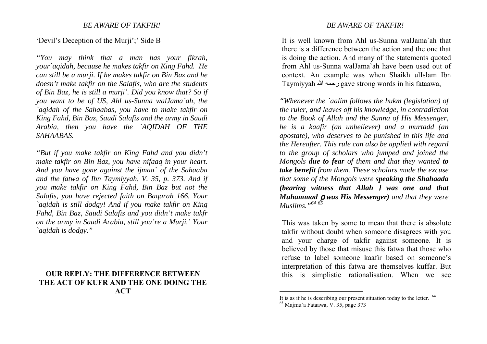## 'Devil's Deception of the Murji';' Side B

*"You may think that a man has your fikrah, your`aqidah, because he makes takfir on King Fahd. He can still be a murji. If he makes takfir on Bin Baz and he doesn't make takfir on the Salafis, who are the students of Bin Baz, he is still a murji'. Did you know that? So if you want to be of US, Ahl us-Sunna walJama`ah, the `aqidah of the Sahaabas, you have to make takfir on King Fahd, Bin Baz, Saudi Salafis and the army in Saudi Arabia, then you have the `AQIDAH OF THE SAHAABAS.* 

*"But if you make takfir on King Fahd and you didn't make takfir on Bin Baz, you have nifaaq in your heart. And you have gone against the ijmaa` of the Sahaaba and the fatwa of Ibn Taymiyyah, V. 35, p. 373. And if you make takfir on King Fahd, Bin Baz but not the Salafis, you have rejected faith on Baqarah 166. Your `aqidah is still dodgy! And if you make takfir on King Fahd, Bin Baz, Saudi Salafis and you didn't make takfr on the army in Saudi Arabia, still you're a Murji.' Your `aqidah is dodgy."* 

# **OUR REPLY: THE DIFFERENCE BETWEEN THE ACT OF KUFR AND THE ONE DOING THE ACT**

### *BE AWARE OF TAKFIR!*

It is well known from Ahl us-Sunna walJama`ah that there is a difference between the action and the one that is doing the action. And many of the statements quoted from Ahl us-Sunna walJama`ah have been used out of context. An example was when Shaikh ulIslam Ibn Taymiyyah رحمه الله gave strong words in his fataawa,

*"Whenever the `aalim follows the hukm (legislation) of the ruler, and leaves off his knowledge, in contradiction to the Book of Allah and the Sunna of His Messenger, he is a kaafir (an unbeliever) and a murtadd (an apostate), who deserves to be punished in this life and the Hereafter. This rule can also be applied with regard to the group of scholars who jumped and joined the Mongols due to fear of them and that they wanted to take benefit from them. These scholars made the excuse that some of the Mongols were speaking the Shahaada (bearing witness that Allah*  Ι *was one and that Muhammad*  ρ *was His Messenger) and that they were Muslims."<sup>64</sup> <sup>65</sup>*

This was taken by some to mean that there is absolute takfir without doubt when someone disagrees with you and your charge of takfir against someone. It is believed by those that misuse this fatwa that those who refuse to label someone kaafir based on someone's interpretation of this fatwa are themselves kuffar. But this is simplistic rationalisation. When we see

It is as if he is describing our present situation today to the letter.  $64$ 

<sup>65</sup> Majmu`a Fataawa, V. 35, page 373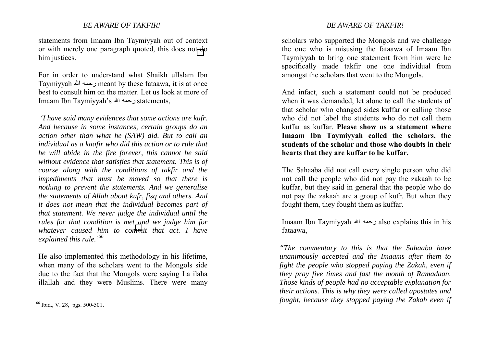statements from Imaam Ibn Taymiyyah out of context or with merely one paragraph quoted, this does not do him justices.

For in order to understand what Shaikh ulIslam Ibn Taymiyyah رحمه الله meant by these fataawa, it is at once best to consult him on the matter. Let us look at more of Imaam Ibn Taymiyyah's الله statements,

*'I have said many evidences that some actions are kufr. And because in some instances, certain groups do an action other than what he (SAW) did. But to call an individual as a kaafir who did this action or to rule that he will abide in the fire forever, this cannot be said without evidence that satisfies that statement. This is of course along with the conditions of takfir and the impediments that must be moved so that there is nothing to prevent the statements. And we generalise the statements of Allah about kufr, fisq and others. And it does not mean that the individual becomes part of that statement. We never judge the individual until the rules for that condition is met and we judge him for whatever caused him to commit that act. I have explained this rule.'<sup>66</sup>*

He also implemented this methodology in his lifetime, when many of the scholars went to the Mongols side due to the fact that the Mongols were saying La ilaha illallah and they were Muslims. There were many

### *BE AWARE OF TAKFIR!*

scholars who supported the Mongols and we challenge the one who is misusing the fataawa of Imaam Ibn Taymiyyah to bring one statement from him were he specifically made takfir one one individual from amongst the scholars that went to the Mongols.

And infact, such a statement could not be produced when it was demanded, let alone to call the students of that scholar who changed sides kuffar or calling those who did not label the students who do not call them kuffar as kuffar. **Please show us a statement where Imaam Ibn Taymiyyah called the scholars, the students of the scholar and those who doubts in their hearts that they are kuffar to be kuffar.**

The Sahaaba did not call every single person who did not call the people who did not pay the zakaah to be kuffar, but they said in general that the people who do not pay the zakaah are a group of kufr. But when they fought them, they fought them as kuffar.

Imaam Ibn Taymiyyah رحمه الله also explains this in his fataawa,

*"The commentary to this is that the Sahaaba have unanimously accepted and the Imaams after them to fight the people who stopped paying the Zakah, even if they pray five times and fast the month of Ramadaan. Those kinds of people had no acceptable explanation for their actions. This is why they were called apostates and fought, because they stopped paying the Zakah even if* 

<sup>66</sup> Ibid., V. 28, pgs. 500-50<sup>1</sup>.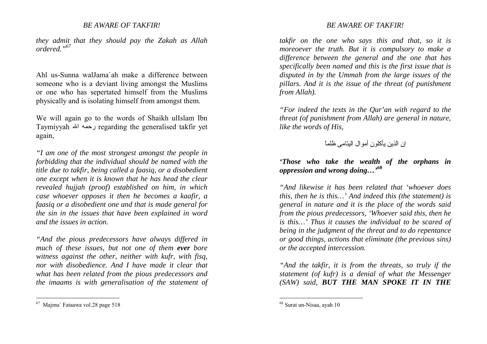*they admit that they should pay the Zakah as Allah ordered."<sup>67</sup>*

Ahl us-Sunna walJama`ah make a difference between someone who is a deviant living amongst the Muslims or one who has sepertated himself from the Muslims physically and is isolating himself from amongst them.

We will again go to the words of Shaikh ulIslam Ibn Taymiyyah االله رحمه regarding the generalised takfir yet again,

*"I am one of the most strongest amongst the people in forbidding that the individual should be named with the title due to takfir, being called a faasiq, or a disobedient one except when it is known that he has head the clear revealed hujjah (proof) established on him, in which case whoever opposes it then he becomes a kaafir, a faasiq or a disobedient one and that is made general for the sin in the issues that have been explained in word and the issues in action.* 

*"And the pious predecessors have always differed in much of these issues, but not one of them ever bore witness against the other, neither with kufr, with fisq, nor with disobedience. And I have made it clear that what has been related from the pious predecessors and the imaams is with generalisation of the statement of* 

### *BE AWARE OF TAKFIR!*

*takfir on the one who says this and that, so it is moreoever the truth. But it is compulsory to make a difference between the general and the one that has specifically been named and this is the first issue that is disputed in by the Ummah from the large issues of the pillars. And it is the issue of the threat (of punishment from Allah).* 

*"For indeed the texts in the Qur'an with regard to the threat (of punishment from Allah) are general in nature, like the words of His,* 

# إن الذين يأكلون أموال اليتامى ظلماً

## *'Those who take the wealth of the orphans in oppression and wrong doing…'***<sup>68</sup>**

*"And likewise it has been related that 'whoever does this, then he is this…' And indeed this (the statement) is general in nature and it is the place of the words said from the pious predecessors, 'Whoever said this, then he is this…' Thus it causes the individual to be scared of being in the judgment of the threat and to do repentance or good things, actions that eliminate (the previous sins) or the accepted intercession.* 

*"And the takfir, it is from the threats, so truly if the statement (of kufr) is a denial of what the Messenger (SAW) said, BUT THE MAN SPOKE IT IN THE* 

<sup>67</sup> Majmu` Fataawa vol.28 page 51<sup>8</sup>

<sup>68</sup> Surat un-Nisaa, ayah 10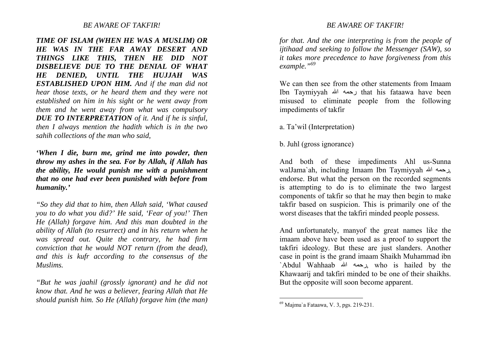*TIME OF ISLAM (WHEN HE WAS A MUSLIM) OR HE WAS IN THE FAR AWAY DESERT AND THINGS LIKE THIS, THEN HE DID NOT DISBELIEVE DUE TO THE DENIAL OF WHAT HE DENIED, UNTIL THE HUJJAH WAS ESTABLISHED UPON HIM. And if the man did not hear those texts, or he heard them and they were not established on him in his sight or he went away from them and he went away from what was compulsory DUE TO INTERPRETATION of it. And if he is sinful, then I always mention the hadith which is in the two sahih collections of the man who said,* 

*'When I die, burn me, grind me into powder, then throw my ashes in the sea. For by Allah, if Allah has the ability, He would punish me with a punishment that no one had ever been punished with before from humanity.'* 

*"So they did that to him, then Allah said, 'What caused you to do what you did?' He said, 'Fear of you!' Then He (Allah) forgave him. And this man doubted in the ability of Allah (to resurrect) and in his return when he was spread out. Quite the contrary, he had firm conviction that he would NOT return (from the dead), and this is kufr according to the consensus of the Muslims.* 

*"But he was jaahil (grossly ignorant) and he did not know that. And he was a believer, fearing Allah that He should punish him. So He (Allah) forgave him (the man)* 

*for that. And the one interpreting is from the people of ijtihaad and seeking to follow the Messenger (SAW), so it takes more precedence to have forgiveness from this example."<sup>69</sup>*

We can then see from the other statements from Imaam Ibn Taymiyyah رحمه الله that his fataawa have been misused to eliminate people from the following impediments of takfir

a. Ta'wil (Interpretation)

b. Juhl (gross ignorance)

And both of these impediments Ahl us-Sunna walJama`ah, including Imaam Ibn Taymiyyah المرحمه الله endorse. But what the person on the recorded segments is attempting to do is to eliminate the two largest components of takfir so that he may then begin to make takfir based on suspicion. This is primarily one of the worst diseases that the takfiri minded people possess.

And unfortunately, manyof the great names like the imaam above have been used as a proof to support the takfiri ideology. But these are just slanders. Another case in point is the grand imaam Shaikh Muhammad ibn `Abdul Wahhaab رحمه الله, who is hailed by the Khawaarij and takfiri minded to be one of their shaikhs. But the opposite will soon become apparent.

<sup>69</sup> Majmu`a Fataawa, V. 3, pgs. 219-231.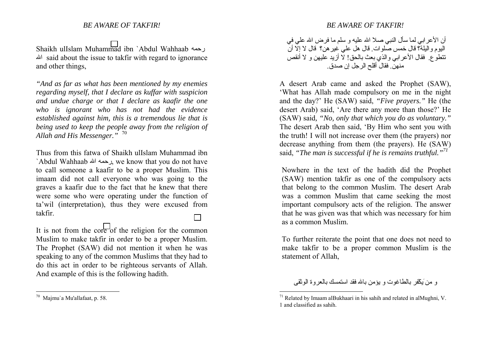Shaikh ulIslam Muhammad ibn `Abdul Wahhaab رحمه االله said about the issue to takfir with regard to ignorance and other things,

*"And as far as what has been mentioned by my enemies regarding myself, that I declare as kuffar with suspicion and undue charge or that I declare as kaafir the one who is ignorant who has not had the evidence established against him, this is a tremendous lie that is being used to keep the people away from the religion of Allah and His Messenger."* <sup>70</sup>

Thus from this fatwa of Shaikh ulIslam Muhammad ibn `Abdul Wahhaab الرحمه الله, we know that you do not have to call someone a kaafir to be a proper Muslim. This imaam did not call everyone who was going to the graves a kaafir due to the fact that he knew that there were some who were operating under the function of ta'wil (interpretation), thus they were excused from takfir.

It is not from the core of the religion for the common Muslim to make takfir in order to be a proper Muslim. The Prophet (SAW) did not mention it when he was speaking to any of the common Muslims that they had to do this act in order to be righteous servants of Allah. And example of this is the following hadith.

أن الأعرابي لما سأل النبي صلا االله عليه <sup>و</sup> سلم ما فرض االله علي في اليوم واليلة؟ قال خمس صلوات. قال هل علي غيرهن؟ قال لا إلا أن تتطوع. فقال الأعرابي والذي بعث بالحق! لا أزيد عليهن <sup>و</sup> لا أنقص منهن. فقال أقلح الرجل إن صدق .

A desert Arab came and asked the Prophet (SAW), 'What has Allah made compulsory on me in the night and the day?' He (SAW) said, *"Five prayers."* He (the desert Arab) said, 'Are there any more than those?' He (SAW) said*, "No, only that which you do as voluntary."* The desert Arab then said, 'By Him who sent you with the truth! I will not increase over them (the prayers) nor decrease anything from them (the prayers). He (SAW) said, *"The man is successful if he is remains truthful."<sup>71</sup>*

Nowhere in the text of the hadith did the Prophet (SAW) mention takfir as one of the compulsory acts that belong to the common Muslim. The desert Arab was a common Muslim that came seeking the most important compulsory acts of the religion. The answer that he was given was that which was necessary for him as a common Muslim.

To further reiterate the point that one does not need to make takfir to be a proper common Muslim is the statement of Allah,

<sup>و</sup> منَيكْفر بالطاغوت <sup>و</sup> يؤمن باالله فقد استمسك بالعروة الوثقى

<sup>70</sup> Majmu`a Mu'allafaat, p. 58.

 $71$  Related by Imaam alBukhaari in his sahih and related in alMughni, V. 1 and classified as sahih.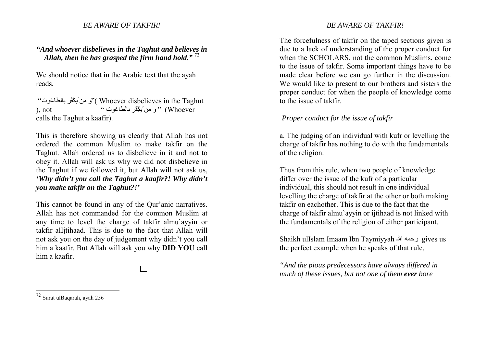# *"And whoever disbelieves in the Taghut and believes in Allah, then he has grasped the firm hand hold."* <sup>72</sup>

We should notice that in the Arabic text that the ayah reads,

 Taghut the in disbelieves Whoever"( <sup>و</sup> منَيكْفُر بالطاغوت" Whoever " (<sup>و</sup> منُيكَِفّر بالطاغوت " not ,) calls the Taghut a kaafir).

This is therefore showing us clearly that Allah has not ordered the common Muslim to make takfir on the Taghut. Allah ordered us to disbelieve in it and not to obey it. Allah will ask us why we did not disbelieve in the Taghut if we followed it, but Allah will not ask us, *'Why didn't you call the Taghut a kaafir?! Why didn't you make takfir on the Taghut?!'*

This cannot be found in any of the Qur'anic narratives. Allah has not commanded for the common Muslim at any time to level the charge of takfir almu`ayyin or takfir alIjtihaad. This is due to the fact that Allah will not ask you on the day of judgement why didn't you call him a kaafir. But Allah will ask you why **DID YOU** call him a kaafir.

## *BE AWARE OF TAKFIR!*

The forcefulness of takfir on the taped sections given is due to a lack of understanding of the proper conduct for when the SCHOLARS, not the common Muslims, come to the issue of takfir. Some important things have to be made clear before we can go further in the discussion. We would like to present to our brothers and sisters the proper conduct for when the people of knowledge come to the issue of takfir.

## *Proper conduct for the issue of takfir*

a. The judging of an individual with kufr or levelling the charge of takfir has nothing to do with the fundamentals of the religion.

Thus from this rule, when two people of knowledge differ over the issue of the kufr of a particular individual, this should not result in one individual levelling the charge of takfir at the other or both making takfir on eachother. This is due to the fact that the charge of takfir almu`ayyin or ijtihaad is not linked with the fundamentals of the religion of either participant.

Shaikh ulIslam Imaam Ibn Taymiyyah االله رحمه gives us the perfect example when he speaks of that rule,

*"And the pious predecessors have always differed in much of these issues, but not one of them ever bore* 

 $72$  Surat ulBaqarah, ayah 256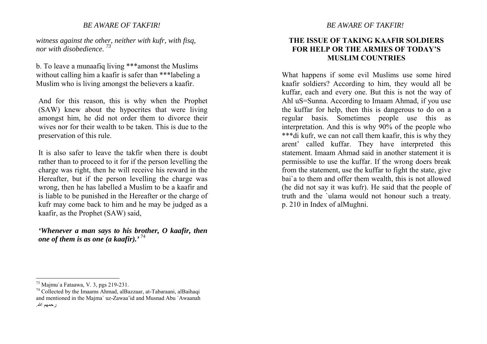*witness against the other, neither with kufr, with fisq, nor with disobedience. <sup>73</sup>*

b. To leave a munaafiq living \*\*\*amonst the Muslims without calling him a kaafir is safer than \*\*\*labeling a Muslim who is living amongst the believers a kaafir.

And for this reason, this is why when the Prophet (SAW) knew about the hypocrites that were living amongst him, he did not order them to divorce their wives nor for their wealth to be taken. This is due to the preservation of this rule.

It is also safer to leave the takfir when there is doubt rather than to proceed to it for if the person levelling the charge was right, then he will receive his reward in the Hereafter, but if the person levelling the charge was wrong, then he has labelled a Muslim to be a kaafir and is liable to be punished in the Hereafter or the charge of kufr may come back to him and he may be judged as a kaafir, as the Prophet (SAW) said,

*'Whenever a man says to his brother, O kaafir, then one of them is as one (a kaafir).'*<sup>74</sup>

# **THE ISSUE OF TAKING KAAFIR SOLDIERS FOR HELP OR THE ARMIES OF TODAY'S MUSLIM COUNTRIES**

What happens if some evil Muslims use some hired kaafir soldiers? According to him, they would all be kuffar, each and every one. But this is not the way of Ahl uS=Sunna. According to Imaam Ahmad, if you use the kuffar for help, then this is dangerous to do on a regular basis. Sometimes people use this as interpretation. And this is why 90% of the people who \*\*\*di kufr, we can not call them kaafir, this is why they arent' called kuffar. They have interpreted this statement. Imaam Ahmad said in another statement it is permissible to use the kuffar. If the wrong doers break from the statement, use the kuffar to fight the state, give bai`a to them and offer them wealth, this is not allowed (he did not say it was kufr). He said that the people of truth and the `ulama would not honour such a treaty. p. 210 in Index of alMughni.

<sup>73</sup> Majmu`a Fataawa, V. 3, pgs 219-231.

<sup>74</sup> Collected by the Imaams Ahmad, alBazzaar, at-Tabaraani, alBaihaqi and mentioned in the Majma` uz-Zawaa'id and Musnad Abu `Awaanah . رحمهم االله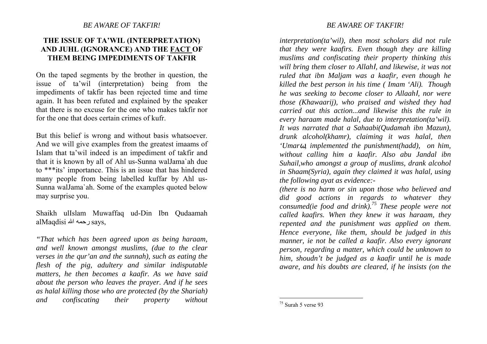# **THE ISSUE OF TA'WIL (INTERPRETATION) AND JUHL (IGNORANCE) AND THE FACT OF THEM BEING IMPEDIMENTS OF TAKFIR**

On the taped segments by the brother in question, the issue of ta'wil (interpretation) being from the impediments of takfir has been rejected time and time again. It has been refuted and explained by the speaker that there is no excuse for the one who makes takfir nor for the one that does certain crimes of kufr.

But this belief is wrong and without basis whatsoever. And we will give examples from the greatest imaams of Islam that ta'wil indeed is an impediment of takfir and that it is known by all of Ahl us-Sunna walJama`ah due to \*\*\*its' importance. This is an issue that has hindered many people from being labelled kuffar by Ahl us-Sunna walJama`ah. Some of the examples quoted below may surprise you.

Shaikh ulIslam Muwaffaq ud-Din Ibn Qudaamah ,says رحمه االله alMaqdisi

*"That which has been agreed upon as being haraam, and well known amongst muslims, (due to the clear verses in the qur'an and the sunnah), such as eating the flesh of the pig, adultery and similar indisputable matters, he then becomes a kaafir. As we have said about the person who leaves the prayer. And if he sees as halal killing those who are protected (by the Shariah) and confiscating their property without*  *interpretation(ta'wil), then most scholars did not rule that they were kaafirs. Even though they are killing muslims and confiscating their property thinking this will bring them closer to Allah* Ι*, and likewise, it was not ruled that ibn Maljam was a kaafir, even though he killed the best person in his time ( Imam 'Ali). Though he was seeking to become closer to Allaah* Ι*, nor were those (Khawaarij), who praised and wished they had carried out this action...and likewise this the rule in every haraam made halal, due to interpretation(ta'wil). It was narrated that a Sahaabi(Qudamah ibn Mazun), drunk alcohol(khamr), claiming it was halal, then 'Umar* <sup>ω</sup>*, implemented the punishment(hadd), on him, without calling him a kaafir. Also abu Jandal ibn Suhail,who amongst a group of muslims, drank alcohol in Shaam(Syria), again they claimed it was halal, using the following ayat as evidence:-* 

*(there is no harm or sin upon those who believed and did good actions in regards to whatever they consumed(ie food and drink).75 These people were not called kaafirs. When they knew it was haraam, they repented and the punishment was applied on them. Hence everyone, like them, should be judged in this manner, ie not be called a kaafir. Also every ignorant person, regarding a matter, which could be unknown to him, shoudn't be judged as a kaafir until he is made aware, and his doubts are cleared, if he insists (on the* 

 $75$  Surah 5 verse 93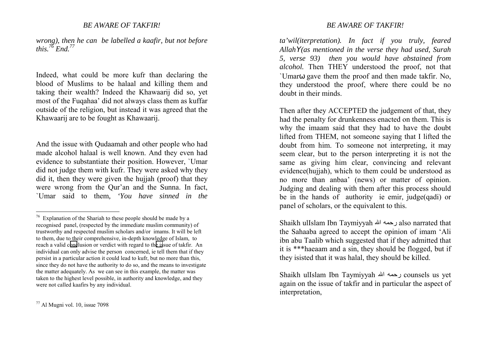*wrong), then he can be labelled a kaafir, but not before this.76 End.77*

Indeed, what could be more kufr than declaring the blood of Muslims to be halaal and killing them and taking their wealth? Indeed the Khawaarij did so, yet most of the Fuqahaa' did not always class them as kuffar outside of the religion, but instead it was agreed that the Khawaarij are to be fought as Khawaarij.

And the issue with Qudaamah and other people who had made alcohol halaal is well known. And they even had evidence to substantiate their position. However, `Umar did not judge them with kufr. They were asked why they did it, then they were given the hujjah (proof) that they were wrong from the Qur'an and the Sunna. In fact, `Umar said to them*, 'You have sinned in the* 

## *BE AWARE OF TAKFIR!*

*ta'wil(iterpretation). In fact if you truly, feared Allah* Υ*(as mentioned in the verse they had used, Surah 5, verse 93) then you would have abstained from alcohol.* Then THEY understood the proof, not that `Umar <sup>ω</sup> gave them the proof and then made takfir. No, they understood the proof, where there could be no doubt in their minds.

Then after they ACCEPTED the judgement of that, they had the penalty for drunkenness enacted on them. This is why the imaam said that they had to have the doubt lifted from THEM, not someone saying that I lifted the doubt from him. To someone not interpreting, it may seem clear, but to the person interpreting it is not the same as giving him clear, convincing and relevant evidence(hujjah), which to them could be understood as no more than anbaa' (news) or matter of opinion. Judging and dealing with them after this process should be in the hands of authority ie emir, judge(qadi) or panel of scholars, or the equivalent to this.

Shaikh ulIslam Ibn Taymiyyah البحمه الله رحمه الله رحمه الله الله الس the Sahaaba agreed to accept the opinion of imam 'Ali ibn abu Taalib which suggested that if they admitted that it is \*\*\*haeaam and a sin, they should be flogged, but if they isisted that it was halal, they should be killed.

 $76$  Explanation of the Shariah to these people should be made by a recognised panel, (respected by the immediate muslim community) of trustworthy and respected muslim scholars and/or imams. It will be left to them, due to their comprehensive, in-depth knowledge of Islam, to reach a valid conclusion or verdict with regard to the issue of takfir. An individual can only advise the person concerned, ie tell them that if they persist in a particular action it could lead to kufr, but no more than this, since they do not have the authority to do so, and the means to investigate the matter adequately. As we can see in this example, the matter was taken to the highest level possible, in authority and knowledge, and they were not called kaafirs by any individual.

Shaikh ulIslam Ibn Taymiyyah االله رحمه counsels us yet again on the issue of takfir and in particular the aspect of interpretation,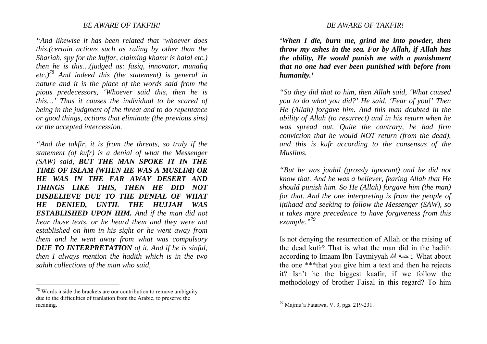*"And likewise it has been related that 'whoever does this,(certain actions such as ruling by other than the Shariah, spy for the kuffar, claiming khamr is halal etc.) then he is this…(judged as: fasiq, innovator, munafiq etc.)78 And indeed this (the statement) is general in nature and it is the place of the words said from the pious predecessors, 'Whoever said this, then he is this…' Thus it causes the individual to be scared of being in the judgment of the threat and to do repentance or good things, actions that eliminate (the previous sins) or the accepted intercession.* 

*"And the takfir, it is from the threats, so truly if the statement (of kufr) is a denial of what the Messenger (SAW) said, BUT THE MAN SPOKE IT IN THE TIME OF ISLAM (WHEN HE WAS A MUSLIM) OR HE WAS IN THE FAR AWAY DESERT AND THINGS LIKE THIS, THEN HE DID NOT DISBELIEVE DUE TO THE DENIAL OF WHAT HE DENIED, UNTIL THE HUJJAH WAS ESTABLISHED UPON HIM. And if the man did not hear those texts, or he heard them and they were not established on him in his sight or he went away from them and he went away from what was compulsory DUE TO INTERPRETATION of it. And if he is sinful, then I always mention the hadith which is in the two sahih collections of the man who said,* 

*'When I die, burn me, grind me into powder, then throw my ashes in the sea. For by Allah, if Allah has the ability, He would punish me with a punishment that no one had ever been punished with before from humanity.'* 

*"So they did that to him, then Allah said, 'What caused you to do what you did?' He said, 'Fear of you!' Then He (Allah) forgave him. And this man doubted in the ability of Allah (to resurrect) and in his return when he was spread out. Quite the contrary, he had firm conviction that he would NOT return (from the dead), and this is kufr according to the consensus of the Muslims.* 

*"But he was jaahil (grossly ignorant) and he did not know that. And he was a believer, fearing Allah that He should punish him. So He (Allah) forgave him (the man) for that. And the one interpreting is from the people of ijtihaad and seeking to follow the Messenger (SAW), so it takes more precedence to have forgiveness from this example."<sup>79</sup>*

Is not denying the resurrection of Allah or the raising of the dead kufr? That is what the man did in the hadith according to Imaam Ibn Taymiyyah الرحمه الله الله . What about the one \*\*\*that you give him a text and then he rejects it? Isn't he the biggest kaafir, if we follow the methodology of brother Faisal in this regard? To him

 $78$  Words inside the brackets are our contribution to remove ambiguity due to the difficulties of tranlation from the Arabic, to preserve the meaning.

<sup>79</sup> Majmu`a Fataawa, V. 3, pgs. 219-231.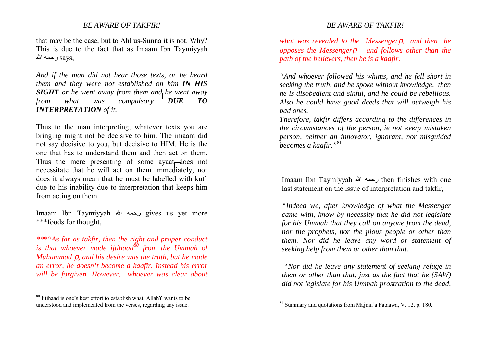that may be the case, but to Ahl us-Sunna it is not. Why? This is due to the fact that as Imaam Ibn Taymiyyah ,says رحمه االله

*And if the man did not hear those texts, or he heard them and they were not established on him IN HIS SIGHT or he went away from them and he went away from what was compulsory DUE TO INTERPRETATION of it.* 

Thus to the man interpreting, whatever texts you are bringing might not be decisive to him. The imaam did not say decisive to you, but decisive to HIM. He is the one that has to understand them and then act on them. Thus the mere presenting of some ayaat does not necessitate that he will act on them immediately, nor does it always mean that he must be labelled with kufr due to his inability due to interpretation that keeps him from acting on them.

Imaam Ibn Taymiyyah االله رحمه gives us yet more \*\*\*foods for thought,

*\*\*\*"As far as takfir, then the right and proper conduct*  is that whoever made ijtihaad<sup>80</sup> from the Ummah of *Muhammad*  ρ*, and his desire was the truth, but he made an error, he doesn't become a kaafir. Instead his error will be forgiven. However, whoever was clear about* 

### *BE AWARE OF TAKFIR!*

*what was revealed to the Messenger*ρ*, and then he opposes the Messenger*ρ *and follows other than the path of the believers, then he is a kaafir.* 

*"And whoever followed his whims, and he fell short in seeking the truth, and he spoke without knowledge, then he is disobedient and sinful, and he could be rebellious. Also he could have good deeds that will outweigh his bad ones.* 

*Therefore, takfir differs according to the differences in the circumstances of the person, ie not every mistaken person, neither an innovator, ignorant, nor misguided becomes a kaafir."*<sup>8</sup><sup>1</sup>

Imaam Ibn Taymiyyah ارحمه الله then finishes with one last statement on the issue of interpretation and takfir,

*"Indeed we, after knowledge of what the Messenger came with, know by necessity that he did not legislate for his Ummah that they call on anyone from the dead, nor the prophets, nor the pious people or other than them. Nor did he leave any word or statement of seeking help from them or other than that.* 

 *"Nor did he leave any statement of seeking refuge in them or other than that, just as the fact that he (SAW) did not legislate for his Ummah prostration to the dead,* 

<sup>80</sup> Ijtihaad is one's best effort to establish what AllahΥ wants to be understood and implemented from the verses, regarding any issue.

<sup>8</sup><sup>1</sup> Summary and quotations from Majmu`a Fataawa, V. 12, p. 180.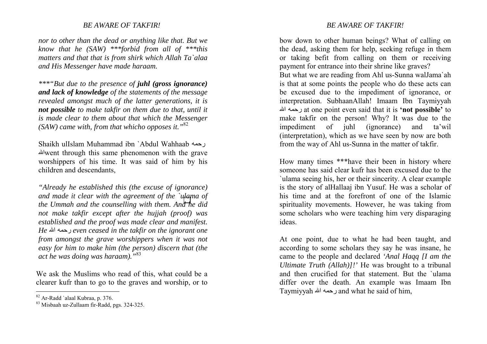*nor to other than the dead or anything like that. But we know that he (SAW) \*\*\*forbid from all of \*\*\*this matters and that that is from shirk which Allah Ta`alaa and His Messenger have made haraam.* 

*\*\*\*"But due to the presence of juhl (gross ignorance) and lack of knowledge of the statements of the message revealed amongst much of the latter generations, it is not possible to make takfir on them due to that, until it is made clear to them about that which the Messenger (SAW) came with, from that whicho opposes it."*<sup>82</sup>

Shaikh ulIslam Muhammad ibn `Abdul Wahhaab رحمه االلهwent through this same phenomenon with the grave worshippers of his time. It was said of him by his children and descendants,

*"Already he established this (the excuse of ignorance) and made it clear with the agreement of the `ulama of the Ummah and the counselling with them. And he did not make takfir except after the hujjah (proof) was established and the proof was made clear and manifest. He* االله رحمه *even ceased in the takfir on the ignorant one from amongst the grave worshippers when it was not easy for him to make him (the person) discern that (the act he was doing was haraam)."*<sup>83</sup>

We ask the Muslims who read of this, what could be a clearer kufr than to go to the graves and worship, or to bow down to other human beings? What of calling on the dead, asking them for help, seeking refuge in them or taking befit from calling on them or receiving payment for entrance into their shrine like graves? But what we are reading from Ahl us-Sunna walJama`ah is that at some points the people who do these acts can be excused due to the impediment of ignorance, or interpretation. SubhaanAllah! Imaam Ibn Taymiyyah االله رحمه at one point even said that it is **'not possible'** to make takfir on the person! Why? It was due to the impediment of juhl (ignorance) and ta'wil (interpretation), which as we have seen by now are both

How many times \*\*\*have their been in history where someone has said clear kufr has been excused due to the `ulama seeing his, her or their sincerity. A clear example is the story of alHallaaj ibn Yusuf. He was a scholar of his time and at the forefront of one of the Islamic spirituality movements. However, he was taking from some scholars who were teaching him very disparaging ideas.

from the way of Ahl us-Sunna in the matter of takfir.

At one point, due to what he had been taught, and according to some scholars they say he was insane, he came to the people and declared *'Anal Haqq [I am the Ultimate Truth (Allah)]!'* He was brought to a tribunal and then crucified for that statement. But the `ulama differ over the death. An example was Imaam Ibn Taymiyyah رحمه الله and what he said of him,

<sup>&</sup>lt;sup>82</sup> Ar-Radd `alaal Kubraa, p. 376.

<sup>&</sup>lt;sup>83</sup> Misbaah uz-Zullaam fir-Radd, pgs. 324-325.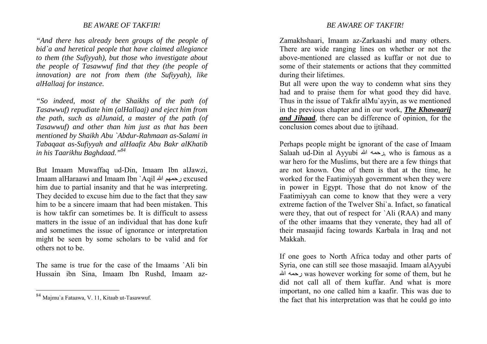*"And there has already been groups of the people of bid`a and heretical people that have claimed allegiance to them (the Sufiyyah), but those who investigate about the people of Tasawwuf find that they (the people of innovation) are not from them (the Sufiyyah), like alHallaaj for instance.* 

*"So indeed, most of the Shaikhs of the path (of Tasawwuf) repudiate him (alHallaaj) and eject him from the path, such as alJunaid, a master of the path (of Tasawwuf) and other than him just as that has been mentioned by Shaikh Abu `Abdur-Rahmaan as-Salami in Tabaqaat as-Sufiyyah and alHaafiz Abu Bakr alKhatib in his Taarikhu Baghdaad."<sup>84</sup>*

But Imaam Muwaffaq ud-Din, Imaam Ibn alJawzi, Imaam alHaraawi and Imaam Ibn `Aqil الجمهم الله excused him due to partial insanity and that he was interpreting. They decided to excuse him due to the fact that they saw him to be a sincere imaam that had been mistaken. This is how takfir can sometimes be. It is difficult to assess matters in the issue of an individual that has done kufr and sometimes the issue of ignorance or interpretation might be seen by some scholars to be valid and for others not to be.

The same is true for the case of the Imaams `Ali bin Hussain ibn Sina, Imaam Ibn Rushd, Imaam azZamakhshaari, Imaam az-Zarkaashi and many others. There are wide ranging lines on whether or not the above-mentioned are classed as kuffar or not due to some of their statements or actions that they committed during their lifetimes.

But all were upon the way to condemn what sins they had and to praise them for what good they did have. Thus in the issue of Takfir alMu`ayyin, as we mentioned in the previous chapter and in our work, *The Khawaarij and Jihaad*, there can be difference of opinion, for the conclusion comes about due to ijtihaad.

Perhaps people might be ignorant of the case of Imaam Salaah ud-Din al Ayyubi , who is famous as a االله رحمه war hero for the Muslims, but there are a few things that are not known. One of them is that at the time, he worked for the Faatimiyyah government when they were in power in Egypt. Those that do not know of the Faatimiyyah can come to know that they were a very extreme faction of the Twelver Shi`a. Infact, so fanatical were they, that out of respect for `Ali (RAA) and many of the other imaams that they venerate, they had all of their masaajid facing towards Karbala in Iraq and not Makkah.

If one goes to North Africa today and other parts of Syria, one can still see those masaajid. Imaam alAyyubi االله رحمه was however working for some of them, but he did not call all of them kuffar. And what is more important, no one called him a kaafir. This was due to the fact that his interpretation was that he could go into

<sup>&</sup>lt;sup>84</sup> Majmu`a Fataawa, V. 11, Kitaab ut-Tasawwuf.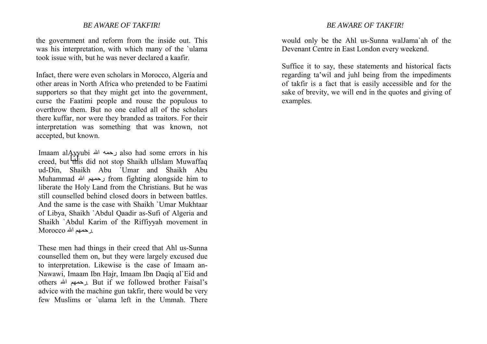the government and reform from the inside out. This was his interpretation, with which many of the `ulama took issue with, but he was never declared a kaafir.

Infact, there were even scholars in Morocco, Algeria and other areas in North Africa who pretended to be Faatimi supporters so that they might get into the government, curse the Faatimi people and rouse the populous to overthrow them. But no one called all of the scholars there kuffar, nor were they branded as traitors. For their interpretation was something that was known, not accepted, but known.

Imaam alAyyubi رحمه الله also had some errors in his creed, but this did not stop Shaikh ulIslam Muwaffaq ud-Din, Shaikh Abu `Umar and Shaikh Abu Muhammad االله رحمهم from fighting alongside him to liberate the Holy Land from the Christians. But he was still counselled behind closed doors in between battles. And the same is the case with Shaikh `Umar Mukhtaar of Libya, Shaikh `Abdul Qaadir as-Sufi of Algeria and Shaikh `Abdul Karim of the Riffiyyah movement in .رحمهم االله Morocco

These men had things in their creed that Ahl us-Sunna counselled them on, but they were largely excused due to interpretation. Likewise is the case of Imaam an-Nawawi, Imaam Ibn Hajr, Imaam Ibn Daqiq al`Eid and others الجمهم الله. But if we followed brother Faisal's advice with the machine gun takfir, there would be very few Muslims or `ulama left in the Ummah. There

### *BE AWARE OF TAKFIR!*

would only be the Ahl us-Sunna walJama`ah of the Devenant Centre in East London every weekend.

Suffice it to say, these statements and historical facts regarding ta'wil and juhl being from the impediments of takfir is a fact that is easily accessible and for the sake of brevity, we will end in the quotes and giving of examples.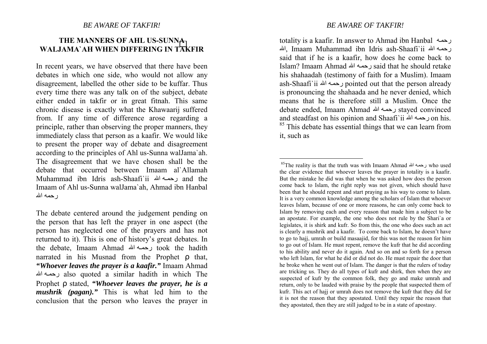## **THE MANNERS OF AHL US-SUNNA WALJAMA`AH WHEN DIFFERING IN TAKFIR**

In recent years, we have observed that there have been debates in which one side, who would not allow any disagreement, labelled the other side to be kuffar. Thus every time there was any talk on of the subject, debate either ended in takfir or in great fitnah. This same chronic disease is exactly what the Khawaarij suffered from. If any time of difference arose regarding a principle, rather than observing the proper manners, they immediately class that person as a kaafir. We would like to present the proper way of debate and disagreement according to the principles of Ahl us-Sunna walJama`ah. The disagreement that we have chosen shall be the debate that occurred between Imaam al`Allamah Muhammad ibn Idris ash-Shaafi`ii ارحمـه الله الله مع الله ه Imaam of Ahl us-Sunna walJama`ah, Ahmad ibn Hanbal رحمه االله

### *BE AWARE OF TAKFIR!*

totality is a kaafir. In answer to Ahmad ibn Hanbal (رحمه االله, Imaam Muhammad ibn Idris ash-Shaafi`ii االله هìرحم said that if he is a kaafir, how does he come back to Islam? Imaam Ahmad ارحمه الله said that he should retake his shahaadah (testimony of faith for a Muslim). Imaam ash-Shaafi`ii رحمه الله pointed out that the person already is pronouncing the shahaada and he never denied, which means that he is therefore still a Muslim. Once the debate ended, Imaam Ahmad المصله الله stayed convinced and steadfast on his opinion and Shaafi`ii د همه الله on his. <sup>85</sup> This debate has essential things that we can learn from it, such as

The debate centered around the judgement pending on the person that has left the prayer in one aspect (the person has neglected one of the prayers and has not returned to it). This is one of history's great debates. In the debate, Imaam Ahmad المسلم took the hadith narrated in his Musnad from the Prophet ρ that, *"Whoever leaves the prayer is a kaafir."* Imaam Ahmad رحمه الله also quoted a similar hadith in which The Prophet ρ stated, *"Whoever leaves the prayer, he is a mushrik (pagan)."* This is what led him to the conclusion that the person who leaves the prayer in

 $85$  The reality is that the truth was with Imaam Ahmad  $\mu$ رحمه الله  $\mu$ who used the clear evidence that whoever leaves the prayer in totality is a kaafir. But the mistake he did was that when he was asked how does the person come back to Islam, the right reply was not given, which should have been that he should repent and start praying as his way to come to Islam. It is a very common knowledge among the scholars of Islam that whoever leaves Islam, because of one or more reasons, he can only come back to Islam by removing each and every reason that made him a subject to be an apostate. For example, the one who does not rule by the Shari`a or legislates, it is shirk and kufr. So from this, the one who does such an act is clearly a mushrik and a kaafir. To come back to Islam, he doesn't have to go to hajj, umrah or build masaajid, for this was not the reason for him to go out of Islam. He must repent, remove the kufr that he did according to his ability and never do it again. And so on and so forth for a person who left Islam, for what he did or did not do. He must repair the door that he broke when he went out of Islam. The danger is that the rulers of today are tricking us. They do all types of kufr and shirk, then when they are suspected of kufr by the common folk, they go and make umrah and return, only to be lauded with praise by the people that suspected them of kufr. This act of hajj or umrah does not remove the kufr that they did for it is not the reason that they apostated. Until they repair the reason that they apostated, then they are still judged to be in a state of apostasy.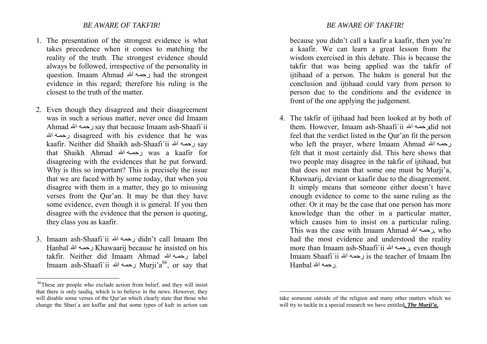- 1. The presentation of the strongest evidence is what takes precedence when it comes to matching the reality of the truth. The strongest evidence should always be followed, irrespective of the personality in question. Imaam Ahmad المجملة الله ها الله والم الله والمعام ب had the strongest evidence in this regard; therefore his ruling is the closest to the truth of the matter.
- 2. Even though they disagreed and their disagreement was in such a serious matter, never once did Imaam Ahmad الحمـه الله say that because Imaam ash-Shaafi`ii رحمه الله disagreed with his evidence that he was kaafir. Neither did Shaikh ash-Shaafi`ii رحمه الله say that Shaikh Ahmad ارحمــه الله له was a kaafir for disagreeing with the evidences that he put forward. Why is this so important? This is precisely the issue that we are faced with by some today, that when you disagree with them in a matter, they go to misusing verses from the Qur'an. It may be that they have some evidence, even though it is general. If you then disagree with the evidence that the person is quoting, they class you as kaafir.
- 3. Imaam ash-Shaafi`ii ارحمه الله didn't call Imaam Ibn Hanbal ارحمه الله Khawaarij because he insisted on his takfir. Neither did Imaam Ahmad المسلم للله لله لله العباد label Imaam ash-Shaafi`ii ارحمه الله Murji'a $^{86}$ , or say that

because you didn't call a kaafir a kaafir, then you're a kaafir. We can learn a great lesson from the wisdom exercised in this debate. This is because the takfir that was being applied was the takfir of ijtihaad of a person. The hukm is general but the conclusion and ijtihaad could vary from person to person due to the conditions and the evidence in front of the one applying the judgement.

4. The takfir of ijtihaad had been looked at by both of them. However, Imaam ash-Shaafi`ii حصه الله did not feel that the verdict listed in the Qur'an fit the person who left the prayer, where Imaam Ahmad الرحمه الله felt that it most certainly did. This here shows that two people may disagree in the takfir of ijtihaad, but that does not mean that some one must be Murji'a, Khawaarij, deviant or kaafir due to the disagreement. It simply means that someone either doesn't have enough evidence to come to the same ruling as the other. Or it may be the case that one person has more knowledge than the other in a particular matter, which causes him to insist on a particular ruling. This was the case with Imaam Ahmad الله, who had the most evidence and understood the reality more than Imaam ash-Shaafi`ii الله هه الله هها الله ويحمه الله وين even though Imaam Shaafi`ii االله هìرحم is the teacher of Imaam Ibn .رحمه الله Hanbal

<sup>&</sup>lt;sup>86</sup> These are people who exclude action from belief, and they will insist that there is only tasdiq, which is to believe in the news. However, they will disable some verses of the Qur'an which clearly state that those who change the Shari`a are kuffar and that some types of kufr in action can

take someone outside of the religion and many other matters which we will try to tackle in a special research we have entitled*, The Murji'a.*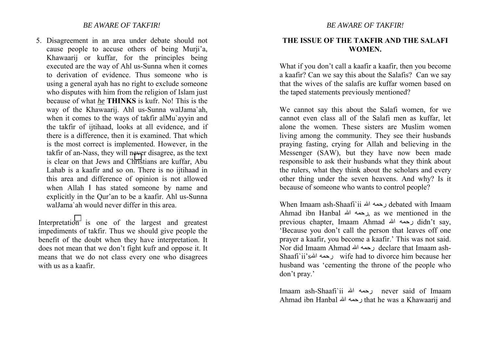5. Disagreement in an area under debate should not cause people to accuse others of being Murji'a, Khawaarij or kuffar, for the principles being executed are the way of Ahl us-Sunna when it comes to derivation of evidence. Thus someone who is using a general ayah has no right to exclude someone who disputes with him from the religion of Islam just because of what *he* **THINKS** is kufr. No! This is the way of the Khawaarij. Ahl us-Sunna walJama`ah, when it comes to the ways of takfir alMu`ayyin and the takfir of ijtihaad, looks at all evidence, and if there is a difference, then it is examined. That which is the most correct is implemented. However, in the takfir of an-Nass, they will never disagree, as the text is clear on that Jews and Christians are kuffar, Abu Lahab is a kaafir and so on. There is no ijtihaad in this area and difference of opinion is not allowed when Allah I has stated someone by name and explicitly in the Qur'an to be a kaafir. Ahl us-Sunna walJama`ah would never differ in this area.

Interpretation is one of the largest and greatest impediments of takfir. Thus we should give people the benefit of the doubt when they have interpretation. It does not mean that we don't fight kufr and oppose it. It means that we do not class every one who disagrees with us as a kaafir.

## **THE ISSUE OF THE TAKFIR AND THE SALAFI WOMEN.**

What if you don't call a kaafir a kaafir, then you become a kaafir? Can we say this about the Salafis? Can we say that the wives of the salafis are kuffar women based on the taped statements previously mentioned?

We cannot say this about the Salafi women, for we cannot even class all of the Salafi men as kuffar, let alone the women. These sisters are Muslim women living among the community. They see their husbands praying fasting, crying for Allah and believing in the Messenger (SAW), but they have now been made responsible to ask their husbands what they think about the rulers, what they think about the scholars and every other thing under the seven heavens. And why? Is it because of someone who wants to control people?

When Imaam ash-Shaafi`ii االله رحمه debated with Imaam Ahmad ibn Hanbal المحمه الله, as we mentioned in the previous chapter, Imaam Ahmad الجمه الله didn't say, 'Because you don't call the person that leaves off one prayer a kaafir, you become a kaafir.' This was not said. Nor did Imaam Ahmad االله رحمه declare that Imaam ash-Shaafi`ii's االله رحمه wife had to divorce him because her husband was 'cementing the throne of the people who don't pray.'

Imaam ash-Shaafi`ii االله رحمه never said of Imaam Ahmad ibn Hanbal االله رحمه that he was a Khawaarij and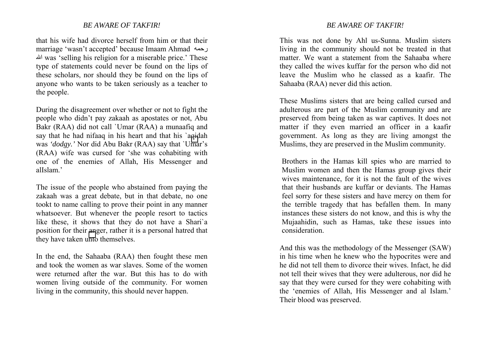that his wife had divorce herself from him or that their marriage 'wasn't accepted' because Imaam Ahmad رحمه االله was 'selling his religion for a miserable price.' These type of statements could never be found on the lips of these scholars, nor should they be found on the lips of anyone who wants to be taken seriously as a teacher to the people.

During the disagreement over whether or not to fight the people who didn't pay zakaah as apostates or not, Abu Bakr (RAA) did not call `Umar (RAA) a munaafiq and say that he had nifaaq in his heart and that his `aqidah was *'dodgy.'* Nor did Abu Bakr (RAA) say that `Umar's (RAA) wife was cursed for 'she was cohabiting with one of the enemies of Allah, His Messenger and alIslam.'

The issue of the people who abstained from paying the zakaah was a great debate, but in that debate, no one tookt to name calling to prove their point in any manner whatsoever. But whenever the people resort to tactics like these, it shows that they do not have a Shari`a position for their anger, rather it is a personal hatred that they have taken unto themselves.

In the end, the Sahaaba (RAA) then fought these men and took the women as war slaves. Some of the women were returned after the war. But this has to do with women living outside of the community. For women living in the community, this should never happen.

### *BE AWARE OF TAKFIR!*

This was not done by Ahl us-Sunna. Muslim sisters living in the community should not be treated in that matter. We want a statement from the Sahaaba where they called the wives kuffar for the person who did not leave the Muslim who he classed as a kaafir. The Sahaaba (RAA) never did this action.

These Muslims sisters that are being called cursed and adulterous are part of the Muslim community and are preserved from being taken as war captives. It does not matter if they even married an officer in a kaafir government. As long as they are living amongst the Muslims, they are preserved in the Muslim community.

Brothers in the Hamas kill spies who are married to Muslim women and then the Hamas group gives their wives maintenance, for it is not the fault of the wives that their husbands are kuffar or deviants. The Hamas feel sorry for these sisters and have mercy on them for the terrible tragedy that has befallen them. In many instances these sisters do not know, and this is why the Mujaahidin, such as Hamas, take these issues into consideration.

And this was the methodology of the Messenger (SAW) in his time when he knew who the hypocrites were and he did not tell them to divorce their wives. Infact, he did not tell their wives that they were adulterous, nor did he say that they were cursed for they were cohabiting with the 'enemies of Allah, His Messenger and al Islam.' Their blood was preserved.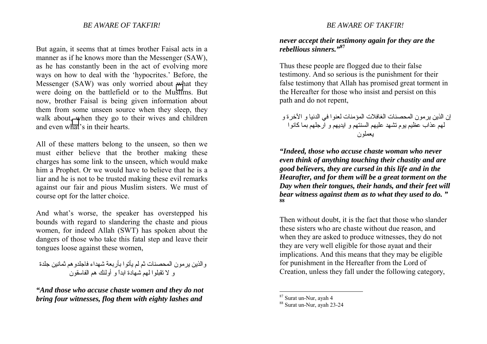But again, it seems that at times brother Faisal acts in a manner as if he knows more than the Messenger (SAW), as he has constantly been in the act of evolving more ways on how to deal with the 'hypocrites.' Before, the Messenger (SAW) was only worried about what they were doing on the battlefield or to the Muslims. But now, brother Faisal is being given information about them from some unseen source when they sleep, they walk about, when they go to their wives and children and even what's in their hearts.

All of these matters belong to the unseen, so then we must either believe that the brother making these charges has some link to the unseen, which would make him a Prophet. Or we would have to believe that he is a liar and he is not to be trusted making these evil remarks against our fair and pious Muslim sisters. We must of course opt for the latter choice.

And what's worse, the speaker has overstepped his bounds with regard to slandering the chaste and pious women, for indeed Allah (SWT) has spoken about the dangers of those who take this fatal step and leave their tongues loose against these women,

والذين يرمون المحصنات ثم لم يأتوا بأربعة شهداء فاجلدوهم ثمانين جلدة و لا نقبلوا لـهم شـهادة ابداً و أولَّنك هم الفاسقون

*"And those who accuse chaste women and they do not bring four witnesses, flog them with eighty lashes and* 

# *never accept their testimony again for they are the rebellious sinners."***<sup>87</sup>**

Thus these people are flogged due to their false testimony. And so serious is the punishment for their false testimony that Allah has promised great torment in the Hereafter for those who insist and persist on this path and do not repent,

إن الذين يرمون المحصنات الغافلات المؤمنات لعنوا في الدنيا و الآخر ة و لمهم عذاب عظيم يوم تشهد عليهم السنتهم و ايديهم و ارجلهم بما كانوا يعملون

*"Indeed, those who accuse chaste woman who never even think of anything touching their chastity and are good believers, they are cursed in this life and in the Hearafter, and for them will be a great torment on the Day when their tongues, their hands, and their feet will bear witness against them as to what they used to do. "* **88**

Then without doubt, it is the fact that those who slander these sisters who are chaste without due reason, and when they are asked to produce witnesses, they do not they are very well eligible for those ayaat and their implications. And this means that they may be eligible for punishment in the Hereafter from the Lord of Creation, unless they fall under the following category,

<sup>87</sup> Surat un-Nur, ayah 4

 $88$  Surat un-Nur, ayah 23-24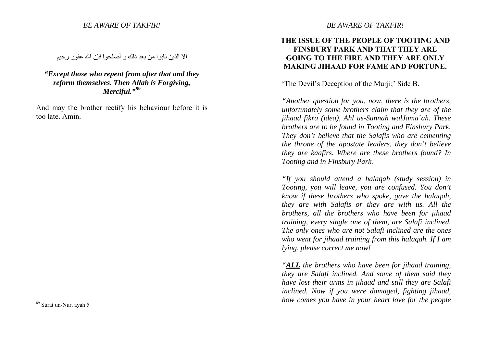الا الذين تابوا من بعد ذلك <sup>و</sup> أصلحوا فإن االله غفور رحيم

# *"Except those who repent from after that and they reform themselves. Then Allah is Forgiving, Merciful."89*

And may the brother rectify his behaviour before it is too late. Amin.

### *BE AWARE OF TAKFIR!*

# **THE ISSUE OF THE PEOPLE OF TOOTING AND FINSBURY PARK AND THAT THEY ARE GOING TO THE FIRE AND THEY ARE ONLY MAKING JIHAAD FOR FAME AND FORTUNE.**

'The Devil's Deception of the Murji;' Side B.

*"Another question for you, now, there is the brothers, unfortunately some brothers claim that they are of the jihaad fikra (idea), Ahl us-Sunnah walJama`ah. These brothers are to be found in Tooting and Finsbury Park. They don't believe that the Salafis who are cementing the throne of the apostate leaders, they don't believe they are kaafirs. Where are these brothers found? In Tooting and in Finsbury Park.* 

*"If you should attend a halaqah (study session) in Tooting, you will leave, you are confused. You don't know if these brothers who spoke, gave the halaqah, they are with Salafis or they are with us. All the brothers, all the brothers who have been for jihaad training, every single one of them, are Salafi inclined. The only ones who are not Salafi inclined are the ones who went for jihaad training from this halaqah. If I am lying, please correct me now!* 

*"ALL the brothers who have been for jihaad training, they are Salafi inclined. And some of them said they have lost their arms in jihaad and still they are Salafi inclined. Now if you were damaged, fighting jihaad, how comes you have in your heart love for the people* 

<sup>89</sup> Surat un-Nur, ayah 5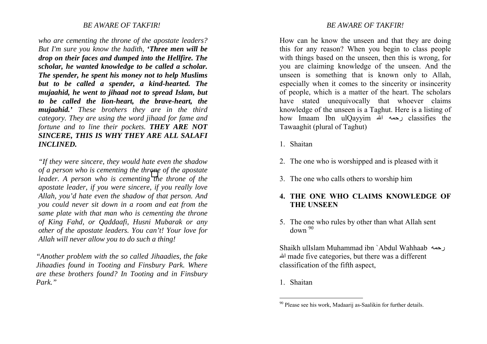*who are cementing the throne of the apostate leaders? But I'm sure you know the hadith, 'Three men will be drop on their faces and dumped into the Hellfire. The scholar, he wanted knowledge to be called a scholar. The spender, he spent his money not to help Muslims but to be called a spender, a kind-hearted. The mujaahid, he went to jihaad not to spread Islam, but to be called the lion-heart, the brave-heart, the mujaahid.' These brothers they are in the third category. They are using the word jihaad for fame and fortune and to line their pockets. THEY ARE NOT SINCERE, THIS IS WHY THEY ARE ALL SALAFI INCLINED.* 

*"If they were sincere, they would hate even the shadow of a person who is cementing the throne of the apostate leader. A person who is cementing the throne of the apostate leader, if you were sincere, if you really love Allah, you'd hate even the shadow of that person. And you could never sit down in a room and eat from the same plate with that man who is cementing the throne of King Fahd, or Qaddaafi, Husni Mubarak or any other of the apostate leaders. You can't! Your love for Allah will never allow you to do such a thing!* 

*"Another problem with the so called Jihaadies, the fake Jihaadies found in Tooting and Finsbury Park. Where are these brothers found? In Tooting and in Finsbury Park."* 

How can he know the unseen and that they are doing this for any reason? When you begin to class people with things based on the unseen, then this is wrong, for you are claiming knowledge of the unseen. And the unseen is something that is known only to Allah, especially when it comes to the sincerity or insincerity of people, which is a matter of the heart. The scholars have stated unequivocally that whoever claims knowledge of the unseen is a Taghut. Here is a listing of how Imaam Ibn ulQayyim االله رحمه classifies the Tawaaghit (plural of Taghut)

- 1. Shaitan
- 2. The one who is worshipped and is pleased with it
- 3. The one who calls others to worship him

# **4. THE ONE WHO CLAIMS KNOWLEDGE OF THE UNSEEN**

5. The one who rules by other than what Allah sent  $down<sup>90</sup>$ 

Shaikh ulIslam Muhammad ibn `Abdul Wahhaab رحمه االله made five categories, but there was a different classification of the fifth aspect,

1. Shaitan

<sup>90</sup> Please see his work, Madaarij as-Saalikin for further details.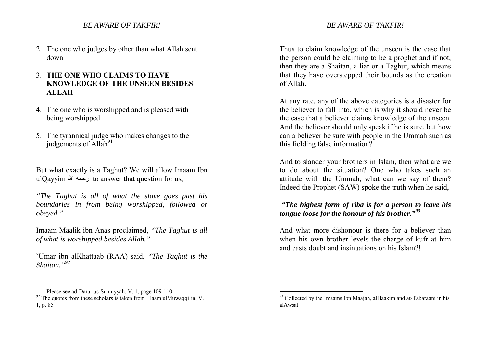2. The one who judges by other than what Allah sent down

# 3. **THE ONE WHO CLAIMS TO HAVE KNOWLEDGE OF THE UNSEEN BESIDES ALLAH**

- 4. The one who is worshipped and is pleased with being worshipped
- 5. The tyrannical judge who makes changes to the judgements of  $\text{Allah}^{91}$

But what exactly is a Taghut? We will allow Imaam Ibn ulQayyim الباله to answer that question for us,

*"The Taghut is all of what the slave goes past his boundaries in from being worshipped, followed or obeyed."* 

Imaam Maalik ibn Anas proclaimed, *"The Taghut is all of what is worshipped besides Allah."* 

`Umar ibn alKhattaab (RAA) said, *"The Taghut is the Shaitan."<sup>92</sup>*

Thus to claim knowledge of the unseen is the case that the person could be claiming to be a prophet and if not, then they are a Shaitan, a liar or a Taghut, which means that they have overstepped their bounds as the creation of Allah.

At any rate, any of the above categories is a disaster for the believer to fall into, which is why it should never be the case that a believer claims knowledge of the unseen. And the believer should only speak if he is sure, but how can a believer be sure with people in the Ummah such as this fielding false information?

And to slander your brothers in Islam, then what are we to do about the situation? One who takes such an attitude with the Ummah, what can we say of them? Indeed the Prophet (SAW) spoke the truth when he said,

# *"The highest form of riba is for a person to leave his tongue loose for the honour of his brother."93*

And what more dishonour is there for a believer than when his own brother levels the charge of kufr at him and casts doubt and insinuations on his Islam?!

Please see ad-Darar us-Sunniyyah, V. 1, page 109-110

 $92$  The quotes from these scholars is taken from `Ilaam ulMuwaqqi`in, V. 1, p. 85

<sup>&</sup>lt;sup>93</sup> Collected by the Imaams Ibn Maajah, alHaakim and at-Tabaraani in his alAwsat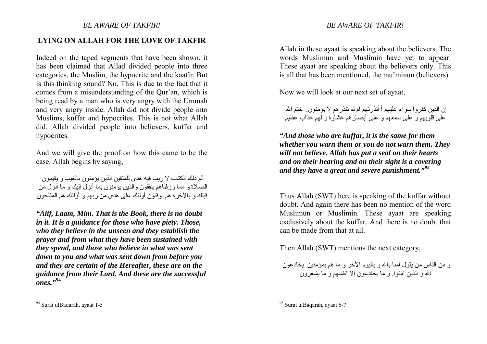#### *BE AWARE OF TAKFIR!*

## **LYING ON ALLAH FOR THE LOVE OF TAKFIR**

Indeed on the taped segments that have been shown, it has been claimed that Allad divided people into three categories, the Muslim, the hypocrite and the kaafir. But is this thinking sound? No. This is due to the fact that it comes from a misunderstanding of the Qur'an, which is being read by a man who is very angry with the Ummah and very angry inside. Allah did not divide people into Muslims, kuffar and hypocrites. This is not what Allah did. Allah divided people into believers, kuffar and hypocrites.

And we will give the proof on how this came to be the case. Allah begins by saying,

ألم ذلك الكتاب لا ريب فيه هدى للمتقين الذين يؤمنون بالغيب <sup>و</sup> يقيمون الصلاة <sup>و</sup> مما رزفناهم ينفقون والذين يؤمنون بما أنزل إليك <sup>و</sup> ما أنزل من قبلك <sup>و</sup> بالآخرة هم يوقنون أولئك على هدى من ربهم <sup>و</sup> أولئك هم المفلحون

*"Alif, Laam, Mim. That is the Book, there is no doubt in it. It is a guidance for those who have piety. Those, who they believe in the unseen and they establish the prayer and from what they have been sustained with they spend, and those who believe in what was sent down to you and what was sent down from before you and they are certain of the Hereafter, these are on the guidance from their Lord. And these are the successful ones."***<sup>94</sup>**

Allah in these ayaat is speaking about the believers. The words Muslimun and Muslimin have yet to appear. These ayaat are speaking about the believers only. This is all that has been mentioned, the mu'minun (believers).

Now we will look at our next set of ayaat,

إن الذين كفروا سواء عليهم <sup>أ</sup> أنذرتهم ام لم تنذرهم لا يؤمنون. ختم االله على قلوبهم <sup>و</sup> على سمعهم <sup>و</sup> على أبصارهم غشاوة <sup>و</sup> لهم عذاب عظيم

*"And those who are kuffar, it is the same for them whether you warn them or you do not warn them. They will not believe. Allah has put a seal on their hearts and on their hearing and on their sight is a covering and they have a great and severe punishment."95*

Thus Allah (SWT) here is speaking of the kuffar without doubt. And again there has been no mention of the word Muslimun or Muslimin. These ayaat are speaking exclusively about the kuffar. And there is no doubt that can be made from that at all.

Then Allah (SWT) mentions the next category,

<sup>و</sup> من الناس من يقول امنا باالله <sup>و</sup> باليوم الآخر <sup>و</sup> ما هم بمؤمنين. يخادعون االله <sup>و</sup> الذين امنوا. <sup>و</sup> ما يخادعون إلا انفسهم <sup>و</sup> ما يشعرون

<sup>94</sup> Surat ulBaqarah, ayaat <sup>1</sup>-5

<sup>95</sup> Surat ulBaqarah, ayaat 6-7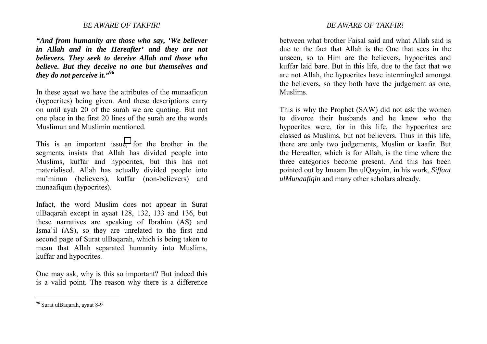*"And from humanity are those who say, 'We believer in Allah and in the Hereafter' and they are not believers. They seek to deceive Allah and those who believe. But they deceive no one but themselves and they do not perceive it."***<sup>96</sup>**

In these ayaat we have the attributes of the munaafiqun (hypocrites) being given. And these descriptions carry on until ayah 20 of the surah we are quoting. But not one place in the first 20 lines of the surah are the words Muslimun and Muslimin mentioned.

This is an important issue, for the brother in the segments insists that Allah has divided people into Muslims, kuffar and hypocrites, but this has not materialised. Allah has actually divided people into mu'minun (believers), kuffar (non-believers) and munaafiqun (hypocrites).

Infact, the word Muslim does not appear in Surat ulBaqarah except in ayaat 128, 132, 133 and 136, but these narratives are speaking of Ibrahim (AS) and Isma`il (AS), so they are unrelated to the first and second page of Surat ulBaqarah, which is being taken to mean that Allah separated humanity into Muslims, kuffar and hypocrites.

One may ask, why is this so important? But indeed this is a valid point. The reason why there is a difference

## *BE AWARE OF TAKFIR!*

between what brother Faisal said and what Allah said is due to the fact that Allah is the One that sees in the unseen, so to Him are the believers, hypocrites and kuffar laid bare. But in this life, due to the fact that we are not Allah, the hypocrites have intermingled amongst the believers, so they both have the judgement as one, Muslims.

This is why the Prophet (SAW) did not ask the women to divorce their husbands and he knew who the hypocrites were, for in this life, the hypocrites are classed as Muslims, but not believers. Thus in this life, there are only two judgements, Muslim or kaafir. But the Hereafter, which is for Allah, is the time where the three categories become present. And this has been pointed out by Imaam Ibn ulQayyim, in his work, *Siffaat ulMunaafiqin* and many other scholars already.

<sup>96</sup> Surat ulBaqarah, ayaat 8-9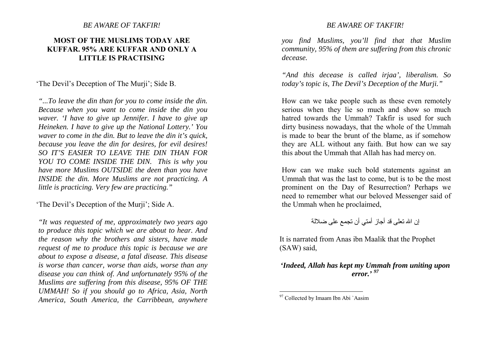# **MOST OF THE MUSLIMS TODAY ARE KUFFAR. 95% ARE KUFFAR AND ONLY A LITTLE IS PRACTISING**

'The Devil's Deception of The Murji'; Side B.

*"...To leave the din than for you to come inside the din. Because when you want to come inside the din you waver. 'I have to give up Jennifer. I have to give up Heineken. I have to give up the National Lottery.' You waver to come in the din. But to leave the din it's quick, because you leave the din for desires, for evil desires! SO IT'S EASIER TO LEAVE THE DIN THAN FOR YOU TO COME INSIDE THE DIN. This is why you have more Muslims OUTSIDE the deen than you have INSIDE the din. More Muslims are not practicing. A little is practicing. Very few are practicing."* 

'The Devil's Deception of the Murji'; Side A.

*"It was requested of me, approximately two years ago to produce this topic which we are about to hear. And the reason why the brothers and sisters, have made request of me to produce this topic is because we are about to expose a disease, a fatal disease. This disease is worse than cancer, worse than aids, worse than any disease you can think of. And unfortunately 95% of the Muslims are suffering from this disease, 95% OF THE UMMAH! So if you should go to Africa, Asia, North America, South America, the Carribbean, anywhere* 

### *BE AWARE OF TAKFIR!*

*you find Muslims, you'll find that that Muslim community, 95% of them are suffering from this chronic decease.* 

*"And this decease is called irjaa', liberalism. So today's topic is, The Devil's Deception of the Murji."* 

How can we take people such as these even remotely serious when they lie so much and show so much hatred towards the Ummah? Takfir is used for such dirty business nowadays, that the whole of the Ummah is made to bear the brunt of the blame, as if somehow they are ALL without any faith. But how can we say this about the Ummah that Allah has had mercy on.

How can we make such bold statements against an Ummah that was the last to come, but is to be the most prominent on the Day of Resurrection? Perhaps we need to remember what our beloved Messenger said of the Ummah when he proclaimed,

إن االله تعلى قد أجاز أمتي أن تجمع على ضلالة

It is narrated from Anas ibn Maalik that the Prophet (SAW) said,

*'Indeed, Allah has kept my Ummah from uniting upon error.' 97*

<sup>&</sup>lt;sup>97</sup> Collected by Imaam Ibn Abi `Aasim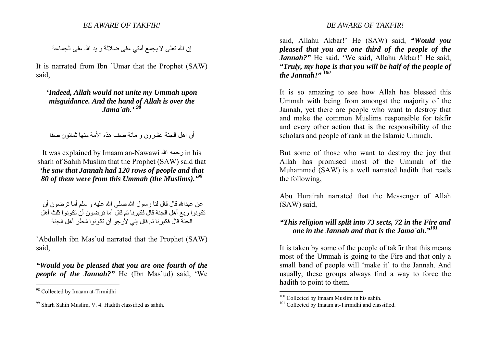إن االله تعلى لا يجمع أمتي على ضلالة <sup>و</sup> يد االله على الجماعة

It is narrated from Ibn `Umar that the Prophet (SAW) said,

*'Indeed, Allah would not unite my Ummah upon misguidance. And the hand of Allah is over the Jama`ah.' 98*

أن اهل الجنة عشرون <sup>و</sup> مائة صف هذه الأمة منها ثمانون صفا

It was explained by Imaam an-Nawawi االله رحمه in his sharh of Sahih Muslim that the Prophet (SAW) said that *'he saw that Jannah had 120 rows of people and that 80 of them were from this Ummah (the Muslims).'<sup>99</sup>*

عن عبدالله قال قال لنا ر سول الله صلى الله عليه و سلم أما تر ضون أن تكونوا ربع أهل الجنة قال فكبرنا ثم قال أما ترضون أن تكونوا ثلث أهل الجنة قال فكبرنا ثم قال إني لأرجو أن تكونوا شطر أهل الجنة

`Abdullah ibn Mas`ud narrated that the Prophet (SAW) said,

*"Would you be pleased that you are one fourth of the people of the Jannah?"* He (Ibn Mas`ud) said, 'We

### *BE AWARE OF TAKFIR!*

said, Allahu Akbar!' He (SAW) said, *"Would you pleased that you are one third of the people of the*  Jannah?" He said, 'We said, Allahu Akbar!' He said, *"Truly, my hope is that you will be half of the people of the Jannah!" <sup>100</sup>*

It is so amazing to see how Allah has blessed this Ummah with being from amongst the majority of the Jannah, yet there are people who want to destroy that and make the common Muslims responsible for takfir and every other action that is the responsibility of the scholars and people of rank in the Islamic Ummah.

But some of those who want to destroy the joy that Allah has promised most of the Ummah of the Muhammad (SAW) is a well narrated hadith that reads the following,

Abu Hurairah narrated that the Messenger of Allah (SAW) said,

# *"This religion will split into 73 sects, 72 in the Fire and one in the Jannah and that is the Jama`ah."101*

It is taken by some of the people of takfir that this means most of the Ummah is going to the Fire and that only a small band of people will 'make it' to the Jannah. And usually, these groups always find a way to force the hadith to point to them.

<sup>98</sup> Collected by Imaam at-Tirmidhi

<sup>99</sup> Sharh Sahih Muslim, V. 4. Hadith classified as sahih.

<sup>&</sup>lt;sup>100</sup> Collected by Imaam Muslim in his sahih.

 $101$  Collected by Imaam at-Tirmidhi and classified.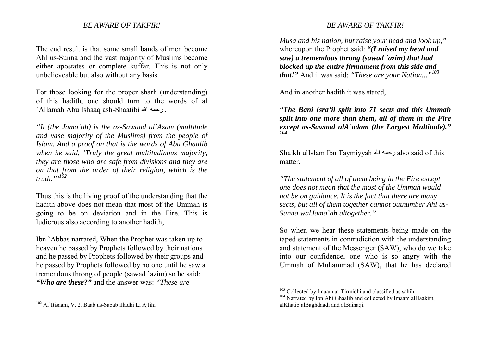The end result is that some small bands of men become Ahl us-Sunna and the vast majority of Muslims become either apostates or complete kuffar. This is not only unbelieveable but also without any basis.

For those looking for the proper sharh (understanding) of this hadith, one should turn to the words of al `Allamah Abu Ishaaq ash-Shaatibi رحمه الله,

*"It (the Jama`ah) is the as-Sawaad ul`Azam (multitude and vase majority of the Muslims) from the people of Islam. And a proof on that is the words of Abu Ghaalib when he said, 'Truly the great multitudinous majority, they are those who are safe from divisions and they are on that from the order of their religion, which is the truth.'"<sup>102</sup>*

Thus this is the living proof of the understanding that the hadith above does not mean that most of the Ummah is going to be on deviation and in the Fire. This is ludicrous also according to another hadith,

Ibn `Abbas narrated, When the Prophet was taken up to heaven he passed by Prophets followed by their nations and he passed by Prophets followed by their groups and he passed by Prophets followed by no one until he saw a tremendous throng of people (sawad `azim) so he said: *"Who are these?"* and the answer was: *"These are* 

## *BE AWARE OF TAKFIR!*

*Musa and his nation, but raise your head and look up,"* whereupon the Prophet said: *"(I raised my head and saw) a tremendous throng (sawad `azim) that had blocked up the entire firmament from this side and that!"* And it was said: *"These are your Nation..."<sup>103</sup>*

And in another hadith it was stated,

*"The Bani Isra'il split into 71 sects and this Ummah split into one more than them, all of them in the Fire except as-Sawaad ulA`adam (the Largest Multitude)." 104*

Shaikh ulIslam Ibn Taymiyyah ارحمه الله رحمه الله رحمه والله الله رحمه الله رحمه الله روس also said of this matter,

*"The statement of all of them being in the Fire except one does not mean that the most of the Ummah would not be on guidance. It is the fact that there are many sects, but all of them together cannot outnumber Ahl us-Sunna walJama`ah altogether."* 

So when we hear these statements being made on the taped statements in contradiction with the understanding and statement of the Messenger (SAW), who do we take into our confidence, one who is so angry with the Ummah of Muhammad (SAW), that he has declared

<sup>1</sup>02 Al`Itisaam, V. 2, Baab us-Sabab illadhi Li Ajlihi

<sup>&</sup>lt;sup>103</sup> Collected by Imaam at-Tirmidhi and classified as sahih.

<sup>&</sup>lt;sup>104</sup> Narrated by Ibn Abi Ghaalib and collected by Imaam alHaakim, alKhatib alBaghdaadi and alBaihaqi.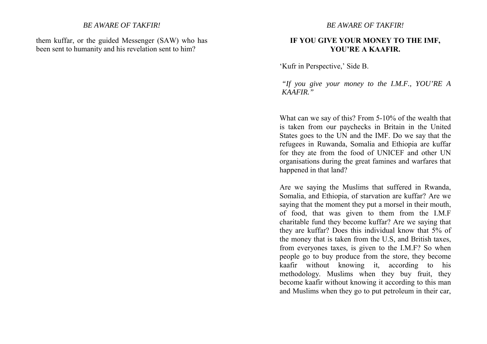them kuffar, or the guided Messenger (SAW) who has been sent to humanity and his revelation sent to him?

# **IF YOU GIVE YOUR MONEY TO THE IMF, YOU'RE A KAAFIR.**

'Kufr in Perspective,' Side B.

*"If you give your money to the I.M.F., YOU'RE A KAAFIR."* 

What can we say of this? From 5-10% of the wealth that is taken from our paychecks in Britain in the United States goes to the UN and the IMF. Do we say that the refugees in Ruwanda, Somalia and Ethiopia are kuffar for they ate from the food of UNICEF and other UN organisations during the great famines and warfares that happened in that land?

Are we saying the Muslims that suffered in Rwanda, Somalia, and Ethiopia, of starvation are kuffar? Are we saying that the moment they put a morsel in their mouth, of food, that was given to them from the I.M.F charitable fund they become kuffar? Are we saying that they are kuffar? Does this individual know that 5% of the money that is taken from the U.S, and British taxes, from everyones taxes, is given to the I.M.F? So when people go to buy produce from the store, they become kaafir without knowing it, according to his methodology. Muslims when they buy fruit, they become kaafir without knowing it according to this man and Muslims when they go to put petroleum in their car,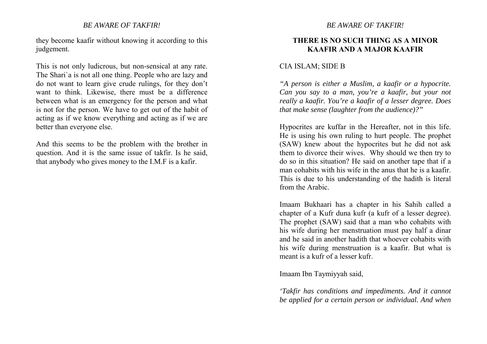they become kaafir without knowing it according to this judgement.

This is not only ludicrous, but non-sensical at any rate. The Shari`a is not all one thing. People who are lazy and do not want to learn give crude rulings, for they don't want to think. Likewise, there must be a difference between what is an emergency for the person and what is not for the person. We have to get out of the habit of acting as if we know everything and acting as if we are better than everyone else.

And this seems to be the problem with the brother in question. And it is the same issue of takfir. Is he said, that anybody who gives money to the I.M.F is a kafir.

# **THERE IS NO SUCH THING AS A MINOR KAAFIR AND A MAJOR KAAFIR**

# CIA ISLAM; SIDE B

*"A person is either a Muslim, a kaafir or a hypocrite. Can you say to a man, you're a kaafir, but your not really a kaafir. You're a kaafir of a lesser degree. Does that make sense (laughter from the audience)?"* 

Hypocrites are kuffar in the Hereafter, not in this life. He is using his own ruling to hurt people. The prophet (SAW) knew about the hypocrites but he did not ask them to divorce their wives. Why should we then try to do so in this situation? He said on another tape that if a man cohabits with his wife in the anus that he is a kaafir. This is due to his understanding of the hadith is literal from the Arabic.

Imaam Bukhaari has a chapter in his Sahih called a chapter of a Kufr duna kufr (a kufr of a lesser degree). The prophet (SAW) said that a man who cohabits with his wife during her menstruation must pay half a dinar and he said in another hadith that whoever cohabits with his wife during menstruation is a kaafir. But what is meant is a kufr of a lesser kufr.

Imaam Ibn Taymiyyah said,

*'Takfir has conditions and impediments. And it cannot be applied for a certain person or individual. And when*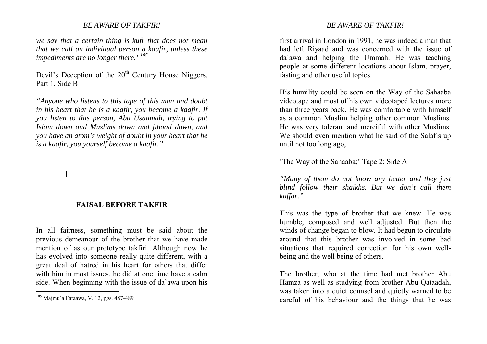*we say that a certain thing is kufr that does not mean that we call an individual person a kaafir, unless these impediments are no longer there.' <sup>105</sup>*

Devil's Deception of the  $20<sup>th</sup>$  Century House Niggers, Part 1, Side B

*"Anyone who listens to this tape of this man and doubt in his heart that he is a kaafir, you become a kaafir. If you listen to this person, Abu Usaamah, trying to put Islam down and Muslims down and jihaad down, and you have an atom's weight of doubt in your heart that he is a kaafir, you yourself become a kaafir."* 

# **FAISAL BEFORE TAKFIR**

In all fairness, something must be said about the previous demeanour of the brother that we have made mention of as our prototype takfiri. Although now he has evolved into someone really quite different, with a great deal of hatred in his heart for others that differ with him in most issues, he did at one time have a calm side. When beginning with the issue of da`awa upon his

#### *BE AWARE OF TAKFIR!*

first arrival in London in 1991, he was indeed a man that had left Riyaad and was concerned with the issue of da`awa and helping the Ummah. He was teaching people at some different locations about Islam, prayer, fasting and other useful topics.

His humility could be seen on the Way of the Sahaaba videotape and most of his own videotaped lectures more than three years back. He was comfortable with himself as a common Muslim helping other common Muslims. He was very tolerant and merciful with other Muslims. We should even mention what he said of the Salafis up until not too long ago,

'The Way of the Sahaaba;' Tape 2; Side A

*"Many of them do not know any better and they just blind follow their shaikhs. But we don't call them kuffar."* 

This was the type of brother that we knew. He was humble, composed and well adjusted. But then the winds of change began to blow. It had begun to circulate around that this brother was involved in some bad situations that required correction for his own wellbeing and the well being of others.

The brother, who at the time had met brother Abu Hamza as well as studying from brother Abu Qataadah, was taken into a quiet counsel and quietly warned to be careful of his behaviour and the things that he was

<sup>1</sup>05 Majmu`a Fataawa, V. 12, pgs. 487-489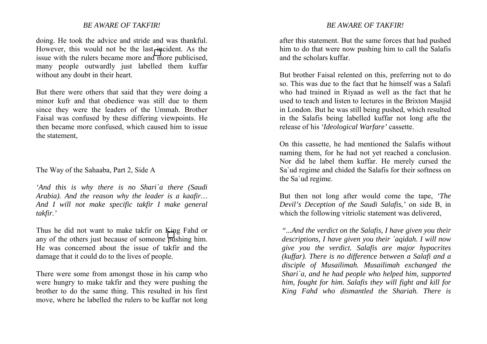doing. He took the advice and stride and was thankful. However, this would not be the last incident. As the issue with the rulers became more and more publicised, many people outwardly just labelled them kuffar without any doubt in their heart.

But there were others that said that they were doing a minor kufr and that obedience was still due to them since they were the leaders of the Ummah. Brother Faisal was confused by these differing viewpoints. He then became more confused, which caused him to issue the statement,

The Way of the Sahaaba, Part 2, Side A

*'And this is why there is no Shari`a there (Saudi Arabia). And the reason why the leader is a kaafir… And I will not make specific takfir I make general takfir.'* 

Thus he did not want to make takfir on King Fahd or any of the others just because of someone pushing him. He was concerned about the issue of takfir and the damage that it could do to the lives of people.

There were some from amongst those in his camp who were hungry to make takfir and they were pushing the brother to do the same thing. This resulted in his first move, where he labelled the rulers to be kuffar not long

### *BE AWARE OF TAKFIR!*

after this statement. But the same forces that had pushed him to do that were now pushing him to call the Salafis and the scholars kuffar.

But brother Faisal relented on this, preferring not to do so. This was due to the fact that he himself was a Salafi who had trained in Riyaad as well as the fact that he used to teach and listen to lectures in the Brixton Masjid in London. But he was still being pushed, which resulted in the Salafis being labelled kuffar not long afte the release of his *'Ideological Warfare'* cassette.

On this cassette, he had mentioned the Salafis without naming them, for he had not yet reached a conclusion. Nor did he label them kuffar. He merely cursed the Sa`ud regime and chided the Salafis for their softness on the Sa`ud regime.

But then not long after would come the tape, *'The Devil's Deception of the Saudi Salafis,'* on side B, in which the following vitriolic statement was delivered,

*"...And the verdict on the Salafis, I have given you their descriptions, I have given you their `aqidah. I will now give you the verdict. Salafis are major hypocrites (kuffar). There is no difference between a Salafi and a disciple of Musailimah. Musailimah exchanged the Shari`a, and he had people who helped him, supported him, fought for him. Salafis they will fight and kill for King Fahd who dismantled the Shariah. There is*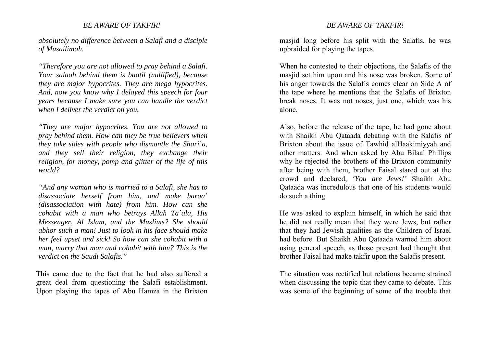*absolutely no difference between a Salafi and a disciple of Musailimah.* 

*"Therefore you are not allowed to pray behind a Salafi. Your salaah behind them is baatil (nullified), because they are major hypocrites. They are mega hypocrites. And, now you know why I delayed this speech for four years because I make sure you can handle the verdict when I deliver the verdict on you.* 

*"They are major hypocrites. You are not allowed to pray behind them. How can they be true believers when they take sides with people who dismantle the Shari`a, and they sell their religion, they exchange their religion, for money, pomp and glitter of the life of this world?* 

*"And any woman who is married to a Salafi, she has to disassociate herself from him, and make baraa' (disassociation with hate) from him. How can she cohabit with a man who betrays Allah Ta`ala, His Messenger, Al Islam, and the Muslims? She should abhor such a man! Just to look in his face should make her feel upset and sick! So how can she cohabit with a man, marry that man and cohabit with him? This is the verdict on the Saudi Salafis."* 

This came due to the fact that he had also suffered a great deal from questioning the Salafi establishment. Upon playing the tapes of Abu Hamza in the Brixton

*BE AWARE OF TAKFIR!* 

upbraided for playing the tapes.

alone.

When he contested to their objections, the Salafis of the masjid set him upon and his nose was broken. Some of his anger towards the Salafis comes clear on Side A of the tape where he mentions that the Salafis of Brixton break noses. It was not noses, just one, which was his

Also, before the release of the tape, he had gone about with Shaikh Abu Qataada debating with the Salafis of Brixton about the issue of Tawhid alHaakimiyyah and other matters. And when asked by Abu Bilaal Phillips why he rejected the brothers of the Brixton community after being with them, brother Faisal stared out at the crowd and declared, *'You are Jews!'* Shaikh Abu Qataada was incredulous that one of his students would do such a thing.

He was asked to explain himself, in which he said that he did not really mean that they were Jews, but rather that they had Jewish qualities as the Children of Israel had before. But Shaikh Abu Qataada warned him about using general speech, as those present had thought that brother Faisal had make takfir upon the Salafis present.

The situation was rectified but relations became strained when discussing the topic that they came to debate. This was some of the beginning of some of the trouble that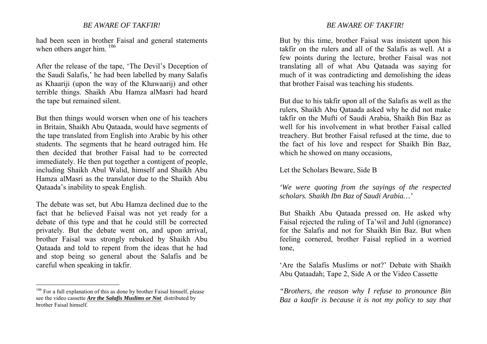had been seen in brother Faisal and general statements when others anger him.  $106$ 

After the release of the tape, 'The Devil's Deception of the Saudi Salafis,' he had been labelled by many Salafis as Khaariji (upon the way of the Khawaarij) and other terrible things. Shaikh Abu Hamza alMasri had heard the tape but remained silent.

But then things would worsen when one of his teachers in Britain, Shaikh Abu Qataada, would have segments of the tape translated from English into Arabic by his other students. The segments that he heard outraged him. He then decided that brother Faisal had to be corrected immediately. He then put together a contigent of people, including Shaikh Abul Walid, himself and Shaikh Abu Hamza alMasri as the translator due to the Shaikh Abu Qataada's inability to speak English.

The debate was set, but Abu Hamza declined due to the fact that he believed Faisal was not yet ready for a debate of this type and that he could still be corrected privately. But the debate went on, and upon arrival, brother Faisal was strongly rebuked by Shaikh Abu Qataada and told to repent from the ideas that he had and stop being so general about the Salafis and be careful when speaking in takfir.

### *BE AWARE OF TAKFIR!*

But by this time, brother Faisal was insistent upon his takfir on the rulers and all of the Salafis as well. At a few points during the lecture, brother Faisal was not translating all of what Abu Qataada was saying for much of it was contradicting and demolishing the ideas that brother Faisal was teaching his students.

But due to his takfir upon all of the Salafis as well as the rulers, Shaikh Abu Qataada asked why he did not make takfir on the Mufti of Saudi Arabia, Shaikh Bin Baz as well for his involvement in what brother Faisal called treachery. But brother Faisal refused at the time, due to the fact of his love and respect for Shaikh Bin Baz, which he showed on many occasions,

Let the Scholars Beware, Side B

*'We were quoting from the sayings of the respected scholars. Shaikh Ibn Baz of Saudi Arabia…'* 

But Shaikh Abu Qataada pressed on. He asked why Faisal rejected the ruling of Ta'wil and Juhl (ignorance) for the Salafis and not for Shaikh Bin Baz. But when feeling cornered, brother Faisal replied in a worried tone,

'Are the Salafis Muslims or not?' Debate with Shaikh Abu Qataadah; Tape 2, Side A or the Video Cassette

*"Brothers, the reason why I refuse to pronounce Bin Baz a kaafir is because it is not my policy to say that* 

<sup>&</sup>lt;sup>106</sup> For a full explanation of this as done by brother Faisal himself, please see the video cassette *Are the Salafis Muslims or Not* distributed by brother Faisal himself.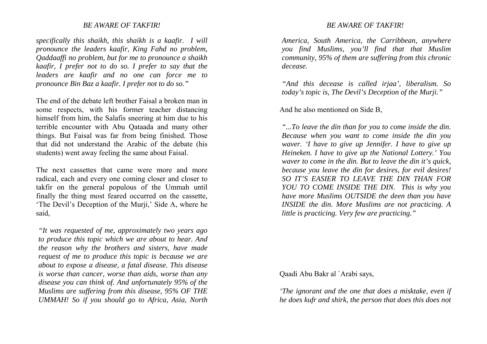*specifically this shaikh, this shaikh is a kaafir. I will pronounce the leaders kaafir, King Fahd no problem, Qaddaaffi no problem, but for me to pronounce a shaikh kaafir, I prefer not to do so. I prefer to say that the leaders are kaafir and no one can force me to pronounce Bin Baz a kaafir. I prefer not to do so."* 

The end of the debate left brother Faisal a broken man in some respects, with his former teacher distancing himself from him, the Salafis sneering at him due to his terrible encounter with Abu Qataada and many other things. But Faisal was far from being finished. Those that did not understand the Arabic of the debate (his students) went away feeling the same about Faisal.

The next cassettes that came were more and more radical, each and every one coming closer and closer to takfir on the general populous of the Ummah until finally the thing most feared occurred on the cassette, 'The Devil's Deception of the Murji,' Side A, where he said,

*"It was requested of me, approximately two years ago to produce this topic which we are about to hear. And the reason why the brothers and sisters, have made request of me to produce this topic is because we are about to expose a disease, a fatal disease. This disease is worse than cancer, worse than aids, worse than any disease you can think of. And unfortunately 95% of the Muslims are suffering from this disease, 95% OF THE UMMAH! So if you should go to Africa, Asia, North*  *America, South America, the Carribbean, anywhere you find Muslims, you'll find that that Muslim community, 95% of them are suffering from this chronic decease.* 

*"And this decease is called irjaa', liberalism. So today's topic is, The Devil's Deception of the Murji."* 

And he also mentioned on Side B,

*"...To leave the din than for you to come inside the din. Because when you want to come inside the din you waver. 'I have to give up Jennifer. I have to give up Heineken. I have to give up the National Lottery.' You waver to come in the din. But to leave the din it's quick, because you leave the din for desires, for evil desires! SO IT'S EASIER TO LEAVE THE DIN THAN FOR YOU TO COME INSIDE THE DIN. This is why you have more Muslims OUTSIDE the deen than you have INSIDE the din. More Muslims are not practicing. A little is practicing. Very few are practicing."* 

Qaadi Abu Bakr al `Arabi says,

*'The ignorant and the one that does a misktake, even if he does kufr and shirk, the person that does this does not*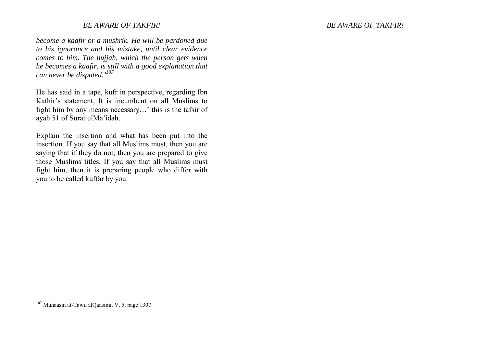*become a kaafir or a mushrik. He will be pardoned due to his ignorance and his mistake, until clear evidence comes to him. The hujjah, which the person gets when he becomes a kaafir, is still with a good explanation that can never be disputed.'<sup>107</sup>*

He has said in a tape, kufr in perspective, regarding Ibn Kathir's statement, It is incumbent on all Muslims to fight him by any means necessary…' this is the tafsir of ayah 51 of Surat ulMa'idah.

Explain the insertion and what has been put into the insertion. If you say that all Muslims must, then you are saying that if they do not, then you are prepared to give those Muslims titles. If you say that all Muslims must fight him, then it is preparing people who differ with you to be called kuffar by you.

 $107$  Muhaasin at-Tawil alQaasimi, V. 5, page 1307.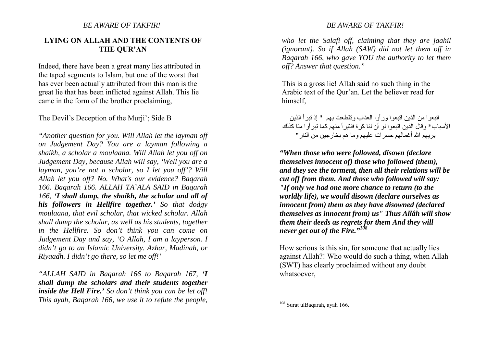## **LYING ON ALLAH AND THE CONTENTS OF THE QUR'AN**

Indeed, there have been a great many lies attributed in the taped segments to Islam, but one of the worst that has ever been actually attributed from this man is the great lie that has been inflicted against Allah. This lie came in the form of the brother proclaiming,

The Devil's Deception of the Murji'; Side B

*"Another question for you. Will Allah let the layman off on Judgement Day? You are a layman following a shaikh, a scholar a moulaana. Will Allah let you off on Judgement Day, because Allah will say, 'Well you are a layman, you're not a scholar, so I let you off'? Will Allah let you off? No. What's our evidence? Baqarah 166. Baqarah 166. ALLAH TA`ALA SAID in Baqarah 166, 'I shall dump, the shaikh, the scholar and all of his followers in Hellfire together.' So that dodgy moulaana, that evil scholar, that wicked scholar. Allah shall dump the scholar, as well as his students, together in the Hellfire. So don't think you can come on Judgement Day and say, 'O Allah, I am a layperson. I didn't go to an Islamic University. Azhar, Madinah, or Riyaadh. I didn't go there, so let me off!'* 

*"ALLAH SAID in Baqarah 166 to Baqarah 167, 'I shall dump the scholars and their students together inside the Hell Fire.' So don't think you can be let off! This ayah, Baqarah 166, we use it to refute the people,* 

### *BE AWARE OF TAKFIR!*

*who let the Salafi off, claiming that they are jaahil (ignorant). So if Allah (SAW) did not let them off in Baqarah 166, who gave YOU the authority to let them off? Answer that question."* 

This is a gross lie! Allah said no such thing in the Arabic text of the Qur'an. Let the believer read for himself,

اتبعوا من الذين اتبعوا ورأوا العذاب وتقطعت بهم " إذ تبرأ الذين الأسباب\* وقال الذين اتبعوا لو أن لنا كرة فنتبرأ منهم كما تبرأوا منا كذلك ير يهم الله أغمالهم حسر ات عليهم و ما هم بخار جين من النار "

*"When those who were followed, disown (declare themselves innocent of) those who followed (them), and they see the torment, then all their relations will be cut off from them. And those who followed will say: "If only we had one more chance to return (to the worldly life), we would disown (declare ourselves as innocent from) them as they have disowned (declared themselves as innocent from) us" Thus Allâh will show them their deeds as regrets for them And they will never get out of the Fire."<sup>108</sup>* 

How serious is this sin, for someone that actually lies against Allah?! Who would do such a thing, when Allah (SWT) has clearly proclaimed without any doubt whatsoever,

<sup>1</sup>08 Surat ulBaqarah, ayah 166.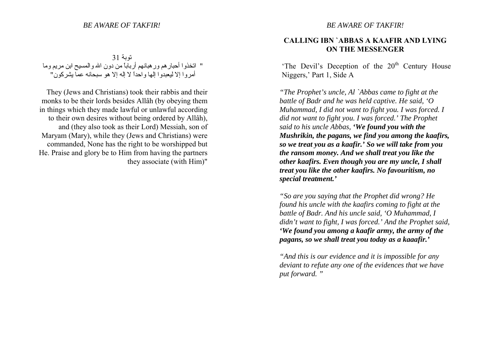توبة 31 " اتخذوا أحبارهم ورهبانهم أرباباً من دون االله والمسيح ابن مريم وما أمروا إلا ليعبدوا إلها واحداً لا إله إلا هو سبحانه عما يشركون "

They (Jews and Christians) took their rabbis and their monks to be their lords besides Allâh (by obeying them in things which they made lawful or unlawful according to their own desires without being ordered by Allâh), and (they also took as their Lord) Messiah, son of Maryam (Mary), while they (Jews and Christians) were commanded, None has the right to be worshipped but He. Praise and glory be to Him from having the partners they associate (with Him)"

#### *BE AWARE OF TAKFIR!*

### **CALLING IBN `ABBAS A KAAFIR AND LYING ON THE MESSENGER**

'The Devil's Deception of the  $20<sup>th</sup>$  Century House Niggers,' Part 1, Side A

*"The Prophet's uncle, Al `Abbas came to fight at the battle of Badr and he was held captive. He said, 'O Muhammad, I did not want to fight you. I was forced. I did not want to fight you. I was forced.' The Prophet said to his uncle Abbas, 'We found you with the Mushrikin, the pagans, we find you among the kaafirs, so we treat you as a kaafir.' So we will take from you the ransom money. And we shall treat you like the other kaafirs. Even though you are my uncle, I shall treat you like the other kaafirs. No favouritism, no special treatment.'* 

*"So are you saying that the Prophet did wrong? He found his uncle with the kaafirs coming to fight at the battle of Badr. And his uncle said, 'O Muhammad, I didn't want to fight, I was forced.' And the Prophet said, 'We found you among a kaafir army, the army of the pagans, so we shall treat you today as a kaaafir.'* 

*"And this is our evidence and it is impossible for any deviant to refute any one of the evidences that we have put forward. "*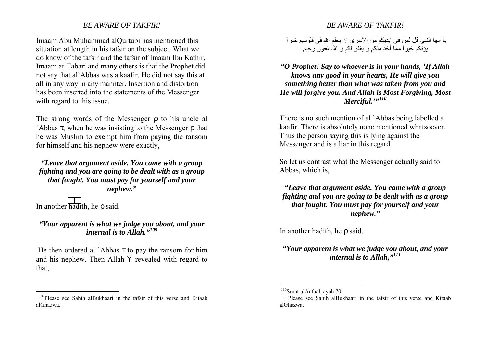Imaam Abu Muhammad alQurtubi has mentioned this situation at length in his tafsir on the subject. What we do know of the tafsir and the tafsir of Imaam Ibn Kathir, Imaam at-Tabari and many others is that the Prophet did not say that al`Abbas was a kaafir. He did not say this at all in any way in any mannter. Insertion and distortion has been inserted into the statements of the Messenger with regard to this issue.

The strong words of the Messenger ρ to his uncle al `Abbas τ, when he was insisting to the Messenger ρ that he was Muslim to exempt him from paying the ransom for himself and his nephew were exactly,

*"Leave that argument aside. You came with a group fighting and you are going to be dealt with as a group that fought. You must pay for yourself and your nephew."* 

In another hadith, he ρ said,

*"Your apparent is what we judge you about, and your internal is to Allah."109*

He then ordered al `Abbas τ to pay the ransom for him and his nephew. Then Allah Υ revealed with regard to that,

#### *BE AWARE OF TAKFIR!*

يا ايها النبي قل لمن في ايديكم من الاسرى إن يعلم االله في قلوبهم خيراً يؤتكم خيراً مما أخذ منكم <sup>و</sup> يغفر لكم <sup>و</sup> االله غفور رحيم

*"O Prophet! Say to whoever is in your hands, 'If Allah knows any good in your hearts, He will give you something better than what was taken from you and He will forgive you. And Allah is Most Forgiving, Most Merciful.*"<sup>110</sup>

There is no such mention of al `Abbas being labelled a kaafir. There is absolutely none mentioned whatsoever. Thus the person saying this is lying against the Messenger and is a liar in this regard.

So let us contrast what the Messenger actually said to Abbas, which is,

*"Leave that argument aside. You came with a group fighting and you are going to be dealt with as a group that fought. You must pay for yourself and your nephew."* 

In another hadith, he ρ said,

*"Your apparent is what we judge you about, and your internal is to Allah,"111*

 $109$  Please see Sahih alBukhaari in the tafsir of this verse and Kitaab alGhazwa.

<sup>&</sup>lt;sup>110</sup> Surat ulAnfaal, ayah 70

 $111$  Please see Sahih alBukhaari in the tafsir of this verse and Kitaab alGhazwa.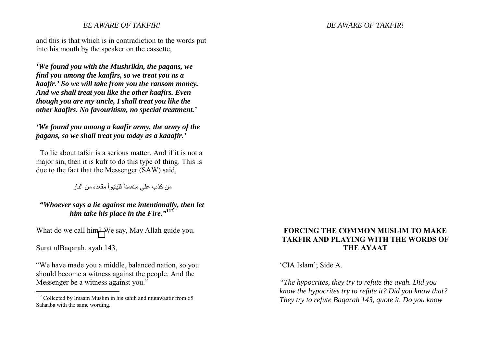and this is that which is in contradiction to the words put into his mouth by the speaker on the cassette,

*'We found you with the Mushrikin, the pagans, we find you among the kaafirs, so we treat you as a kaafir.' So we will take from you the ransom money. And we shall treat you like the other kaafirs. Even though you are my uncle, I shall treat you like the other kaafirs. No favouritism, no special treatment.'* 

*'We found you among a kaafir army, the army of the pagans, so we shall treat you today as a kaaafir.'* 

 To lie about tafsir is a serious matter. And if it is not a major sin, then it is kufr to do this type of thing. This is due to the fact that the Messenger (SAW) said,

من كذب علي متعمداً فليتبوأ مقعده من النار

*"Whoever says a lie against me intentionally, then let him take his place in the Fire."***<sup>112</sup>**

What do we call him? We say, May Allah guide you.

Surat ulBaqarah, ayah 143,

"We have made you a middle, balanced nation, so you should become a witness against the people. And the Messenger be a witness against you."

### *BE AWARE OF TAKFIR!*

# **FORCING THE COMMON MUSLIM TO MAKE TAKFIR AND PLAYING WITH THE WORDS OF THE AYAAT**

'CIA Islam'; Side A.

*"The hypocrites, they try to refute the ayah. Did you know the hypocrites try to refute it? Did you know that? They try to refute Baqarah 143, quote it. Do you know* 

<sup>&</sup>lt;sup>112</sup> Collected by Imaam Muslim in his sahih and mutawaatir from 65 Sahaaba with the same wording.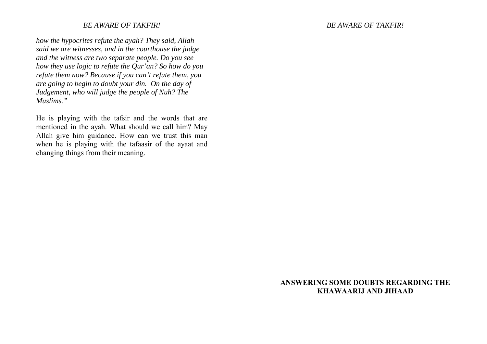*how the hypocrites refute the ayah? They said, Allah said we are witnesses, and in the courthouse the judge and the witness are two separate people. Do you see how they use logic to refute the Qur'an? So how do you refute them now? Because if you can't refute them, you are going to begin to doubt your din. On the day of Judgement, who will judge the people of Nuh? The Muslims."* 

He is playing with the tafsir and the words that are mentioned in the ayah. What should we call him? May Allah give him guidance. How can we trust this man when he is playing with the tafaasir of the ayaat and changing things from their meaning.

### **ANSWERING SOME DOUBTS REGARDING THE KHAWAARIJ AND JIHAAD**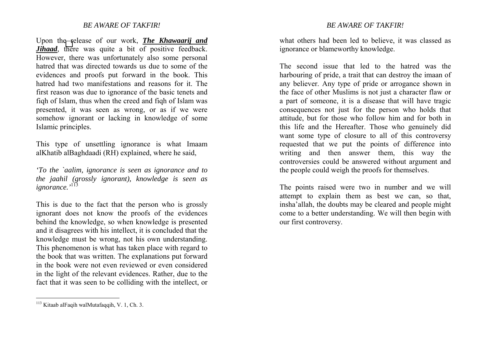Upon the release of our work, *The Khawaarij and Jihaad*, there was quite a bit of positive feedback. However, there was unfortunately also some personal hatred that was directed towards us due to some of the evidences and proofs put forward in the book. This hatred had two manifestations and reasons for it. The first reason was due to ignorance of the basic tenets and fiqh of Islam, thus when the creed and fiqh of Islam was presented, it was seen as wrong, or as if we were somehow ignorant or lacking in knowledge of some Islamic principles.

This type of unsettling ignorance is what Imaam alKhatib alBaghdaadi (RH) explained, where he said,

*'To the `aalim, ignorance is seen as ignorance and to the jaahil (grossly ignorant), knowledge is seen as ignorance.'*<sup>11</sup><sup>3</sup>

This is due to the fact that the person who is grossly ignorant does not know the proofs of the evidences behind the knowledge, so when knowledge is presented and it disagrees with his intellect, it is concluded that the knowledge must be wrong, not his own understanding. This phenomenon is what has taken place with regard to the book that was written. The explanations put forward in the book were not even reviewed or even considered in the light of the relevant evidences. Rather, due to the fact that it was seen to be colliding with the intellect, or what others had been led to believe, it was classed as ignorance or blameworthy knowledge.

The second issue that led to the hatred was the harbouring of pride, a trait that can destroy the imaan of any believer. Any type of pride or arrogance shown in the face of other Muslims is not just a character flaw or a part of someone, it is a disease that will have tragic consequences not just for the person who holds that attitude, but for those who follow him and for both in this life and the Hereafter. Those who genuinely did want some type of closure to all of this controversy requested that we put the points of difference into writing and then answer them, this way the controversies could be answered without argument and the people could weigh the proofs for themselves.

The points raised were two in number and we will attempt to explain them as best we can, so that, insha'allah, the doubts may be cleared and people might come to a better understanding. We will then begin with our first controversy.

<sup>11</sup>3 Kitaab alFaqih walMutafaqqih, V. <sup>1</sup>, Ch. 3.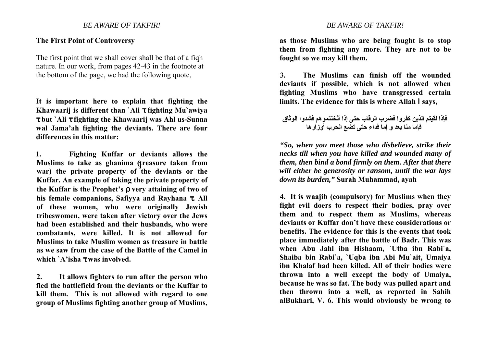# **The First Point of Controversy**

The first point that we shall cover shall be that of a fiqh nature. In our work, from pages 42-43 in the footnote at the bottom of the page, we had the following quote,

**It is important here to explain that fighting the Khawaarij is different than `Ali**  <sup>τ</sup> **fighting Mu`awiya**  τ **but `Ali**  <sup>τ</sup> **fighting the Khawaarij was Ahl us-Sunna wal Jama'ah fighting the deviants. There are four differences in this matter:** 

**1. Fighting Kuffar or deviants allows the Muslims to take as ghanima (treasure taken from war) the private property of the deviants or the Kuffar. An example of taking the private property of the Kuffar is the Prophet's**  ρ **very attaining of two of his female companions, Safiyya and Rayhana**  τ**. All of these women, who were originally Jewish tribeswomen, were taken after victory over the Jews had been established and their husbands, who were combatants, were killed. It is not allowed for Muslims to take Muslim women as treasure in battle as we saw from the case of the Battle of the Camel in which `A'isha** τ **was involved.** 

**2. It allows fighters to run after the person who fled the battlefield from the deviants or the Kuffar to kill them. This is not allowed with regard to one group of Muslims fighting another group of Muslims,** 

**as those Muslims who are being fought is to stop them from fighting any more. They are not to be fought so we may kill them.** 

**3. The Muslims can finish off the wounded deviants if possible, which is not allowed when fighting Muslims who have transgressed certain limits. The evidence for this is where Allah** Ι **says,** 

**فإذا لقيتم الذين كفروا فضرب الرقاب حتى إذا أثخنتموهم فشدوا الوثاق إما فداء حتى تضع الحرب أوزارها فإما منا بعد <sup>و</sup>**

*"So, when you meet those who disbelieve, strike their necks till when you have killed and wounded many of them, then bind a bond firmly on them. After that there will either be generosity or ransom, until the war lays down its burden,"* **Surah Muhammad, ayah** 

**4. It is waajib (compulsory) for Muslims when they fight evil doers to respect their bodies, pray over them and to respect them as Muslims, whereas deviants or Kuffar don't have these considerations or benefits. The evidence for this is the events that took place immediately after the battle of Badr. This was when Abu Jahl ibn Hishaam, `Utba ibn Rabi`a, Shaiba bin Rabi`a, `Uqba ibn Abi Mu`ait, Umaiya ibn Khalaf had been killed. All of their bodies were thrown into a well except the body of Umaiya, because he was so fat. The body was pulled apart and then thrown into a well, as reported in Sahih alBukhari, V. 6. This would obviously be wrong to**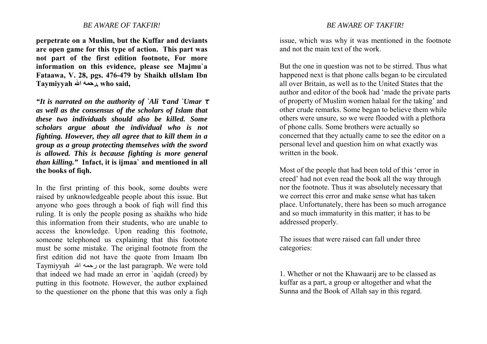**perpetrate on a Muslim, but the Kuffar and deviants are open game for this type of action. This part was not part of the first edition footnote, For more information on this evidence, please see Majmu`a Fataawa, V. 28, pgs. 476-479 by Shaikh ulIslam Ibn Taymiyyah االله رحمه, who said,** 

*"It is narrated on the authority of `Ali*  τ *and `Umar*  τ *as well as the consensus of the scholars of Islam that these two individuals should also be killed. Some scholars argue about the individual who is not fighting. However, they all agree that to kill them in a group as a group protecting themselves with the sword is allowed. This is because fighting is more general than killing."* **Infact, it is ijmaa` and mentioned in all the books of fiqh.** 

In the first printing of this book, some doubts were raised by unknowledgeable people about this issue. But anyone who goes through a book of fiqh will find this ruling. It is only the people posing as shaikhs who hide this information from their students, who are unable to access the knowledge. Upon reading this footnote, someone telephoned us explaining that this footnote must be some mistake. The original footnote from the first edition did not have the quote from Imaam Ibn Taymiyyah رحمه الله or the last paragraph. We were told that indeed we had made an error in `aqidah (creed) by putting in this footnote. However, the author explained to the questioner on the phone that this was only a fiqh

issue, which was why it was mentioned in the footnote and not the main text of the work.

But the one in question was not to be stirred. Thus what happened next is that phone calls began to be circulated all over Britain, as well as to the United States that the author and editor of the book had 'made the private parts of property of Muslim women halaal for the taking' and other crude remarks. Some began to believe them while others were unsure, so we were flooded with a plethora of phone calls. Some brothers were actually so concerned that they actually came to see the editor on a personal level and question him on what exactly was written in the book.

Most of the people that had been told of this 'error in creed' had not even read the book all the way through nor the footnote. Thus it was absolutely necessary that we correct this error and make sense what has taken place. Unfortunately, there has been so much arrogance and so much immaturity in this matter; it has to be addressed properly.

The issues that were raised can fall under three categories:

1. Whether or not the Khawaarij are to be classed as kuffar as a part, a group or altogether and what the Sunna and the Book of Allah say in this regard.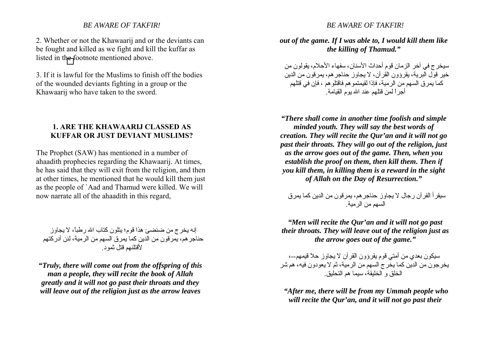2. Whether or not the Khawaarij and or the deviants can be fought and killed as we fight and kill the kuffar as listed in the footnote mentioned above.

3. If it is lawful for the Muslims to finish off the bodies of the wounded deviants fighting in a group or the Khawaarij who have taken to the sword.

# **1. ARE THE KHAWAARIJ CLASSED AS KUFFAR OR JUST DEVIANT MUSLIMS?**

The Prophet (SAW) has mentioned in a number of ahaadith prophecies regarding the Khawaarij. At times, he has said that they will exit from the religion, and then at other times, he mentioned that he would kill them just as the people of `Aad and Thamud were killed. We will now narrate all of the ahaadith in this regard,

إنه يخرج من ضئضئ هذا قوم؛ يتلون كتاب االله رطبا،ً لا يجاوز حناجرهم، يمرقون من الدين كما يمرق السهم من الرمية، لئن أدركتهم لأقتلنهم قتل ثمود .

*"Truly, there will come out from the offspring of this man a people, they will recite the book of Allah greatly and it will not go past their throats and they will leave out of the religion just as the arrow leaves* 

#### *BE AWARE OF TAKFIR!*

*out of the game. If I was able to, I would kill them like the killing of Thamud."* 

سيخرج في آخر الزمان قوم أحداث الأسنان، سفهاء الأحلام، يقولون من خير قول البرية، يقرؤون القرآن، لا يجاوز حناجرهم، يمرقون من الدين كما يمرق السهم من الرمية، فإذا لقيمتموهم فاقتلوهم ، فإن في قتلهم أجراً لمن قتلهم عند االله يوم القيامة .

*"There shall come in another time foolish and simple minded youth. They will say the best words of creation. They will recite the Qur'an and it will not go past their throats. They will go out of the religion, just as the arrow goes out of the game. Then, when you establish the proof on them, then kill them. Then if you kill them, in killing them is a reward in the sight of Allah on the Day of Resurrection."* 

سيقرأ القرآن رجال لا يجاوز حناجرهم، يمرقون من الدين كما يمرق السهم من الرمية .

*"Men will recite the Qur'an and it will not go past their throats. They will leave out of the religion just as the arrow goes out of the game."* 

سيكون بعدي من أمتي قوم يقرؤون القرآن لا يجاوز حلا قيمهم،-- يخرجون من الدين كما يخرج السهم من الرمية، ثم لا يعودون فيه، هم شر الخلق <sup>و</sup> الخليقة، سيما هم التحليق .

*"After me, there will be from my Ummah people who will recite the Qur'an, and it will not go past their*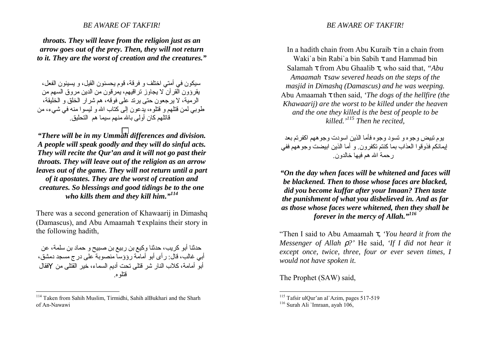#### *BE AWARE OF TAKFIR!*

*throats. They will leave from the religion just as an arrow goes out of the prey. Then, they will not return to it. They are the worst of creation and the creatures."* 

سيكون في أمتي اختلف و فرقة، قوم يحسنون القيل، و يسيئون الفعل، يقرؤون القرأن لا يجاوز تر اقيهم، يمرقون من الدين مروق السهم من الرمية، لا يرجعون حتى يرتد على فوقه، هم شرار الخلق و الخليقة، طوبي لمن قتلهم و قتلوه، يدعون إلى كتاب الله و ليسوا منه في شيء، من قاتلهم كان أولى باالله منهم سيما هم التحليق .

*"There will be in my Ummah differences and division. A people will speak goodly and they will do sinful acts. They will recite the Qur'an and it will not go past their throats. They will leave out of the religion as an arrow leaves out of the game. They will not return until a part of it apostates. They are the worst of creation and creatures. So blessings and good tidings be to the one*  who kills them and they kill him."<sup>114</sup>

There was a second generation of Khawaarij in Dimashq (Damascus), and Abu Amaamah <sup>τ</sup> explains their story in the following hadith,

حدثنا أبو كريب، حدثنا وكيع بن ربيع بن صبيح و حماد بن سلمة، عن أبي غالب، قال: رأى أبو أمامة رؤؤسا منصوبة على درج مسجد دمشق، أبو أمامة، كلاب النار شر قتلى تحت أديم السماء، خير القتلى من <sup>Υ</sup>فقال قتلوه .

In a hadith chain from Abu Kuraib τ in a chain from Waki`a bin Rabi`a bin Sabih τ and Hammad bin Salamah τ from Abu Ghaalib <sup>τ</sup>, who said that, *"Abu Amaamah*  <sup>τ</sup> *saw severed heads on the steps of the masjid in Dimashq (Damascus) and he was weeping.* Abu Amaamah <sup>τ</sup> then said, *'The dogs of the hellfire (the Khawaarij) are the worst to be killed under the heaven and the one they killed is the best of people to be killed.'115 Then he recited,* 

يوم نبيض وجوه و نسود وجوه فأما الذين اسودت وجوههم اكفرنم بعد إيمانكم فذوقوا العذاب بما كنتم تكفرون و أما الذين ابيضت وجوههم ففي رحمة االله هم فيها خالدون .

*"On the day when faces will be whitened and faces will be blackened. Then to those whose faces are blacked, did you become kuffar after your Imaan? Then taste the punishment of what you disbelieved in. And as far as those whose faces were whitened, then they shall be forever in the mercy of Allah.*"<sup>116</sup>

"Then I said to Abu Amaamah <sup>τ</sup>*, 'You heard it from the Messenger of Allah*  ρ*?'* He said, *'If I did not hear it except once, twice, three, four or ever seven times, I would not have spoken it.*

The Prophet (SAW) said,

<sup>11</sup>4 Taken from Sahih Muslim, Tirmidhi, Sahih alBukhari and the Sharh of An-Nawawi

 $115$  Tafsir ulQur'an al`Azim, pages 517-519 <sup>11</sup>6 Surah Ali `Imraan, ayah 106,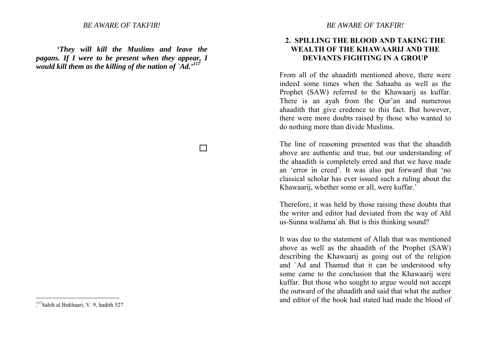*'They will kill the Muslims and leave the pagans. If I were to be present when they appear, I would kill them as the killing of the nation of `Ad.'<sup>117</sup>*

# **2. SPILLING THE BLOOD AND TAKING THE WEALTH OF THE KHAWAARIJ AND THE DEVIANTS FIGHTING IN A GROUP**

From all of the ahaadith mentioned above, there were indeed some times when the Sahaaba as well as the Prophet (SAW) referred to the Khawaarij as kuffar. There is an ayah from the Qur'an and numerous ahaadith that give credence to this fact. But however, there were more doubts raised by those who wanted to do nothing more than divide Muslims.

The line of reasoning presented was that the ahaadith above are authentic and true, but our understanding of the ahaadith is completely erred and that we have made an 'error in creed'. It was also put forward that 'no classical scholar has ever issued such a ruling about the Khawaarij, whether some or all, were kuffar.'

Therefore, it was held by those raising these doubts that the writer and editor had deviated from the way of Ahl us-Sunna walJama`ah. But is this thinking sound?

It was due to the statement of Allah that was mentioned above as well as the ahaadith of the Prophet (SAW) describing the Khawaarij as going out of the religion and `Ad and Thamud that it can be understood why some came to the conclusion that the Khawaarij were kuffar. But those who sought to argue would not accept the outward of the ahaadith and said that what the author and editor of the book had stated had made the blood of

 $^{117}$ Sahih al Bukhaari, V. 9, hadith 527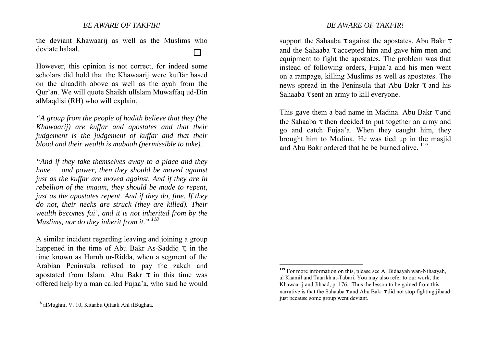the deviant Khawaarij as well as the Muslims who deviate halaal.

However, this opinion is not correct, for indeed some scholars did hold that the Khawaarij were kuffar based on the ahaadith above as well as the ayah from the Qur'an. We will quote Shaikh ulIslam Muwaffaq ud-Din alMaqdisi (RH) who will explain,

*"A group from the people of hadith believe that they (the Khawaarij) are kuffar and apostates and that their judgement is the judgement of kuffar and that their blood and their wealth is mubaah (permissible to take).* 

*"And if they take themselves away to a place and they have and power, then they should be moved against just as the kuffar are moved against. And if they are in rebellion of the imaam, they should be made to repent, just as the apostates repent. And if they do, fine. If they do not, their necks are struck (they are killed). Their wealth becomes fai', and it is not inherited from by the Muslims, nor do they inherit from it." <sup>118</sup>*

A similar incident regarding leaving and joining a group happened in the time of Abu Bakr As-Saddiq <sup>τ</sup>, in the time known as Hurub ur-Ridda, when a segment of the Arabian Peninsula refused to pay the zakah and apostated from Islam. Abu Bakr τ in this time was offered help by a man called Fujaa'a, who said he would

#### *BE AWARE OF TAKFIR!*

support the Sahaaba <sup>τ</sup> against the apostates. Abu Bakr τand the Sahaaba <sup>τ</sup> accepted him and gave him men and equipment to fight the apostates. The problem was that instead of following orders, Fujaa'a and his men went on a rampage, killing Muslims as well as apostates. The news spread in the Peninsula that Abu Bakr τ and his Sahaaba <sup>τ</sup> sent an army to kill everyone.

This gave them a bad name in Madina. Abu Bakr τ and the Sahaaba <sup>τ</sup> then decided to put together an army and go and catch Fujaa'a. When they caught him, they brought him to Madina. He was tied up in the masjid and Abu Bakr ordered that he be burned alive.<sup>119</sup>

<sup>11</sup>8 alMughni, V. 10, Kitaabu Qitaali Ahl ilBughaa.

**<sup>119</sup>** For more information on this, please see Al Bidaayah wan-Nihaayah, al Kaamil and Taarikh at-Tabari. You may also refer to our work, the Khawaarij and Jihaad, p. 176. Thus the lesson to be gained from this narrative is that the Sahaaba τ and Abu Bakr τ did not stop fighting jihaad just because some group went deviant.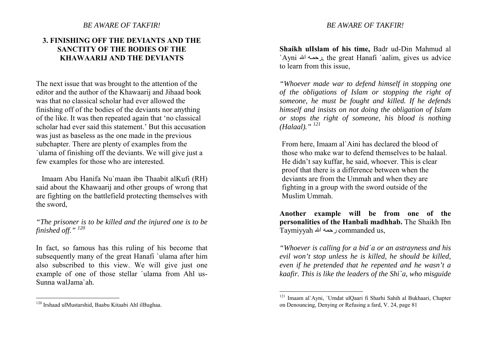# **3. FINISHING OFF THE DEVIANTS AND THE SANCTITY OF THE BODIES OF THE KHAWAARIJ AND THE DEVIANTS**

The next issue that was brought to the attention of the editor and the author of the Khawaarij and Jihaad book was that no classical scholar had ever allowed the finishing off of the bodies of the deviants nor anything of the like. It was then repeated again that 'no classical scholar had ever said this statement.<sup>'</sup> But this accusation was just as baseless as the one made in the previous subchapter. There are plenty of examples from the `ulama of finishing off the deviants. We will give just a few examples for those who are interested.

Imaam Abu Hanifa Nu`maan ibn Thaabit alKufi (RH) said about the Khawaarij and other groups of wrong that are fighting on the battlefield protecting themselves with the sword,

*"The prisoner is to be killed and the injured one is to be finished off." <sup>120</sup>*

In fact, so famous has this ruling of his become that subsequently many of the great Hanafi `ulama after him also subscribed to this view. We will give just one example of one of those stellar `ulama from Ahl us-Sunna walJama`ah.

**Shaikh ulIslam of his time,** Badr ud-Din Mahmud al `Ayni االله هìرحم, the great Hanafi `aalim, gives us advice to learn from this issue,

*"Whoever made war to defend himself in stopping one of the obligations of Islam or stopping the right of someone, he must be fought and killed. If he defends himself and insists on not doing the obligation of Islam or stops the right of someone, his blood is nothing (Halaal)." <sup>121</sup>*

From here, Imaam al`Aini has declared the blood of those who make war to defend themselves to be halaal. He didn't say kuffar, he said, whoever. This is clear proof that there is a difference between when the deviants are from the Ummah and when they are fighting in a group with the sword outside of the Muslim Ummah.

**Another example will be from one of the personalities of the Hanbali madhhab.** The Shaikh Ibn Taymiyyah رحمه الله commanded us,

*"Whoever is calling for a bid`a or an astrayness and his evil won't stop unless he is killed, he should be killed, even if he pretended that he repented and he wasn't a kaafir. This is like the leaders of the Shi`a, who misguide* 

<sup>1</sup>20 Irshaad ulMustarshid, Baabu Kitaabi Ahl ilBughaa.

<sup>&</sup>lt;sup>121</sup> Imaam al`Ayni, `Umdat ulQaari fi Sharhi Sahih al Bukhaari, Chapter on Denouncing, Denying or Refusing a fard, V. 24, page 81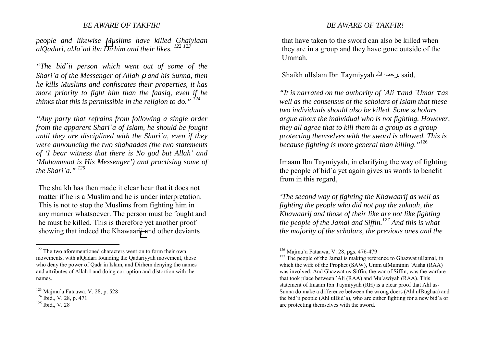*people and likewise Muslims have killed Ghaiylaan alQadari, alJa`ad ibn Dirhim and their likes. <sup>122</sup> <sup>123</sup>*

*"The bid`ii person which went out of some of the Shari`a of the Messenger of Allah* ρ *and his Sunna, then he kills Muslims and confiscates their properties, it has more priority to fight him than the faasiq, even if he thinks that this is permissible in the religion to do." <sup>124</sup>*

*"Any party that refrains from following a single order from the apparent Shari`a of Islam, he should be fought until they are disciplined with the Shari`a, even if they were announcing the two shahaadas (the two statements of 'I bear witness that there is No god but Allah' and 'Muhammad is His Messenger') and practising some of the Shari`a." <sup>125</sup>*

The shaikh has then made it clear hear that it does not matter if he is a Muslim and he is under interpretation. This is not to stop the Muslims from fighting him in any manner whatsoever. The person must be fought and he must be killed. This is therefore yet another proof showing that indeed the Khawaarij and other deviants

that have taken to the sword can also be killed when they are in a group and they have gone outside of the Ummah.

Shaikh ulIslam Ibn Taymiyyah االله رحمه**,** said,

*"It is narrated on the authority of `Ali* τ *and `Umar* τ *as well as the consensus of the scholars of Islam that these two individuals should also be killed. Some scholars argue about the individual who is not fighting. However, they all agree that to kill them in a group as a group protecting themselves with the sword is allowed. This is because fighting is more general than killing."*<sup>1</sup><sup>26</sup>

Imaam Ibn Taymiyyah, in clarifying the way of fighting the people of bid`a yet again gives us words to benefit from in this regard,

*'The second way of fighting the Khawaarij as well as fighting the people who did not pay the zakaah, the Khawaarij and those of their like are not like fighting the people of the Jamal and Siffin.127 And this is what the majority of the scholars, the previous ones and the* 

 $122$  The two aforementioned characters went on to form their own movements, with alQadari founding the Qadariyyah movement, those who deny the power of Qadr in Islam, and Dirhem denying the names and attributes of Allah Ι and doing corruption and distortion with the names.

 $123$  Majmu'a Fataawa, V. 28, p. 528  $124$  Ibid., V. 28, p. 471

 $125$  Ibid., V. 28

*BE AWARE OF TAKFIR!* 

<sup>1</sup>26 Majmu`a Fataawa, V. 28, pgs. 476-479

 $127$  The people of the Jamal is making reference to Ghazwat ulJamal, in which the wife of the Prophet (SAW), Umm ulMuminin `Aisha (RAA) was involved. And Ghazwat us-Siffin, the war of Siffin, was the warfare that took place between `Ali (RAA) and Mu`awiyah (RAA). This statement of Imaam Ibn Taymiyyah (RH) is a clear proof that Ahl us-Sunna do make a difference between the wrong doers (Ahl ulBughaa) and the bid`ii people (Ahl ulBid`a), who are either fighting for a new bid`a or are protecting themselves with the sword.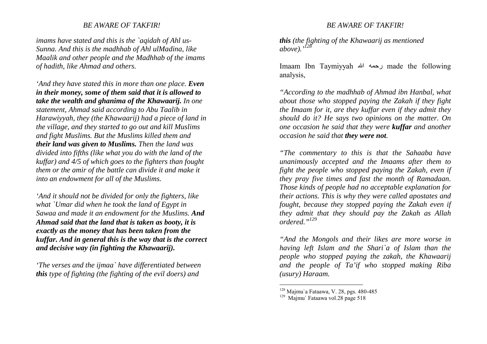*imams have stated and this is the `aqidah of Ahl us-Sunna. And this is the madhhab of Ahl ulMadina, like Maalik and other people and the Madhhab of the imams of hadith, like Ahmad and others.* 

*'And they have stated this in more than one place. Even in their money, some of them said that it is allowed to take the wealth and ghanima of the Khawaarij. In one statement, Ahmad said according to Abu Taalib in Harawiyyah, they (the Khawaarij) had a piece of land in the village, and they started to go out and kill Muslims and fight Muslims. But the Muslims killed them and their land was given to Muslims. Then the land was divided into fifths (like what you do with the land of the kuffar) and 4/5 of which goes to the fighters than fought them or the amir of the battle can divide it and make it into an endowment for all of the Muslims.* 

*'And it should not be divided for only the fighters, like what `Umar did when he took the land of Egypt in Sawaa and made it an endowment for the Muslims. And Ahmad said that the land that is taken as booty, it is exactly as the money that has been taken from the kuffar. And in general this is the way that is the correct and decisive way (in fighting the Khawaarij).* 

*'The verses and the ijmaa` have differentiated between this type of fighting (the fighting of the evil doers) and* 

#### *BE AWARE OF TAKFIR!*

*this (the fighting of the Khawaarij as mentioned above).'<sup>128</sup>*

Imaam Ibn Taymiyyah ارحمه الله made the following analysis,

*"According to the madhhab of Ahmad ibn Hanbal, what about those who stopped paying the Zakah if they fight the Imaam for it, are they kuffar even if they admit they should do it? He says two opinions on the matter. On one occasion he said that they were kuffar and another occasion he said that they were not.* 

*"The commentary to this is that the Sahaaba have unanimously accepted and the Imaams after them to fight the people who stopped paying the Zakah, even if they pray five times and fast the month of Ramadaan. Those kinds of people had no acceptable explanation for their actions. This is why they were called apostates and fought, because they stopped paying the Zakah even if they admit that they should pay the Zakah as Allah ordered."<sup>129</sup>*

*"And the Mongols and their likes are more worse in having left Islam and the Shari`a of Islam than the people who stopped paying the zakah, the Khawaarij and the people of Ta'if who stopped making Riba (usury) Haraam.* 

<sup>1</sup>29 Majmu` Fataawa vol.28 page 518

<sup>1</sup>28 Majmu`a Fataawa, V. 28, pgs. 480-485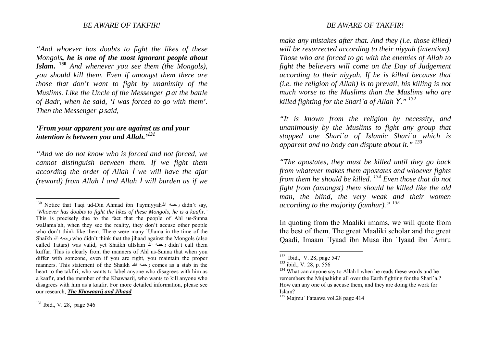*"And whoever has doubts to fight the likes of these Mongols, he is one of the most ignorant people about Islam.* **<sup>130</sup>** *And whenever you see them (the Mongols), you should kill them. Even if amongst them there are those that don't want to fight by unanimity of the Muslims. Like the Uncle of the Messenger*  ρ *at the battle of Badr, when he said, 'I was forced to go with them'. Then the Messenger*  ρ *said,* 

#### *'From your apparent you are against us and your intention is between you and Allah.'<sup>131</sup>*

*"And we do not know who is forced and not forced, we cannot distinguish between them. If we fight them according the order of Allah*  Ι *we will have the ajar (reward) from Allah*  Ι *and Allah*  Ι *will burden us if we* 

#### *BE AWARE OF TAKFIR!*

*make any mistakes after that. And they (i.e. those killed) will be resurrected according to their niyyah (intention). Those who are forced to go with the enemies of Allah to fight the believers will come on the Day of Judgement according to their niyyah. If he is killed because that (i.e. the religion of Allah) is to prevail, his killing is not much worse to the Muslims than the Muslims who are killed fighting for the Shari`a of Allah*  Υ*." <sup>132</sup>*

*"It is known from the religion by necessity, and unanimously by the Muslims to fight any group that stopped one Shari`a of Islamic Shari`a which is apparent and no body can dispute about it." <sup>133</sup>*

*"The apostates, they must be killed until they go back from whatever makes them apostates and whoever fights from them he should be killed. 134 Even those that do not fight from (amongst) them should be killed like the old man, the blind, the very weak and their women according to the majority (jamhur)." <sup>135</sup>*

In quoting from the Maaliki imams, we will quote from the best of them. The great Maaliki scholar and the great Qaadi, Imaam `Iyaad ibn Musa ibn `Iyaad ibn `Amru

<sup>&</sup>lt;sup>130</sup> Notice that Taqi ud-Din Ahmad ibn Taymiyyah رحمه الله didn't say, *'Whoever has doubts to fight the likes of these Mongols, he is a kaafir.'* This is precisely due to the fact that the people of Ahl us-Sunna walJama'ah, when they see the reality, they don't accuse other people who don't think like them. There were many 'Ulama in the time of the Shaikh االله رحمه who didn't think that the jihaad against the Mongols (also called Tatars) was valid, yet Shaikh ulIslam رحمه الله didn't call them kuffar. This is clearly from the manners of Ahl us-Sunna that when you differ with someone, even if you are right, you maintain the proper manners. This statement of the Shaikh ارحمه الله comes as a stab in the heart to the takfiri, who wants to label anyone who disagrees with him as a kaafir, and the member of the Khawaarij, who wants to kill anyone who disagrees with him as a kaafir. For more detailed information, please see our research, *The Khawaarij and Jihaad*

<sup>1</sup>3<sup>1</sup> Ibid., V. 28, page 546

<sup>&</sup>lt;sup>132</sup> Ibid., V. 28, page 547

 $133$  ibid., V. 28, p. 556

<sup>&</sup>lt;sup>134</sup> What can anyone say to Allah I when he reads these words and he remembers the Mujaahidin all over the Earth fighting for the Shari`a.? How can any one of us accuse them, and they are doing the work for Islam?

<sup>&</sup>lt;sup>135</sup> Majmu` Fataawa vol.28 page 414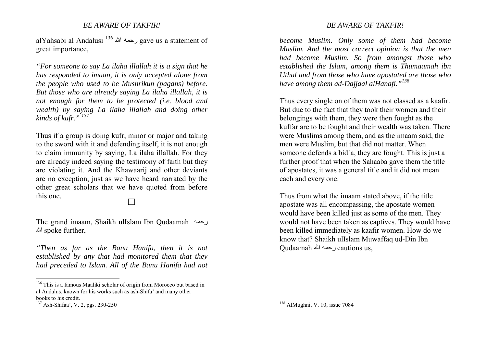alYahsabi al Andalusi الحمه الله 136 الله  $\,$ gave us a statement of great importance,

*"For someone to say La ilaha illallah it is a sign that he has responded to imaan, it is only accepted alone from the people who used to be Mushrikun (pagans) before. But those who are already saying La ilaha illallah, it is not enough for them to be protected (i.e. blood and wealth) by saying La ilaha illallah and doing other kinds of kufr." <sup>137</sup>*

Thus if a group is doing kufr, minor or major and taking to the sword with it and defending itself, it is not enough to claim immunity by saying, La ilaha illallah. For they are already indeed saying the testimony of faith but they are violating it. And the Khawaarij and other deviants are no exception, just as we have heard narrated by the other great scholars that we have quoted from before this one.

The grand imaam, Shaikh ulIslam Ibn Qudaamah رحمه االله spoke further,

*"Then as far as the Banu Hanifa, then it is not established by any that had monitored them that they had preceded to Islam. All of the Banu Hanifa had not* 

#### *BE AWARE OF TAKFIR!*

*become Muslim. Only some of them had become Muslim. And the most correct opinion is that the men had become Muslim. So from amongst those who established the Islam, among them is Thumaamah ibn Uthal and from those who have apostated are those who have among them ad-Dajjaal alHanafi."<sup>138</sup>*

Thus every single on of them was not classed as a kaafir. But due to the fact that they took their women and their belongings with them, they were then fought as the kuffar are to be fought and their wealth was taken. There were Muslims among them, and as the imaam said, the men were Muslim, but that did not matter. When someone defends a bid`a, they are fought. This is just a further proof that when the Sahaaba gave them the title of apostates, it was a general title and it did not mean each and every one.

Thus from what the imaam stated above, if the title apostate was all encompassing, the apostate women would have been killed just as some of the men. They would not have been taken as captives. They would have been killed immediately as kaafir women. How do we know that? Shaikh ulIslam Muwaffaq ud-Din Ibn Qudaamah االله رحمه cautions us,

<sup>&</sup>lt;sup>136</sup> This is a famous Maaliki scholar of origin from Morocco but based in al Andalus, known for his works such as ash-Shifa' and many other books to his credit.

<sup>1</sup>37 Ash-Shifaa', V. 2, pgs. 230-250

<sup>1</sup>38 AlMughni, V. 10, issue 7084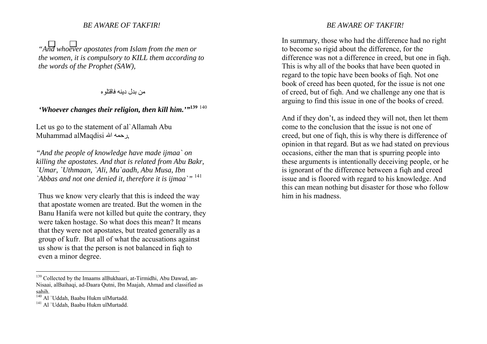*"And whoever apostates from Islam from the men or the women, it is compulsory to KILL them according to the words of the Prophet (SAW),* 

### من بدل دينه فاقتلوه

# *'Whoever changes their religion, then kill him.*"<sup>139</sup><sup>140</sup>

Let us go to the statement of al`Allamah Abu Muhammad alMaqdisi رحمه الله

*"And the people of knowledge have made ijmaa` on killing the apostates. And that is related from Abu Bakr, `Umar, `Uthmaan, `Ali, Mu`aadh, Abu Musa, Ibn `Abbas and not one denied it, therefore it is ijmaa`"* <sup>1</sup>4<sup>1</sup>

Thus we know very clearly that this is indeed the way that apostate women are treated. But the women in the Banu Hanifa were not killed but quite the contrary, they were taken hostage. So what does this mean? It means that they were not apostates, but treated generally as a group of kufr. But all of what the accusations against us show is that the person is not balanced in fiqh to even a minor degree.

### *BE AWARE OF TAKFIR!*

In summary, those who had the difference had no right to become so rigid about the difference, for the difference was not a difference in creed, but one in fiqh. This is why all of the books that have been quoted in regard to the topic have been books of fiqh. Not one book of creed has been quoted, for the issue is not one of creed, but of fiqh. And we challenge any one that is arguing to find this issue in one of the books of creed.

And if they don't, as indeed they will not, then let them come to the conclusion that the issue is not one of creed, but one of fiqh, this is why there is difference of opinion in that regard. But as we had stated on previous occasions, either the man that is spurring people into these arguments is intentionally deceiving people, or he is ignorant of the difference between a fiqh and creed issue and is floored with regard to his knowledge. And this can mean nothing but disaster for those who follow him in his madness.

<sup>&</sup>lt;sup>139</sup> Collected by the Imaams alBukhaari, at-Tirmidhi, Abu Dawud, an-Nisaai, alBaihaqi, ad-Daara Qutni, Ibn Maajah, Ahmad and classified as sahih.

<sup>&</sup>lt;sup>140</sup> Al `Uddah, Baabu Hukm ulMurtadd.

<sup>&</sup>lt;sup>141</sup> Al `Uddah, Baabu Hukm ulMurtadd.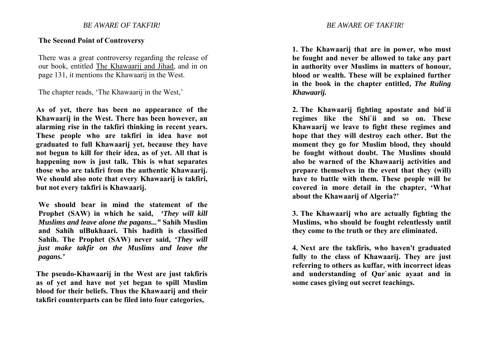### **The Second Point of Controversy**

There was a great controversy regarding the release of our book, entitled The Khawaarij and Jihad, and in on page 131, it mentions the Khawaarij in the West.

The chapter reads, 'The Khawaarij in the West,'

**As of yet, there has been no appearance of the Khawaarij in the West. There has been however, an alarming rise in the takfiri thinking in recent years. These people who are takfiri in idea have not graduated to full Khawaarij yet, because they have not begun to kill for their idea, as of yet. All that is happening now is just talk. This is what separates those who are takfiri from the authentic Khawaarij. We should also note that every Khawaarij is takfiri, but not every takfiri is Khawaarij.** 

**We should bear in mind the statement of the Prophet (SAW) in which he said,** *'They will kill Muslims and leave alone the pagans..."* **Sahih Muslim and Sahih ulBukhaari. This hadith is classified Sahih. The Prophet (SAW) never said,** *'They will just make takfir on the Muslims and leave the pagans.'* 

**The pseudo-Khawaarij in the West are just takfiris as of yet and have not yet began to spill Muslim blood for their beliefs. Thus the Khawaarij and their takfiri counterparts can be filed into four categories,** 

**1. The Khawaarij that are in power, who must be fought and never be allowed to take any part in authority over Muslims in matters of honour, blood or wealth. These will be explained further in the book in the chapter entitled,** *The Ruling Khawaarij.*

**2. The Khawaarij fighting apostate and bid`ii regimes like the Shi`ii and so on. These Khawaarij we leave to fight these regimes and hope that they will destroy each other. But the moment they go for Muslim blood, they should be fought without doubt. The Muslims should also be warned of the Khawaarij activities and prepare themselves in the event that they (will) have to battle with them. These people will be covered in more detail in the chapter, 'What about the Khawaarij of Algeria?'** 

**3. The Khawaarij who are actually fighting the Muslims, who should be fought relentlessly until they come to the truth or they are eliminated.** 

**4. Next are the takfiris, who haven't graduated fully to the class of Khawaarij. They are just referring to others as kuffar, with incorrect ideas and understanding of Qur`anic ayaat and in some cases giving out secret teachings.**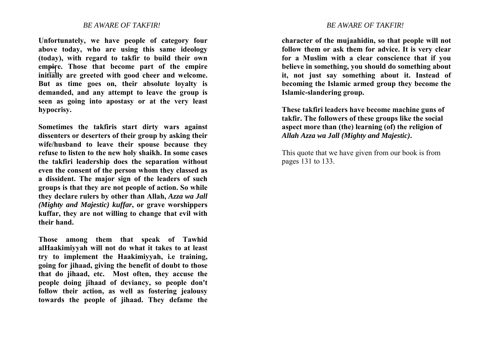**Unfortunately, we have people of category four above today, who are using this same ideology (today), with regard to takfir to build their own empire. Those that become part of the empire initially are greeted with good cheer and welcome. But as time goes on, their absolute loyalty is demanded, and any attempt to leave the group is seen as going into apostasy or at the very least hypocrisy.** 

**Sometimes the takfiris start dirty wars against dissenters or deserters of their group by asking their wife/husband to leave their spouse because they refuse to listen to the new holy shaikh. In some cases the takfiri leadership does the separation without even the consent of the person whom they classed as a dissident. The major sign of the leaders of such groups is that they are not people of action. So while they declare rulers by other than Allah,** *Azza wa Jall (Mighty and Majestic) kuffar***, or grave worshippers kuffar, they are not willing to change that evil with their hand.** 

**Those among them that speak of Tawhid alHaakimiyyah will not do what it takes to at least try to implement the Haakimiyyah, i.e training, going for jihaad, giving the benefit of doubt to those that do jihaad, etc. Most often, they accuse the people doing jihaad of deviancy, so people don't follow their action, as well as fostering jealousy towards the people of jihaad. They defame the** 

**character of the mujaahidin, so that people will not follow them or ask them for advice. It is very clear for a Muslim with a clear conscience that if you believe in something, you should do something about it, not just say something about it. Instead of becoming the Islamic armed group they become the Islamic-slandering group.** 

**These takfiri leaders have become machine guns of takfir. The followers of these groups like the social aspect more than (the) learning (of) the religion of**  *Allah Azza wa Jall (Mighty and Majestic)***.** 

This quote that we have given from our book is from pages 131 to 133.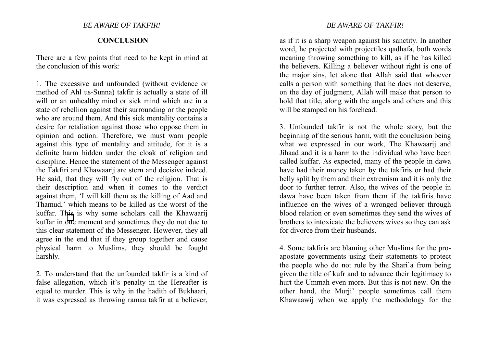# **CONCLUSION**

There are a few points that need to be kept in mind at the conclusion of this work:

1. The excessive and unfounded (without evidence or method of Ahl us-Sunna) takfir is actually a state of ill will or an unhealthy mind or sick mind which are in a state of rebellion against their surrounding or the people who are around them. And this sick mentality contains a desire for retaliation against those who oppose them in opinion and action. Therefore, we must warn people against this type of mentality and attitude, for it is a definite harm hidden under the cloak of religion and discipline. Hence the statement of the Messenger against the Takfiri and Khawaarij are stern and decisive indeed. He said, that they will fly out of the religion. That is their description and when it comes to the verdict against them, 'I will kill them as the killing of Aad and Thamud,' which means to be killed as the worst of the kuffar. This is why some scholars call the Khawaarij kuffar in one moment and sometimes they do not due to this clear statement of the Messenger. However, they all agree in the end that if they group together and cause physical harm to Muslims, they should be fought harshly.

2. To understand that the unfounded takfir is a kind of false allegation, which it's penalty in the Hereafter is equal to murder. This is why in the hadith of Bukhaari, it was expressed as throwing ramaa takfir at a believer,

as if it is a sharp weapon against his sanctity. In another word, he projected with projectiles qadhafa, both words meaning throwing something to kill, as if he has killed the believers. Killing a believer without right is one of the major sins, let alone that Allah said that whoever calls a person with something that he does not deserve, on the day of judgment, Allah will make that person to hold that title, along with the angels and others and this will be stamped on his forehead.

3. Unfounded takfir is not the whole story, but the beginning of the serious harm, with the conclusion being what we expressed in our work, The Khawaarij and Jihaad and it is a harm to the individual who have been called kuffar. As expected, many of the people in dawa have had their money taken by the takfiris or had their belly split by them and their extremism and it is only the door to further terror. Also, the wives of the people in dawa have been taken from them if the takfiris have influence on the wives of a wronged believer through blood relation or even sometimes they send the wives of brothers to intoxicate the believers wives so they can ask for divorce from their husbands.

4. Some takfiris are blaming other Muslims for the proapostate governments using their statements to protect the people who do not rule by the Shari`a from being given the title of kufr and to advance their legitimacy to hurt the Ummah even more. But this is not new. On the other hand, the Murji' people sometimes call them Khawaawij when we apply the methodology for the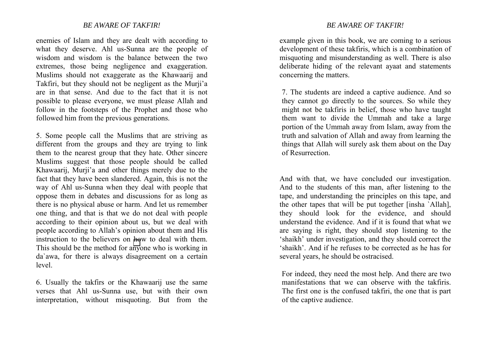enemies of Islam and they are dealt with according to what they deserve. Ahl us-Sunna are the people of wisdom and wisdom is the balance between the two extremes, those being negligence and exaggeration. Muslims should not exaggerate as the Khawaarij and Takfiri, but they should not be negligent as the Murji'a are in that sense. And due to the fact that it is not possible to please everyone, we must please Allah and follow in the footsteps of the Prophet and those who followed him from the previous generations.

5. Some people call the Muslims that are striving as different from the groups and they are trying to link them to the nearest group that they hate. Other sincere Muslims suggest that those people should be called Khawaarij, Murji'a and other things merely due to the fact that they have been slandered. Again, this is not the way of Ahl us-Sunna when they deal with people that oppose them in debates and discussions for as long as there is no physical abuse or harm. And let us remember one thing, and that is that we do not deal with people according to their opinion about us, but we deal with people according to Allah's opinion about them and His instruction to the believers on how to deal with them. This should be the method for anyone who is working in da`awa, for there is always disagreement on a certain level.

6. Usually the takfirs or the Khawaarij use the same verses that Ahl us-Sunna use, but with their own interpretation, without misquoting. But from the

example given in this book, we are coming to a serious development of these takfiris, which is a combination of misquoting and misunderstanding as well. There is also deliberate hiding of the relevant ayaat and statements concerning the matters.

7. The students are indeed a captive audience. And so they cannot go directly to the sources. So while they might not be takfiris in belief, those who have taught them want to divide the Ummah and take a large portion of the Ummah away from Islam, away from the truth and salvation of Allah and away from learning the things that Allah will surely ask them about on the Day of Resurrection.

And with that, we have concluded our investigation. And to the students of this man, after listening to the tape, and understanding the principles on this tape, and the other tapes that will be put together [insha `Allah], they should look for the evidence, and should understand the evidence. And if it is found that what we are saying is right, they should stop listening to the 'shaikh' under investigation, and they should correct the 'shaikh'. And if he refuses to be corrected as he has for several years, he should be ostracised.

For indeed, they need the most help. And there are two manifestations that we can observe with the takfiris. The first one is the confused takfiri, the one that is part of the captive audience.